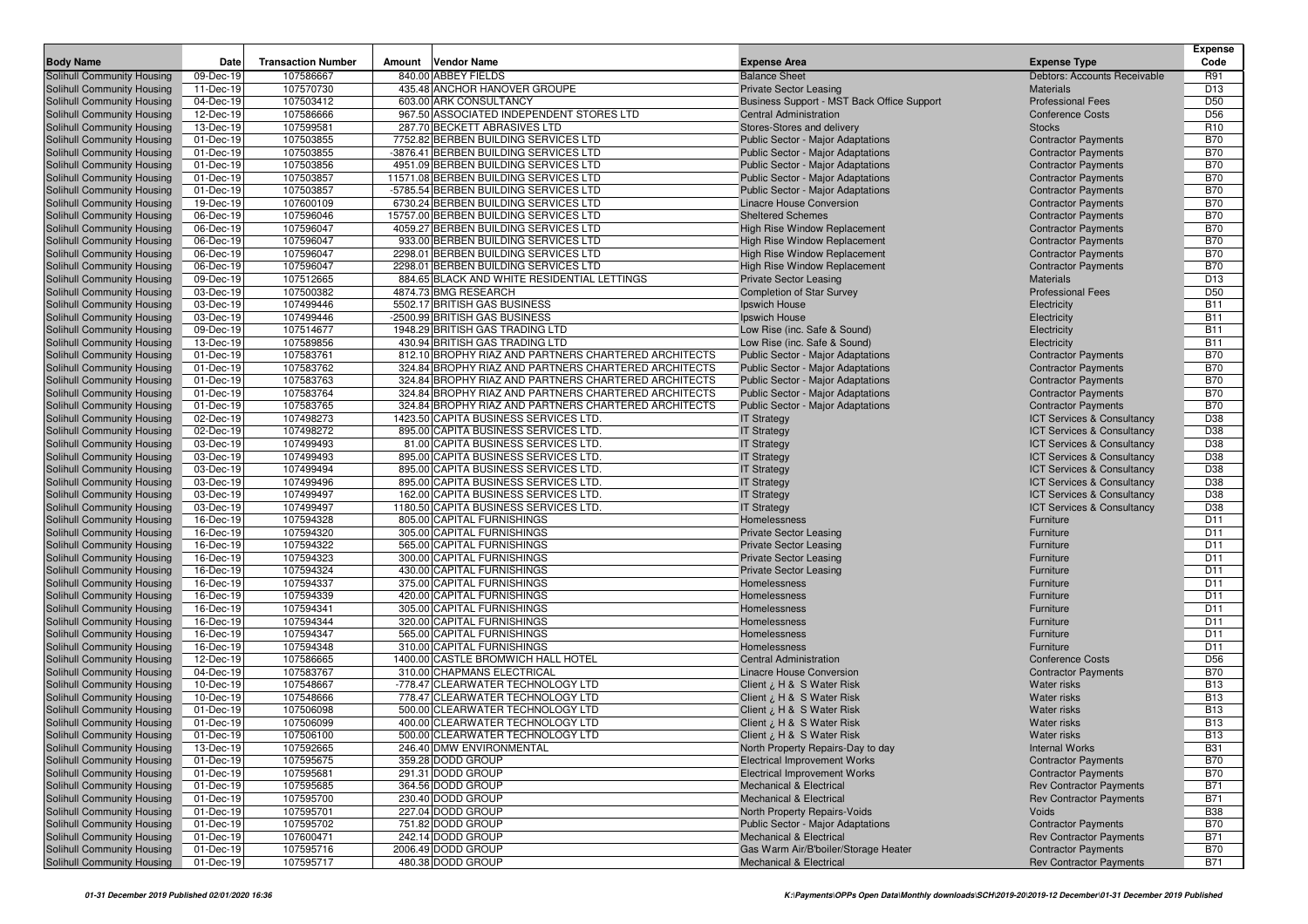|                                                          |                        |                           |                                                                                                              |                                                                                      |                                                          | Expense                  |
|----------------------------------------------------------|------------------------|---------------------------|--------------------------------------------------------------------------------------------------------------|--------------------------------------------------------------------------------------|----------------------------------------------------------|--------------------------|
| <b>Body Name</b>                                         | Date                   | <b>Transaction Number</b> | Amount Vendor Name<br>840.00 ABBEY FIELDS                                                                    | <b>Expense Area</b>                                                                  | <b>Expense Type</b>                                      | Code                     |
| <b>Solihull Community Housing</b>                        | 09-Dec-19              | 107586667<br>107570730    | 435.48 ANCHOR HANOVER GROUPE                                                                                 | <b>Balance Sheet</b>                                                                 | Debtors: Accounts Receivable<br><b>Materials</b>         | R91<br>D <sub>13</sub>   |
| Solihull Community Housing<br>Solihull Community Housing | 11-Dec-19<br>04-Dec-19 | 107503412                 | 603.00 ARK CONSULTANCY                                                                                       | <b>Private Sector Leasing</b><br>Business Support - MST Back Office Support          | <b>Professional Fees</b>                                 | D <sub>50</sub>          |
| Solihull Community Housing                               | 12-Dec-19              | 107586666                 | 967.50 ASSOCIATED INDEPENDENT STORES LTD                                                                     | <b>Central Administration</b>                                                        | <b>Conference Costs</b>                                  | D <sub>56</sub>          |
| Solihull Community Housing                               | 13-Dec-19              | 107599581                 | 287.70 BECKETT ABRASIVES LTD                                                                                 | Stores-Stores and delivery                                                           | <b>Stocks</b>                                            | R <sub>10</sub>          |
| Solihull Community Housing                               | 01-Dec-19              | 107503855                 | 7752.82 BERBEN BUILDING SERVICES LTD                                                                         | Public Sector - Major Adaptations                                                    | <b>Contractor Payments</b>                               | <b>B70</b>               |
| Solihull Community Housing                               | 01-Dec-19              | 107503855                 | -3876.41 BERBEN BUILDING SERVICES LTD                                                                        | <b>Public Sector - Major Adaptations</b>                                             | <b>Contractor Payments</b>                               | <b>B70</b>               |
| Solihull Community Housing                               | 01-Dec-19              | 107503856                 | 4951.09 BERBEN BUILDING SERVICES LTD                                                                         | Public Sector - Major Adaptations                                                    | <b>Contractor Payments</b>                               | <b>B70</b>               |
| Solihull Community Housing                               | 01-Dec-19              | 107503857                 | 11571.08 BERBEN BUILDING SERVICES LTD                                                                        | <b>Public Sector - Major Adaptations</b>                                             | <b>Contractor Payments</b>                               | <b>B70</b>               |
| Solihull Community Housing                               | 01-Dec-19              | 107503857                 | -5785.54 BERBEN BUILDING SERVICES LTD                                                                        | Public Sector - Major Adaptations                                                    | <b>Contractor Payments</b>                               | <b>B70</b>               |
| Solihull Community Housing                               | 19-Dec-19              | 107600109                 | 6730.24 BERBEN BUILDING SERVICES LTD                                                                         | Linacre House Conversion                                                             | <b>Contractor Payments</b>                               | <b>B70</b>               |
| Solihull Community Housing                               | 06-Dec-19              | 107596046                 | 15757.00 BERBEN BUILDING SERVICES LTD                                                                        | <b>Sheltered Schemes</b>                                                             | <b>Contractor Payments</b>                               | <b>B70</b>               |
| Solihull Community Housing                               | 06-Dec-19              | 107596047                 | 4059.27 BERBEN BUILDING SERVICES LTD                                                                         | <b>High Rise Window Replacement</b>                                                  | <b>Contractor Payments</b>                               | <b>B70</b>               |
| Solihull Community Housing                               | 06-Dec-19              | 107596047                 | 933.00 BERBEN BUILDING SERVICES LTD                                                                          | High Rise Window Replacement                                                         | <b>Contractor Payments</b>                               | <b>B70</b>               |
| Solihull Community Housing                               | 06-Dec-19              | 107596047                 | 2298.01 BERBEN BUILDING SERVICES LTD                                                                         | High Rise Window Replacement                                                         | <b>Contractor Payments</b>                               | <b>B70</b>               |
| Solihull Community Housing                               | 06-Dec-19              | 107596047                 | 2298.01 BERBEN BUILDING SERVICES LTD                                                                         | High Rise Window Replacement                                                         | <b>Contractor Payments</b>                               | <b>B70</b>               |
| Solihull Community Housing                               | 09-Dec-19              | 107512665                 | 884.65 BLACK AND WHITE RESIDENTIAL LETTINGS                                                                  | <b>Private Sector Leasing</b>                                                        | <b>Materials</b>                                         | D <sub>13</sub>          |
| Solihull Community Housing                               | 03-Dec-19              | 107500382                 | 4874.73 BMG RESEARCH                                                                                         | <b>Completion of Star Survey</b>                                                     | <b>Professional Fees</b>                                 | D <sub>50</sub>          |
| Solihull Community Housing                               | 03-Dec-19              | 107499446                 | 5502.17 BRITISH GAS BUSINESS                                                                                 | Ipswich House                                                                        | Electricity                                              | <b>B11</b>               |
| Solihull Community Housing                               | 03-Dec-19              | 107499446                 | -2500.99 BRITISH GAS BUSINESS                                                                                | Ipswich House                                                                        | Electricity                                              | <b>B11</b>               |
| Solihull Community Housing                               | 09-Dec-19              | 107514677                 | 1948.29 BRITISH GAS TRADING LTD                                                                              | Low Rise (inc. Safe & Sound)                                                         | Electricity                                              | <b>B11</b>               |
| Solihull Community Housing                               | 13-Dec-19              | 107589856                 | 430.94 BRITISH GAS TRADING LTD                                                                               | Low Rise (inc. Safe & Sound)                                                         | Electricity                                              | <b>B11</b>               |
| Solihull Community Housing                               | 01-Dec-19              | 107583761                 | 812.10 BROPHY RIAZ AND PARTNERS CHARTERED ARCHITECTS                                                         | <b>Public Sector - Major Adaptations</b>                                             | <b>Contractor Payments</b>                               | <b>B70</b>               |
| Solihull Community Housing                               | 01-Dec-19              | 107583762                 | 324.84 BROPHY RIAZ AND PARTNERS CHARTERED ARCHITECTS                                                         | <b>Public Sector - Major Adaptations</b>                                             | <b>Contractor Payments</b>                               | <b>B70</b>               |
| Solihull Community Housing                               | 01-Dec-19              | 107583763                 | 324.84 BROPHY RIAZ AND PARTNERS CHARTERED ARCHITECTS<br>324.84 BROPHY RIAZ AND PARTNERS CHARTERED ARCHITECTS | <b>Public Sector - Major Adaptations</b>                                             | <b>Contractor Payments</b>                               | <b>B70</b><br><b>B70</b> |
| Solihull Community Housing<br>Solihull Community Housing | 01-Dec-19<br>01-Dec-19 | 107583764<br>107583765    | 324.84 BROPHY RIAZ AND PARTNERS CHARTERED ARCHITECTS                                                         | <b>Public Sector - Major Adaptations</b><br><b>Public Sector - Major Adaptations</b> | <b>Contractor Payments</b><br><b>Contractor Payments</b> | <b>B70</b>               |
| Solihull Community Housing                               | 02-Dec-19              | 107498273                 | 1423.50 CAPITA BUSINESS SERVICES LTD                                                                         | <b>IT Strategy</b>                                                                   | ICT Services & Consultancy                               | D38                      |
| Solihull Community Housing                               | 02-Dec-19              | 107498272                 | 895.00 CAPITA BUSINESS SERVICES LTD.                                                                         | <b>IT Strategy</b>                                                                   | <b>ICT Services &amp; Consultancy</b>                    | D38                      |
| Solihull Community Housing                               | 03-Dec-19              | 107499493                 | 81.00 CAPITA BUSINESS SERVICES LTD.                                                                          | <b>IT Strategy</b>                                                                   | ICT Services & Consultancy                               | D38                      |
| Solihull Community Housing                               | 03-Dec-19              | 107499493                 | 895.00 CAPITA BUSINESS SERVICES LTD.                                                                         | <b>IT Strategy</b>                                                                   | ICT Services & Consultancy                               | D38                      |
| Solihull Community Housing                               | 03-Dec-19              | 107499494                 | 895.00 CAPITA BUSINESS SERVICES LTD.                                                                         | <b>IT Strategy</b>                                                                   | <b>ICT Services &amp; Consultancy</b>                    | D38                      |
| Solihull Community Housing                               | 03-Dec-19              | 107499496                 | 895.00 CAPITA BUSINESS SERVICES LTD.                                                                         | <b>IT Strategy</b>                                                                   | <b>ICT Services &amp; Consultancy</b>                    | D38                      |
| Solihull Community Housing                               | 03-Dec-19              | 107499497                 | 162.00 CAPITA BUSINESS SERVICES LTD.                                                                         | <b>IT Strategy</b>                                                                   | <b>ICT Services &amp; Consultancy</b>                    | D38                      |
| Solihull Community Housing                               | 03-Dec-19              | 107499497                 | 1180.50 CAPITA BUSINESS SERVICES LTD.                                                                        | <b>IT Strategy</b>                                                                   | <b>ICT Services &amp; Consultancy</b>                    | D38                      |
| Solihull Community Housing                               | 16-Dec-19              | 107594328                 | 805.00 CAPITAL FURNISHINGS                                                                                   | Homelessness                                                                         | Furniture                                                | D11                      |
| Solihull Community Housing                               | 16-Dec-19              | 107594320                 | 305.00 CAPITAL FURNISHINGS                                                                                   | <b>Private Sector Leasing</b>                                                        | Furniture                                                | D <sub>11</sub>          |
| Solihull Community Housing                               | 16-Dec-19              | 107594322                 | 565.00 CAPITAL FURNISHINGS                                                                                   | <b>Private Sector Leasing</b>                                                        | Furniture                                                | D11                      |
| Solihull Community Housing                               | 16-Dec-19              | 107594323                 | 300.00 CAPITAL FURNISHINGS                                                                                   | <b>Private Sector Leasing</b>                                                        | Furniture                                                | D11                      |
| Solihull Community Housing                               | 16-Dec-19              | 107594324                 | 430.00 CAPITAL FURNISHINGS                                                                                   | <b>Private Sector Leasing</b>                                                        | Furniture                                                | D11                      |
| Solihull Community Housing                               | 16-Dec-19              | 107594337                 | 375.00 CAPITAL FURNISHINGS                                                                                   | Homelessness                                                                         | Furniture                                                | D11                      |
| Solihull Community Housing                               | 16-Dec-19              | 107594339                 | 420.00 CAPITAL FURNISHINGS                                                                                   | Homelessness                                                                         | Furniture                                                | D <sub>11</sub>          |
| Solihull Community Housing                               | 16-Dec-19              | 107594341                 | 305.00 CAPITAL FURNISHINGS                                                                                   | Homelessness                                                                         | Furniture                                                | D11                      |
| Solihull Community Housing                               | 16-Dec-19              | 107594344                 | 320.00 CAPITAL FURNISHINGS                                                                                   | Homelessness                                                                         | Furniture                                                | D11                      |
| Solihull Community Housing                               | 16-Dec-19<br>16-Dec-19 | 107594347<br>107594348    | 565.00 CAPITAL FURNISHINGS<br>310.00 CAPITAL FURNISHINGS                                                     | Homelessness<br>Homelessness                                                         | Furniture<br>Furniture                                   | D <sub>11</sub><br>D11   |
| Solihull Community Housing<br>Solihull Community Housing | 12-Dec-19              | 107586665                 | 1400.00 CASTLE BROMWICH HALL HOTEL                                                                           | <b>Central Administration</b>                                                        | <b>Conference Costs</b>                                  | D <sub>56</sub>          |
| <b>Solihull Community Housing</b>                        | 04-Dec-19              | 107583767                 | 310.00 CHAPMANS ELECTRICAL                                                                                   | <b>Linacre House Conversion</b>                                                      | <b>Contractor Payments</b>                               | <b>B70</b>               |
| Solihull Community Housing                               | 10-Dec-19              | 107548667                 | -778.47 CLEARWATER TECHNOLOGY LTD                                                                            | Client ¿ H & S Water Risk                                                            | <b>Water risks</b>                                       | <b>B13</b>               |
| Solihull Community Housing                               | 10-Dec-19              | 107548666                 | 778.47 CLEARWATER TECHNOLOGY LTD                                                                             | Client ¿ H & S Water Risk                                                            | <b>Water risks</b>                                       | <b>B13</b>               |
| Solihull Community Housing                               | 01-Dec-19              | 107506098                 | 500.00 CLEARWATER TECHNOLOGY LTD                                                                             | Client ¿ H & S Water Risk                                                            | Water risks                                              | <b>B13</b>               |
| Solihull Community Housing                               | 01-Dec-19              | 107506099                 | 400.00 CLEARWATER TECHNOLOGY LTD                                                                             | Client ¿ H & S Water Risk                                                            | <b>Water risks</b>                                       | <b>B13</b>               |
| Solihull Community Housing                               | 01-Dec-19              | 107506100                 | 500.00 CLEARWATER TECHNOLOGY LTD                                                                             | Client ¿ H & S Water Risk                                                            | <b>Water risks</b>                                       | <b>B13</b>               |
| Solihull Community Housing                               | 13-Dec-19              | 107592665                 | 246.40 DMW ENVIRONMENTAL                                                                                     | North Property Repairs-Day to day                                                    | <b>Internal Works</b>                                    | <b>B31</b>               |
| Solihull Community Housing                               | 01-Dec-19              | 107595675                 | 359.28 DODD GROUP                                                                                            | <b>Electrical Improvement Works</b>                                                  | <b>Contractor Payments</b>                               | <b>B70</b>               |
| Solihull Community Housing                               | 01-Dec-19              | 107595681                 | 291.31 DODD GROUP                                                                                            | <b>Electrical Improvement Works</b>                                                  | <b>Contractor Payments</b>                               | <b>B70</b>               |
| Solihull Community Housing                               | 01-Dec-19              | 107595685                 | 364.56 DODD GROUP                                                                                            | <b>Mechanical &amp; Electrical</b>                                                   | <b>Rev Contractor Payments</b>                           | <b>B71</b>               |
| Solihull Community Housing                               | 01-Dec-19              | 107595700                 | 230.40 DODD GROUP                                                                                            | <b>Mechanical &amp; Electrical</b>                                                   | <b>Rev Contractor Payments</b>                           | <b>B71</b>               |
| Solihull Community Housing                               | 01-Dec-19              | 107595701                 | 227.04 DODD GROUP                                                                                            | North Property Repairs-Voids                                                         | Voids                                                    | <b>B38</b>               |
| Solihull Community Housing                               | 01-Dec-19              | 107595702                 | 751.82 DODD GROUP                                                                                            | <b>Public Sector - Major Adaptations</b>                                             | <b>Contractor Payments</b>                               | <b>B70</b>               |
| Solihull Community Housing                               | 01-Dec-19              | 107600471                 | 242.14 DODD GROUP                                                                                            | <b>Mechanical &amp; Electrical</b>                                                   | <b>Rev Contractor Payments</b>                           | <b>B71</b>               |
| Solihull Community Housing                               | 01-Dec-19              | 107595716                 | 2006.49 DODD GROUP                                                                                           | Gas Warm Air/B'boiler/Storage Heater                                                 | <b>Contractor Payments</b>                               | <b>B70</b>               |
| Solihull Community Housing                               | 01-Dec-19              | 107595717                 | 480.38 DODD GROUP                                                                                            | Mechanical & Electrical                                                              | <b>Rev Contractor Payments</b>                           | <b>B71</b>               |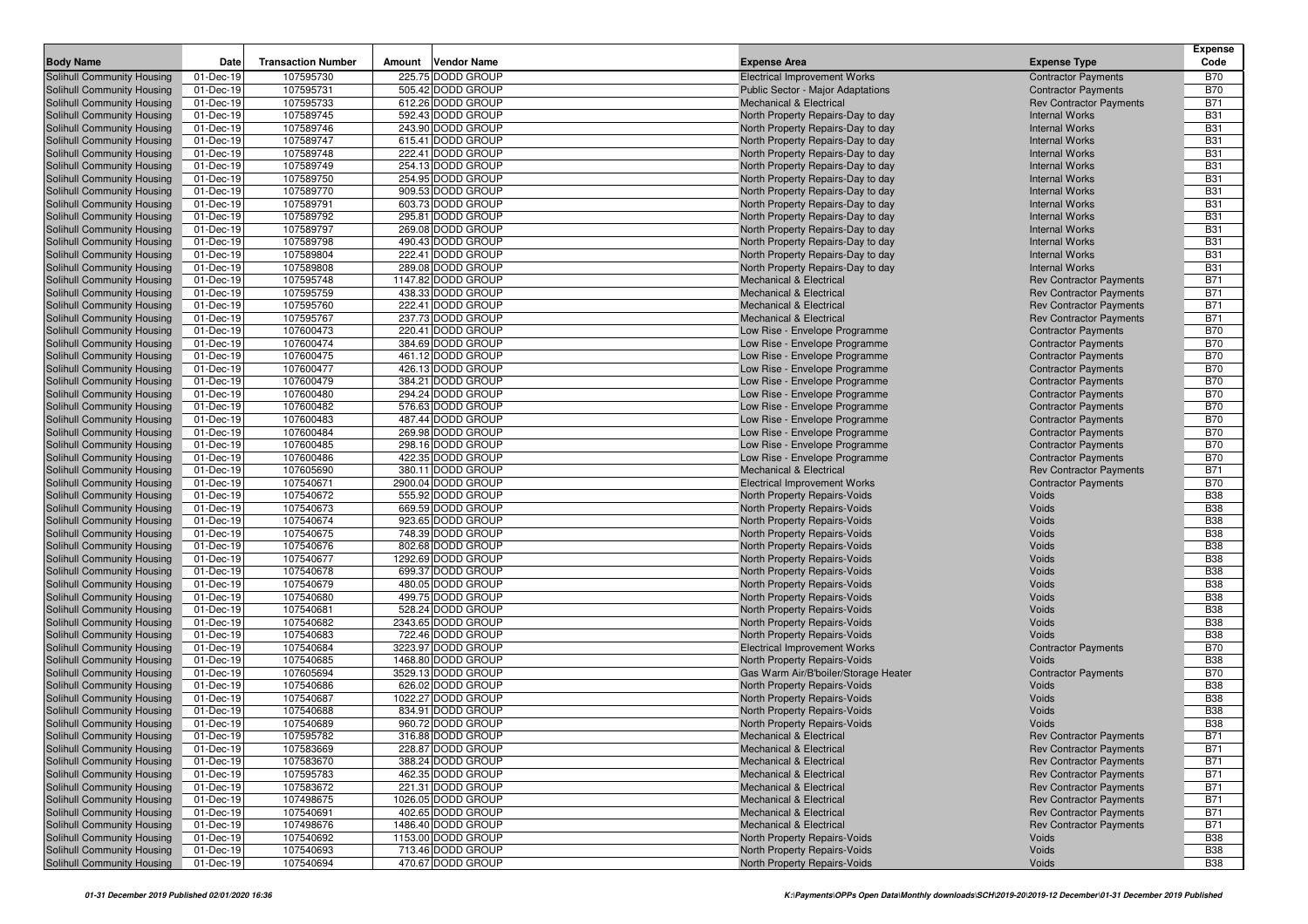|                                                          |                        |                           |                                        |                                                                        |                                                | <b>Expense</b>           |
|----------------------------------------------------------|------------------------|---------------------------|----------------------------------------|------------------------------------------------------------------------|------------------------------------------------|--------------------------|
| <b>Body Name</b>                                         | Date                   | <b>Transaction Number</b> | <b>Vendor Name</b><br>Amount           | <b>Expense Area</b>                                                    | <b>Expense Type</b>                            | Code                     |
| Solihull Community Housing                               | 01-Dec-19              | 107595730                 | 225.75 DODD GROUP                      | <b>Electrical Improvement Works</b>                                    | <b>Contractor Payments</b>                     | <b>B70</b>               |
| Solihull Community Housing                               | 01-Dec-19              | 107595731                 | 505.42 DODD GROUP                      | Public Sector - Major Adaptations                                      | <b>Contractor Payments</b>                     | <b>B70</b>               |
| Solihull Community Housing                               | 01-Dec-19              | 107595733                 | 612.26 DODD GROUP                      | <b>Mechanical &amp; Electrical</b>                                     | <b>Rev Contractor Payments</b>                 | <b>B71</b>               |
| Solihull Community Housing                               | 01-Dec-19              | 107589745                 | 592.43 DODD GROUP                      | North Property Repairs-Day to day                                      | <b>Internal Works</b>                          | <b>B31</b>               |
| Solihull Community Housing                               | 01-Dec-19              | 107589746                 | 243.90 DODD GROUP                      | North Property Repairs-Day to day                                      | <b>Internal Works</b>                          | <b>B31</b>               |
| Solihull Community Housing                               | 01-Dec-19              | 107589747                 | 615.41 DODD GROUP                      | North Property Repairs-Day to day                                      | <b>Internal Works</b>                          | <b>B31</b>               |
| Solihull Community Housing                               | 01-Dec-19              | 107589748                 | 222.41 DODD GROUP                      | North Property Repairs-Day to day                                      | <b>Internal Works</b>                          | <b>B31</b>               |
| Solihull Community Housing                               | 01-Dec-19              | 107589749                 | 254.13 DODD GROUP                      | North Property Repairs-Day to day                                      | <b>Internal Works</b>                          | <b>B31</b><br><b>B31</b> |
| Solihull Community Housing                               | 01-Dec-19<br>01-Dec-19 | 107589750<br>107589770    | 254.95 DODD GROUP<br>909.53 DODD GROUP | North Property Repairs-Day to day                                      | <b>Internal Works</b><br><b>Internal Works</b> | <b>B31</b>               |
| Solihull Community Housing<br>Solihull Community Housing |                        |                           |                                        | North Property Repairs-Day to day                                      |                                                |                          |
| Solihull Community Housing                               | 01-Dec-19<br>01-Dec-19 | 107589791<br>107589792    | 603.73 DODD GROUP<br>295.81 DODD GROUP | North Property Repairs-Day to day<br>North Property Repairs-Day to day | <b>Internal Works</b><br><b>Internal Works</b> | <b>B31</b><br><b>B31</b> |
| Solihull Community Housing                               | 01-Dec-19              | 107589797                 | 269.08 DODD GROUP                      | North Property Repairs-Day to day                                      | <b>Internal Works</b>                          | <b>B31</b>               |
| Solihull Community Housing                               | 01-Dec-19              | 107589798                 | 490.43 DODD GROUP                      | North Property Repairs-Day to day                                      | <b>Internal Works</b>                          | <b>B31</b>               |
| Solihull Community Housing                               | 01-Dec-19              | 107589804                 | 222.41 DODD GROUP                      | North Property Repairs-Day to day                                      | <b>Internal Works</b>                          | <b>B31</b>               |
| Solihull Community Housing                               | 01-Dec-19              | 107589808                 | 289.08 DODD GROUP                      | North Property Repairs-Day to day                                      | <b>Internal Works</b>                          | <b>B31</b>               |
| Solihull Community Housing                               | 01-Dec-19              | 107595748                 | 1147.82 DODD GROUP                     | <b>Mechanical &amp; Electrical</b>                                     | <b>Rev Contractor Payments</b>                 | <b>B71</b>               |
| Solihull Community Housing                               | 01-Dec-19              | 107595759                 | 438.33 DODD GROUP                      | Mechanical & Electrical                                                | <b>Rev Contractor Payments</b>                 | <b>B71</b>               |
| Solihull Community Housing                               | 01-Dec-19              | 107595760                 | 222.41 DODD GROUP                      | <b>Mechanical &amp; Electrical</b>                                     | <b>Rev Contractor Payments</b>                 | <b>B71</b>               |
| Solihull Community Housing                               | 01-Dec-19              | 107595767                 | 237.73 DODD GROUP                      | <b>Mechanical &amp; Electrical</b>                                     | <b>Rev Contractor Payments</b>                 | <b>B71</b>               |
| Solihull Community Housing                               | 01-Dec-19              | 107600473                 | 220.41 DODD GROUP                      | Low Rise - Envelope Programme                                          | <b>Contractor Payments</b>                     | <b>B70</b>               |
| Solihull Community Housing                               | 01-Dec-19              | 107600474                 | 384.69 DODD GROUP                      | Low Rise - Envelope Programme                                          | <b>Contractor Payments</b>                     | <b>B70</b>               |
| Solihull Community Housing                               | 01-Dec-19              | 107600475                 | 461.12 DODD GROUP                      | Low Rise - Envelope Programme                                          | <b>Contractor Payments</b>                     | <b>B70</b>               |
| Solihull Community Housing                               | 01-Dec-19              | 107600477                 | 426.13 DODD GROUP                      | Low Rise - Envelope Programme                                          | <b>Contractor Payments</b>                     | <b>B70</b>               |
| <b>Solihull Community Housing</b>                        | 01-Dec-19              | 107600479                 | 384.21 DODD GROUP                      | Low Rise - Envelope Programme                                          | <b>Contractor Payments</b>                     | <b>B70</b>               |
| Solihull Community Housing                               | 01-Dec-19              | 107600480                 | 294.24 DODD GROUP                      | Low Rise - Envelope Programme                                          | <b>Contractor Payments</b>                     | <b>B70</b>               |
| Solihull Community Housing                               | 01-Dec-19              | 107600482                 | 576.63 DODD GROUP                      | Low Rise - Envelope Programme                                          | <b>Contractor Payments</b>                     | <b>B70</b>               |
| Solihull Community Housing                               | 01-Dec-19              | 107600483                 | 487.44 DODD GROUP                      | Low Rise - Envelope Programme                                          | <b>Contractor Payments</b>                     | <b>B70</b>               |
| Solihull Community Housing                               | 01-Dec-19              | 107600484                 | 269.98 DODD GROUP                      | Low Rise - Envelope Programme                                          | <b>Contractor Payments</b>                     | <b>B70</b>               |
| Solihull Community Housing                               | 01-Dec-19              | 107600485                 | 298.16 DODD GROUP                      | Low Rise - Envelope Programme                                          | <b>Contractor Payments</b>                     | <b>B70</b>               |
| Solihull Community Housing                               | 01-Dec-19              | 107600486                 | 422.35 DODD GROUP                      | Low Rise - Envelope Programme                                          | <b>Contractor Payments</b>                     | <b>B70</b>               |
| Solihull Community Housing                               | 01-Dec-19              | 107605690                 | 380.11 DODD GROUP                      | <b>Mechanical &amp; Electrical</b>                                     | <b>Rev Contractor Payments</b>                 | <b>B71</b>               |
| Solihull Community Housing                               | 01-Dec-19              | 107540671                 | 2900.04 DODD GROUP                     | <b>Electrical Improvement Works</b>                                    | <b>Contractor Payments</b>                     | <b>B70</b>               |
| Solihull Community Housing                               | 01-Dec-19              | 107540672                 | 555.92 DODD GROUP                      | North Property Repairs-Voids                                           | Voids                                          | <b>B38</b>               |
| Solihull Community Housing                               | 01-Dec-19              | 107540673                 | 669.59 DODD GROUP                      | North Property Repairs-Voids                                           | Voids                                          | <b>B38</b>               |
| Solihull Community Housing                               | 01-Dec-19              | 107540674                 | 923.65 DODD GROUP                      | North Property Repairs-Voids                                           | Voids                                          | <b>B38</b>               |
| Solihull Community Housing                               | 01-Dec-19              | 107540675                 | 748.39 DODD GROUP                      | North Property Repairs-Voids                                           | Voids                                          | <b>B38</b>               |
| Solihull Community Housing                               | 01-Dec-19              | 107540676                 | 802.68 DODD GROUP                      | North Property Repairs-Voids                                           | Voids                                          | <b>B38</b>               |
| Solihull Community Housing                               | 01-Dec-19              | 107540677                 | 1292.69 DODD GROUP                     | North Property Repairs-Voids                                           | Voids                                          | <b>B38</b>               |
| Solihull Community Housing                               | 01-Dec-19              | 107540678                 | 699.37 DODD GROUP                      | North Property Repairs-Voids                                           | Voids                                          | <b>B38</b>               |
| Solihull Community Housing                               | 01-Dec-19              | 107540679                 | 480.05 DODD GROUP                      | North Property Repairs-Voids                                           | Voids                                          | <b>B38</b>               |
| Solihull Community Housing                               | 01-Dec-19              | 107540680                 | 499.75 DODD GROUP                      | North Property Repairs-Voids                                           | Voids                                          | <b>B38</b>               |
| Solihull Community Housing                               | 01-Dec-19              | 107540681                 | 528.24 DODD GROUP                      | North Property Repairs-Voids                                           | Voids                                          | <b>B38</b>               |
| Solihull Community Housing                               | 01-Dec-19              | 107540682                 | 2343.65 DODD GROUP                     | North Property Repairs-Voids                                           | Voids                                          | <b>B38</b>               |
| Solihull Community Housing                               | 01-Dec-19              | 107540683                 | 722.46 DODD GROUP                      | North Property Repairs-Voids                                           | Voids                                          | <b>B38</b>               |
| Solihull Community Housing                               | 01-Dec-19              | 107540684                 | 3223.97 DODD GROUP                     | <b>Electrical Improvement Works</b>                                    | <b>Contractor Payments</b>                     | <b>B70</b>               |
| Solihull Community Housing                               | 01-Dec-19              | 107540685                 | 1468.80 DODD GROUP                     | North Property Repairs-Voids                                           | Voids                                          | <b>B38</b>               |
| Solihull Community Housing                               | 01-Dec-19              | 107605694                 | 3529.13 DODD GROUP                     | Gas Warm Air/B'boiler/Storage Heater                                   | <b>Contractor Payments</b>                     | <b>B70</b>               |
| Solihull Community Housing                               | 01-Dec-19              | 107540686                 | 626.02 DODD GROUP                      | <b>North Property Repairs-Voids</b>                                    | Voids                                          | <b>B38</b>               |
| Solihull Community Housing                               | 01-Dec-19              | 107540687                 | 1022.27 DODD GROUP                     | North Property Repairs-Voids                                           | Voids                                          | <b>B38</b>               |
| Solihull Community Housing                               | 01-Dec-19              | 107540688                 | 834.91 DODD GROUP                      | North Property Repairs-Voids                                           | Voids                                          | <b>B38</b>               |
| Solihull Community Housing                               | 01-Dec-19              | 107540689                 | 960.72 DODD GROUP                      | North Property Repairs-Voids                                           | Voids                                          | <b>B38</b>               |
| Solihull Community Housing                               | 01-Dec-19              | 107595782                 | 316.88 DODD GROUP                      | Mechanical & Electrical                                                | <b>Rev Contractor Payments</b>                 | <b>B71</b>               |
| Solihull Community Housing                               | 01-Dec-19              | 107583669                 | 228.87 DODD GROUP                      | <b>Mechanical &amp; Electrical</b>                                     | <b>Rev Contractor Payments</b>                 | <b>B71</b>               |
| Solihull Community Housing                               | 01-Dec-19              | 107583670                 | 388.24 DODD GROUP                      | <b>Mechanical &amp; Electrical</b>                                     | <b>Rev Contractor Payments</b>                 | <b>B71</b>               |
| Solihull Community Housing                               | 01-Dec-19              | 107595783                 | 462.35 DODD GROUP                      | Mechanical & Electrical                                                | <b>Rev Contractor Payments</b>                 | <b>B71</b>               |
| Solihull Community Housing                               | 01-Dec-19              | 107583672                 | 221.31 DODD GROUP                      | <b>Mechanical &amp; Electrical</b>                                     | <b>Rev Contractor Payments</b>                 | <b>B71</b>               |
| Solihull Community Housing                               | 01-Dec-19              | 107498675                 | 1026.05 DODD GROUP                     | <b>Mechanical &amp; Electrical</b>                                     | <b>Rev Contractor Payments</b>                 | <b>B71</b>               |
| Solihull Community Housing                               | 01-Dec-19              | 107540691                 | 402.65 DODD GROUP                      | <b>Mechanical &amp; Electrical</b>                                     | <b>Rev Contractor Payments</b>                 | <b>B71</b>               |
| Solihull Community Housing                               | 01-Dec-19              | 107498676                 | 1486.40 DODD GROUP                     | Mechanical & Electrical                                                | <b>Rev Contractor Payments</b>                 | <b>B71</b>               |
| Solihull Community Housing                               | 01-Dec-19              | 107540692                 | 1153.00 DODD GROUP                     | North Property Repairs-Voids                                           | Voids                                          | <b>B38</b>               |
| Solihull Community Housing                               | 01-Dec-19              | 107540693                 | 713.46 DODD GROUP                      | North Property Repairs-Voids                                           | Voids                                          | <b>B38</b>               |
| Solihull Community Housing                               | 01-Dec-19              | 107540694                 | 470.67 DODD GROUP                      | North Property Repairs-Voids                                           | Voids                                          | <b>B38</b>               |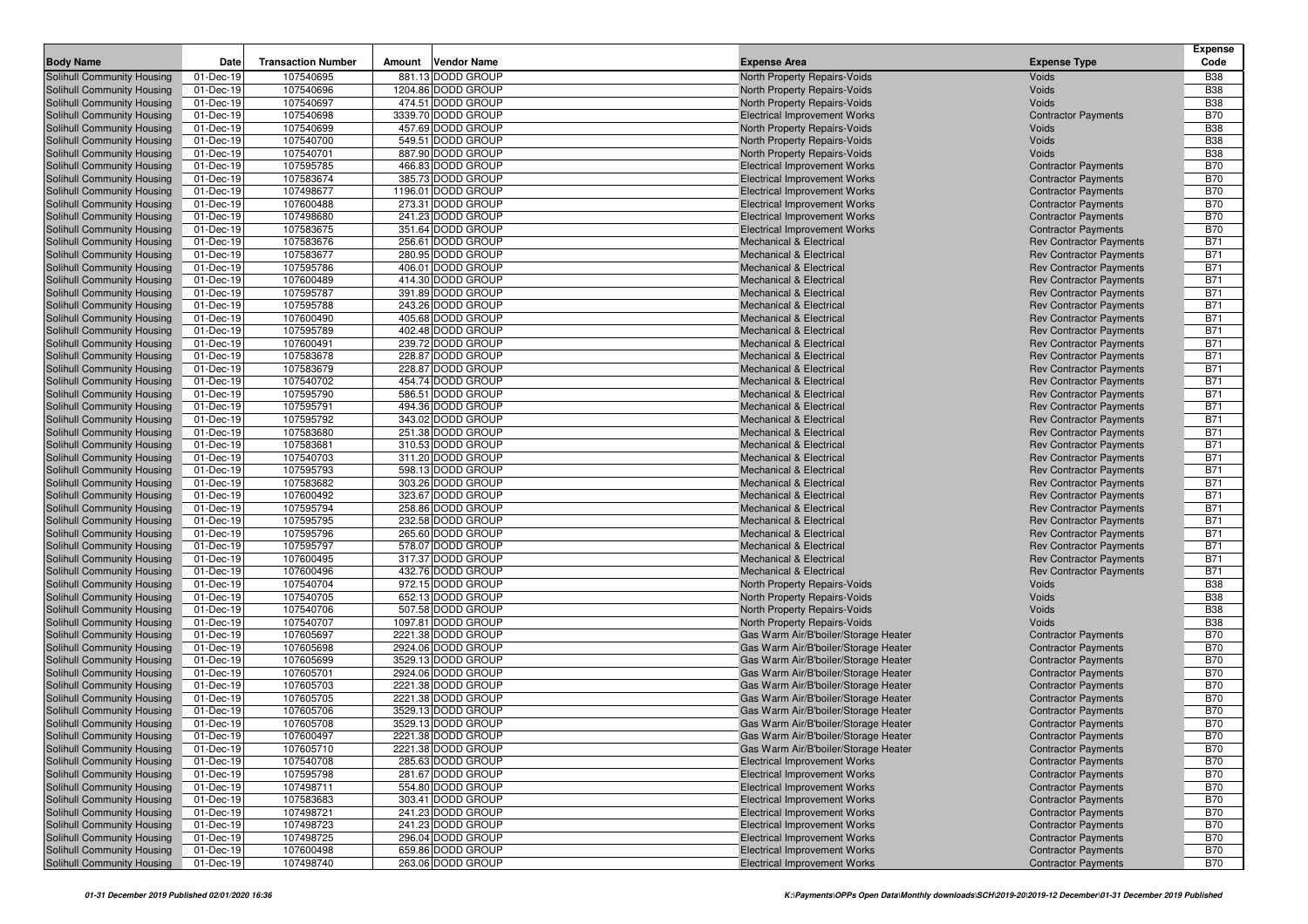|                                                          |                        |                           |        |                                        |                                                                            |                                                                  | <b>Expense</b>           |
|----------------------------------------------------------|------------------------|---------------------------|--------|----------------------------------------|----------------------------------------------------------------------------|------------------------------------------------------------------|--------------------------|
| <b>Body Name</b>                                         | Date                   | <b>Transaction Number</b> | Amount | <b>Vendor Name</b>                     | <b>Expense Area</b>                                                        | <b>Expense Type</b>                                              | Code                     |
| Solihull Community Housing                               | 01-Dec-19              | 107540695                 |        | 881.13 DODD GROUP                      | North Property Repairs-Voids                                               | Voids                                                            | <b>B38</b>               |
| Solihull Community Housing                               | 01-Dec-19              | 107540696                 |        | 1204.86 DODD GROUP                     | North Property Repairs-Voids                                               | Voids                                                            | <b>B38</b>               |
| Solihull Community Housing                               | 01-Dec-19              | 107540697                 |        | 474.51 DODD GROUP                      | North Property Repairs-Voids                                               | Voids                                                            | <b>B38</b>               |
| Solihull Community Housing                               | 01-Dec-19              | 107540698                 |        | 3339.70 DODD GROUP                     | <b>Electrical Improvement Works</b>                                        | <b>Contractor Payments</b>                                       | <b>B70</b>               |
| Solihull Community Housing                               | 01-Dec-19              | 107540699                 |        | 457.69 DODD GROUP                      | North Property Repairs-Voids                                               | Voids                                                            | <b>B38</b>               |
| Solihull Community Housing                               | 01-Dec-19              | 107540700                 |        | 549.51 DODD GROUP                      | North Property Repairs-Voids                                               | Voids                                                            | <b>B38</b>               |
| Solihull Community Housing                               | 01-Dec-19              | 107540701                 |        | 887.90 DODD GROUP                      | North Property Repairs-Voids                                               | Voids                                                            | <b>B38</b>               |
| Solihull Community Housing                               | 01-Dec-19              | 107595785<br>107583674    |        | 466.83 DODD GROUP<br>385.73 DODD GROUP | <b>Electrical Improvement Works</b>                                        | <b>Contractor Payments</b>                                       | <b>B70</b><br><b>B70</b> |
| Solihull Community Housing<br>Solihull Community Housing | 01-Dec-19<br>01-Dec-19 | 107498677                 |        | 1196.01 DODD GROUP                     | <b>Electrical Improvement Works</b><br><b>Electrical Improvement Works</b> | <b>Contractor Payments</b><br><b>Contractor Payments</b>         | <b>B70</b>               |
| Solihull Community Housing                               | 01-Dec-19              | 107600488                 |        | 273.31 DODD GROUP                      | <b>Electrical Improvement Works</b>                                        | <b>Contractor Payments</b>                                       | <b>B70</b>               |
| Solihull Community Housing                               | 01-Dec-19              | 107498680                 |        | 241.23 DODD GROUP                      | <b>Electrical Improvement Works</b>                                        | <b>Contractor Payments</b>                                       | <b>B70</b>               |
| Solihull Community Housing                               | 01-Dec-19              | 107583675                 |        | 351.64 DODD GROUP                      | <b>Electrical Improvement Works</b>                                        | <b>Contractor Payments</b>                                       | <b>B70</b>               |
| Solihull Community Housing                               | 01-Dec-19              | 107583676                 |        | 256.61 DODD GROUP                      | <b>Mechanical &amp; Electrical</b>                                         | <b>Rev Contractor Payments</b>                                   | <b>B71</b>               |
| Solihull Community Housing                               | 01-Dec-19              | 107583677                 |        | 280.95 DODD GROUP                      | <b>Mechanical &amp; Electrical</b>                                         | <b>Rev Contractor Payments</b>                                   | <b>B71</b>               |
| Solihull Community Housing                               | 01-Dec-19              | 107595786                 |        | 406.01 DODD GROUP                      | <b>Mechanical &amp; Electrical</b>                                         | <b>Rev Contractor Payments</b>                                   | <b>B71</b>               |
| Solihull Community Housing                               | 01-Dec-19              | 107600489                 |        | 414.30 DODD GROUP                      | Mechanical & Electrical                                                    | <b>Rev Contractor Payments</b>                                   | <b>B71</b>               |
| Solihull Community Housing                               | 01-Dec-19              | 107595787                 |        | 391.89 DODD GROUP                      | <b>Mechanical &amp; Electrical</b>                                         | <b>Rev Contractor Payments</b>                                   | <b>B71</b>               |
| Solihull Community Housing                               | 01-Dec-19              | 107595788                 |        | 243.26 DODD GROUP                      | <b>Mechanical &amp; Electrical</b>                                         | <b>Rev Contractor Payments</b>                                   | B71                      |
| Solihull Community Housing                               | 01-Dec-19              | 107600490                 |        | 405.68 DODD GROUP                      | <b>Mechanical &amp; Electrical</b>                                         | <b>Rev Contractor Payments</b>                                   | <b>B71</b>               |
| Solihull Community Housing                               | 01-Dec-19              | 107595789                 |        | 402.48 DODD GROUP                      | <b>Mechanical &amp; Electrical</b>                                         | <b>Rev Contractor Payments</b>                                   | <b>B71</b>               |
| Solihull Community Housing                               | 01-Dec-19              | 107600491                 |        | 239.72 DODD GROUP                      | <b>Mechanical &amp; Electrical</b>                                         | <b>Rev Contractor Payments</b>                                   | <b>B71</b>               |
| Solihull Community Housing                               | 01-Dec-19              | 107583678                 |        | 228.87 DODD GROUP                      | <b>Mechanical &amp; Electrical</b>                                         | <b>Rev Contractor Payments</b>                                   | B71                      |
| Solihull Community Housing                               | 01-Dec-19              | 107583679                 |        | 228.87 DODD GROUP                      | <b>Mechanical &amp; Electrical</b>                                         | <b>Rev Contractor Payments</b>                                   | <b>B71</b>               |
| <b>Solihull Community Housing</b>                        | 01-Dec-19              | 107540702                 |        | 454.74 DODD GROUP                      | <b>Mechanical &amp; Electrical</b>                                         | <b>Rev Contractor Payments</b>                                   | <b>B71</b>               |
| Solihull Community Housing                               | 01-Dec-19              | 107595790                 |        | 586.51 DODD GROUP                      | <b>Mechanical &amp; Electrical</b>                                         | <b>Rev Contractor Payments</b>                                   | B71                      |
| Solihull Community Housing                               | 01-Dec-19              | 107595791                 |        | 494.36 DODD GROUP                      | <b>Mechanical &amp; Electrical</b>                                         | <b>Rev Contractor Payments</b>                                   | <b>B71</b>               |
| Solihull Community Housing                               | 01-Dec-19              | 107595792                 |        | 343.02 DODD GROUP                      | <b>Mechanical &amp; Electrical</b>                                         | <b>Rev Contractor Payments</b>                                   | <b>B71</b>               |
| Solihull Community Housing                               | 01-Dec-19              | 107583680                 |        | 251.38 DODD GROUP                      | <b>Mechanical &amp; Electrical</b>                                         | <b>Rev Contractor Payments</b>                                   | <b>B71</b>               |
| Solihull Community Housing                               | 01-Dec-19              | 107583681                 |        | 310.53 DODD GROUP                      | <b>Mechanical &amp; Electrical</b>                                         | <b>Rev Contractor Payments</b>                                   | <b>B71</b>               |
| Solihull Community Housing                               | 01-Dec-19              | 107540703                 |        | 311.20 DODD GROUP                      | <b>Mechanical &amp; Electrical</b>                                         | <b>Rev Contractor Payments</b>                                   | <b>B71</b>               |
| Solihull Community Housing                               | 01-Dec-19              | 107595793                 |        | 598.13 DODD GROUP                      | <b>Mechanical &amp; Electrical</b>                                         | <b>Rev Contractor Payments</b>                                   | <b>B71</b>               |
| Solihull Community Housing                               | 01-Dec-19              | 107583682<br>107600492    |        | 303.26 DODD GROUP<br>323.67 DODD GROUP | <b>Mechanical &amp; Electrical</b>                                         | <b>Rev Contractor Payments</b>                                   | <b>B71</b><br><b>B71</b> |
| Solihull Community Housing<br>Solihull Community Housing | 01-Dec-19<br>01-Dec-19 | 107595794                 |        | 258.86 DODD GROUP                      | <b>Mechanical &amp; Electrical</b><br><b>Mechanical &amp; Electrical</b>   | <b>Rev Contractor Payments</b><br><b>Rev Contractor Payments</b> | <b>B71</b>               |
| Solihull Community Housing                               | 01-Dec-19              | 107595795                 |        | 232.58 DODD GROUP                      | <b>Mechanical &amp; Electrical</b>                                         | <b>Rev Contractor Payments</b>                                   | <b>B71</b>               |
| Solihull Community Housing                               | 01-Dec-19              | 107595796                 |        | 265.60 DODD GROUP                      | <b>Mechanical &amp; Electrical</b>                                         | <b>Rev Contractor Payments</b>                                   | B71                      |
| Solihull Community Housing                               | 01-Dec-19              | 107595797                 |        | 578.07 DODD GROUP                      | <b>Mechanical &amp; Electrical</b>                                         | <b>Rev Contractor Payments</b>                                   | <b>B71</b>               |
| Solihull Community Housing                               | 01-Dec-19              | 107600495                 |        | 317.37 DODD GROUP                      | <b>Mechanical &amp; Electrical</b>                                         | <b>Rev Contractor Payments</b>                                   | <b>B71</b>               |
| Solihull Community Housing                               | 01-Dec-19              | 107600496                 |        | 432.76 DODD GROUP                      | <b>Mechanical &amp; Electrical</b>                                         | <b>Rev Contractor Payments</b>                                   | <b>B71</b>               |
| Solihull Community Housing                               | 01-Dec-19              | 107540704                 |        | 972.15 DODD GROUP                      | North Property Repairs-Voids                                               | Voids                                                            | <b>B38</b>               |
| Solihull Community Housing                               | 01-Dec-19              | 107540705                 |        | 652.13 DODD GROUP                      | North Property Repairs-Voids                                               | Voids                                                            | <b>B38</b>               |
| Solihull Community Housing                               | 01-Dec-19              | 107540706                 |        | 507.58 DODD GROUP                      | North Property Repairs-Voids                                               | Voids                                                            | <b>B38</b>               |
| Solihull Community Housing                               | 01-Dec-19              | 107540707                 |        | 1097.81 DODD GROUP                     | North Property Repairs-Voids                                               | Voids                                                            | <b>B38</b>               |
| Solihull Community Housing                               | 01-Dec-19              | 107605697                 |        | 2221.38 DODD GROUP                     | Gas Warm Air/B'boiler/Storage Heater                                       | <b>Contractor Payments</b>                                       | <b>B70</b>               |
| Solihull Community Housing                               | 01-Dec-19              | 107605698                 |        | 2924.06 DODD GROUP                     | Gas Warm Air/B'boiler/Storage Heater                                       | <b>Contractor Payments</b>                                       | <b>B70</b>               |
| Solihull Community Housing                               | 01-Dec-19              | 107605699                 |        | 3529.13 DODD GROUP                     | Gas Warm Air/B'boiler/Storage Heater                                       | <b>Contractor Payments</b>                                       | <b>B70</b>               |
| Solihull Community Housing                               | 01-Dec-19              | 107605701                 |        | 2924.06 DODD GROUP                     | Gas Warm Air/B'boiler/Storage Heater                                       | <b>Contractor Payments</b>                                       | <b>B70</b>               |
| Solihull Community Housing                               | 01-Dec-19              | 107605703                 |        | 2221.38 DODD GROUP                     | Gas Warm Air/B'boiler/Storage Heater                                       | <b>Contractor Payments</b>                                       | <b>B70</b>               |
| Solihull Community Housing                               | 01-Dec-19              | 107605705                 |        | 2221.38 DODD GROUP                     | Gas Warm Air/B'boiler/Storage Heater                                       | <b>Contractor Payments</b>                                       | <b>B70</b>               |
| Solihull Community Housing                               | 01-Dec-19              | 107605706                 |        | 3529.13 DODD GROUP                     | Gas Warm Air/B'boiler/Storage Heater                                       | <b>Contractor Payments</b>                                       | <b>B70</b>               |
| Solihull Community Housing                               | 01-Dec-19              | 107605708                 |        | 3529.13 DODD GROUP                     | Gas Warm Air/B'boiler/Storage Heater                                       | <b>Contractor Payments</b>                                       | <b>B70</b>               |
| Solihull Community Housing                               | 01-Dec-19              | 107600497                 |        | 2221.38 DODD GROUP                     | Gas Warm Air/B'boiler/Storage Heater                                       | <b>Contractor Payments</b>                                       | <b>B70</b>               |
| Solihull Community Housing                               | 01-Dec-19              | 107605710                 |        | 2221.38 DODD GROUP                     | Gas Warm Air/B'boiler/Storage Heater                                       | <b>Contractor Payments</b>                                       | <b>B70</b>               |
| Solihull Community Housing                               | 01-Dec-19              | 107540708                 |        | 285.63 DODD GROUP                      | <b>Electrical Improvement Works</b>                                        | <b>Contractor Payments</b>                                       | <b>B70</b>               |
| Solihull Community Housing                               | 01-Dec-19              | 107595798                 |        | 281.67 DODD GROUP                      | <b>Electrical Improvement Works</b>                                        | <b>Contractor Payments</b>                                       | <b>B70</b>               |
| Solihull Community Housing                               | 01-Dec-19<br>01-Dec-19 | 107498711                 |        | 554.80 DODD GROUP<br>303.41 DODD GROUP | <b>Electrical Improvement Works</b>                                        | <b>Contractor Payments</b><br><b>Contractor Payments</b>         | <b>B70</b>               |
| Solihull Community Housing<br>Solihull Community Housing | 01-Dec-19              | 107583683<br>107498721    |        | 241.23 DODD GROUP                      | <b>Electrical Improvement Works</b><br><b>Electrical Improvement Works</b> | <b>Contractor Payments</b>                                       | <b>B70</b><br><b>B70</b> |
| Solihull Community Housing                               | 01-Dec-19              | 107498723                 |        | 241.23 DODD GROUP                      | <b>Electrical Improvement Works</b>                                        | <b>Contractor Payments</b>                                       | <b>B70</b>               |
| Solihull Community Housing                               | 01-Dec-19              | 107498725                 |        | 296.04 DODD GROUP                      | <b>Electrical Improvement Works</b>                                        | <b>Contractor Payments</b>                                       | <b>B70</b>               |
| Solihull Community Housing                               | 01-Dec-19              | 107600498                 |        | 659.86 DODD GROUP                      | <b>Electrical Improvement Works</b>                                        | <b>Contractor Payments</b>                                       | <b>B70</b>               |
| Solihull Community Housing                               | 01-Dec-19              | 107498740                 |        | 263.06 DODD GROUP                      | <b>Electrical Improvement Works</b>                                        | <b>Contractor Payments</b>                                       | <b>B70</b>               |
|                                                          |                        |                           |        |                                        |                                                                            |                                                                  |                          |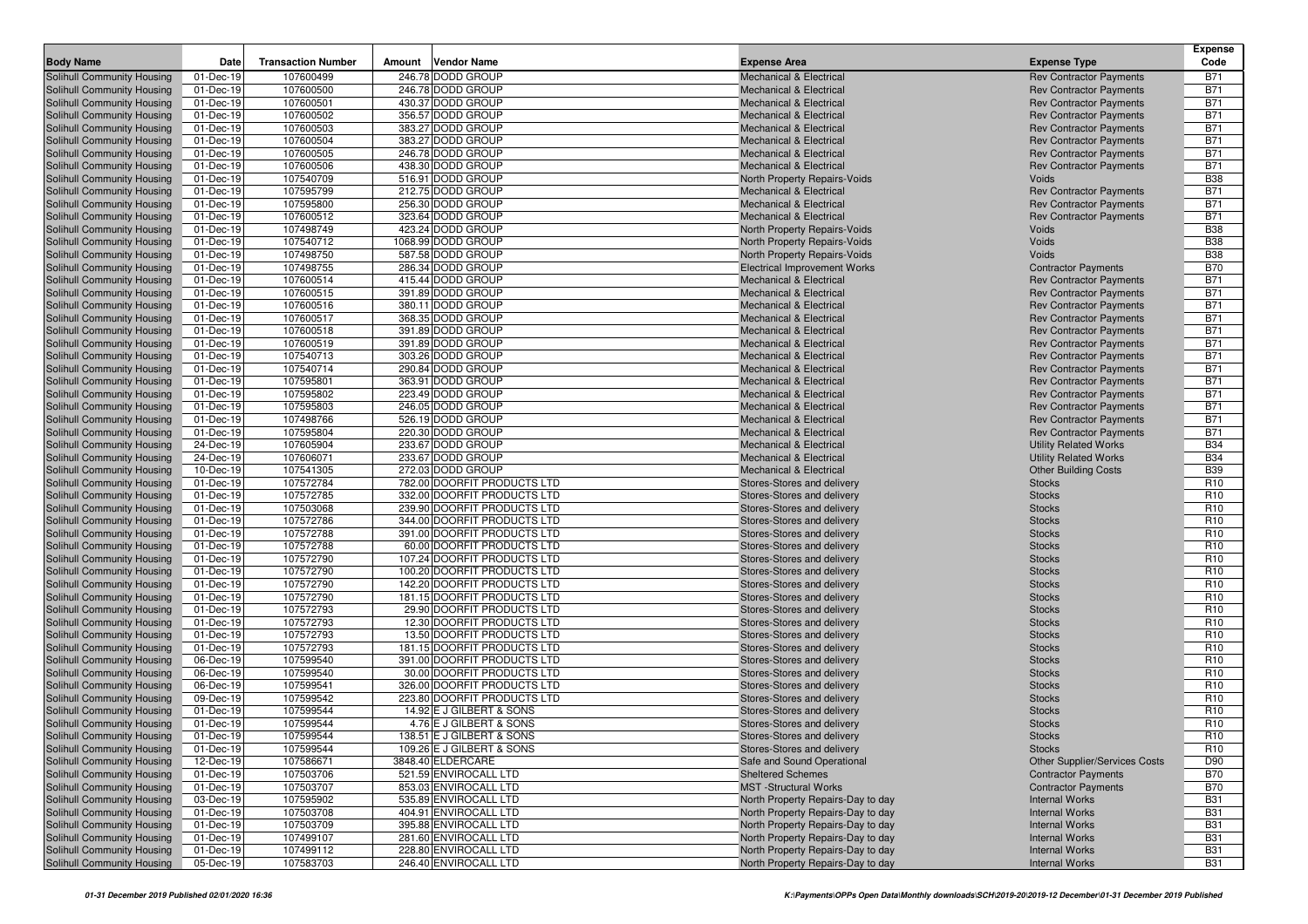|                                                          |                        |                           |        |                                                           |                                                              |                                         | <b>Expense</b>                     |
|----------------------------------------------------------|------------------------|---------------------------|--------|-----------------------------------------------------------|--------------------------------------------------------------|-----------------------------------------|------------------------------------|
| <b>Body Name</b>                                         | Date                   | <b>Transaction Number</b> | Amount | Vendor Name                                               | <b>Expense Area</b>                                          | <b>Expense Type</b>                     | Code                               |
| Solihull Community Housing                               | 01-Dec-19              | 107600499                 |        | 246.78 DODD GROUP                                         | <b>Mechanical &amp; Electrical</b>                           | <b>Rev Contractor Payments</b>          | <b>B71</b>                         |
| Solihull Community Housing                               | 01-Dec-19              | 107600500                 |        | 246.78 DODD GROUP                                         | <b>Mechanical &amp; Electrical</b>                           | <b>Rev Contractor Payments</b>          | <b>B71</b>                         |
| Solihull Community Housing                               | 01-Dec-19              | 107600501                 |        | 430.37 DODD GROUP                                         | <b>Mechanical &amp; Electrical</b>                           | <b>Rev Contractor Payments</b>          | <b>B71</b>                         |
| Solihull Community Housing                               | 01-Dec-19              | 107600502                 |        | 356.57 DODD GROUP                                         | <b>Mechanical &amp; Electrical</b>                           | <b>Rev Contractor Payments</b>          | <b>B71</b>                         |
| Solihull Community Housing                               | 01-Dec-19              | 107600503                 |        | 383.27 DODD GROUP                                         | <b>Mechanical &amp; Electrical</b>                           | <b>Rev Contractor Payments</b>          | <b>B71</b>                         |
| Solihull Community Housing                               | 01-Dec-19              | 107600504                 |        | 383.27 DODD GROUP                                         | <b>Mechanical &amp; Electrical</b>                           | <b>Rev Contractor Payments</b>          | <b>B71</b>                         |
| Solihull Community Housing                               | 01-Dec-19              | 107600505                 |        | 246.78 DODD GROUP                                         | <b>Mechanical &amp; Electrical</b>                           | <b>Rev Contractor Payments</b>          | <b>B71</b>                         |
| Solihull Community Housing                               | 01-Dec-19              | 107600506                 |        | 438.30 DODD GROUP                                         | <b>Mechanical &amp; Electrical</b>                           | <b>Rev Contractor Payments</b>          | <b>B71</b>                         |
| Solihull Community Housing                               | 01-Dec-19              | 107540709                 |        | 516.91 DODD GROUP                                         | North Property Repairs-Voids                                 | Voids                                   | <b>B38</b>                         |
| Solihull Community Housing                               | 01-Dec-19              | 107595799                 |        | 212.75 DODD GROUP<br>256.30 DODD GROUP                    | <b>Mechanical &amp; Electrical</b>                           | <b>Rev Contractor Payments</b>          | <b>B71</b>                         |
| Solihull Community Housing                               | 01-Dec-19<br>01-Dec-19 | 107595800                 |        |                                                           | <b>Mechanical &amp; Electrical</b>                           | <b>Rev Contractor Payments</b>          | <b>B71</b>                         |
| Solihull Community Housing<br>Solihull Community Housing | 01-Dec-19              | 107600512<br>107498749    |        | 323.64 DODD GROUP<br>423.24 DODD GROUP                    | <b>Mechanical &amp; Electrical</b>                           | <b>Rev Contractor Payments</b><br>Voids | <b>B71</b><br><b>B38</b>           |
| Solihull Community Housing                               | 01-Dec-19              | 107540712                 |        | 1068.99 DODD GROUP                                        | North Property Repairs-Voids<br>North Property Repairs-Voids | Voids                                   | <b>B38</b>                         |
| Solihull Community Housing                               | 01-Dec-19              | 107498750                 |        | 587.58 DODD GROUP                                         | North Property Repairs-Voids                                 | Voids                                   | <b>B38</b>                         |
| Solihull Community Housing                               | 01-Dec-19              | 107498755                 |        | 286.34 DODD GROUP                                         | <b>Electrical Improvement Works</b>                          | <b>Contractor Payments</b>              | <b>B70</b>                         |
| Solihull Community Housing                               | 01-Dec-19              | 107600514                 |        | 415.44 DODD GROUP                                         | <b>Mechanical &amp; Electrical</b>                           | <b>Rev Contractor Payments</b>          | <b>B71</b>                         |
| Solihull Community Housing                               | 01-Dec-19              | 107600515                 |        | 391.89 DODD GROUP                                         | <b>Mechanical &amp; Electrical</b>                           | <b>Rev Contractor Payments</b>          | <b>B71</b>                         |
| Solihull Community Housing                               | 01-Dec-19              | 107600516                 |        | 380.11 DODD GROUP                                         | <b>Mechanical &amp; Electrical</b>                           | <b>Rev Contractor Payments</b>          | <b>B71</b>                         |
| Solihull Community Housing                               | 01-Dec-19              | 107600517                 |        | 368.35 DODD GROUP                                         | <b>Mechanical &amp; Electrical</b>                           | <b>Rev Contractor Payments</b>          | <b>B71</b>                         |
| Solihull Community Housing                               | 01-Dec-19              | 107600518                 |        | 391.89 DODD GROUP                                         | <b>Mechanical &amp; Electrical</b>                           | <b>Rev Contractor Payments</b>          | <b>B71</b>                         |
| Solihull Community Housing                               | 01-Dec-19              | 107600519                 |        | 391.89 DODD GROUP                                         | <b>Mechanical &amp; Electrical</b>                           | <b>Rev Contractor Payments</b>          | <b>B71</b>                         |
| Solihull Community Housing                               | 01-Dec-19              | 107540713                 |        | 303.26 DODD GROUP                                         | <b>Mechanical &amp; Electrical</b>                           | <b>Rev Contractor Payments</b>          | <b>B71</b>                         |
| Solihull Community Housing                               | 01-Dec-19              | 107540714                 |        | 290.84 DODD GROUP                                         | <b>Mechanical &amp; Electrical</b>                           | <b>Rev Contractor Payments</b>          | <b>B71</b>                         |
| Solihull Community Housing                               | 01-Dec-19              | 107595801                 |        | 363.91 DODD GROUP                                         | <b>Mechanical &amp; Electrical</b>                           | <b>Rev Contractor Payments</b>          | <b>B71</b>                         |
| Solihull Community Housing                               | 01-Dec-19              | 107595802                 |        | 223.49 DODD GROUP                                         | <b>Mechanical &amp; Electrical</b>                           | <b>Rev Contractor Payments</b>          | <b>B71</b>                         |
| Solihull Community Housing                               | 01-Dec-19              | 107595803                 |        | 246.05 DODD GROUP                                         | <b>Mechanical &amp; Electrical</b>                           | <b>Rev Contractor Payments</b>          | <b>B71</b>                         |
| Solihull Community Housing                               | 01-Dec-19              | 107498766                 |        | 526.19 DODD GROUP                                         | <b>Mechanical &amp; Electrical</b>                           | <b>Rev Contractor Payments</b>          | <b>B71</b>                         |
| Solihull Community Housing                               | 01-Dec-19              | 107595804                 |        | 220.30 DODD GROUP                                         | <b>Mechanical &amp; Electrical</b>                           | <b>Rev Contractor Payments</b>          | <b>B71</b>                         |
| Solihull Community Housing                               | 24-Dec-19              | 107605904                 |        | 233.67 DODD GROUP                                         | <b>Mechanical &amp; Electrical</b>                           | <b>Utility Related Works</b>            | <b>B34</b>                         |
| Solihull Community Housing                               | 24-Dec-19              | 107606071                 |        | 233.67 DODD GROUP                                         | <b>Mechanical &amp; Electrical</b>                           | <b>Utility Related Works</b>            | <b>B34</b>                         |
| Solihull Community Housing                               | 10-Dec-19              | 107541305                 |        | 272.03 DODD GROUP                                         | <b>Mechanical &amp; Electrical</b>                           | <b>Other Building Costs</b>             | <b>B39</b>                         |
| Solihull Community Housing                               | 01-Dec-19              | 107572784                 |        | 782.00 DOORFIT PRODUCTS LTD                               | Stores-Stores and delivery                                   | <b>Stocks</b>                           | R <sub>10</sub>                    |
| Solihull Community Housing                               | 01-Dec-19              | 107572785                 |        | 332.00 DOORFIT PRODUCTS LTD                               | Stores-Stores and delivery                                   | <b>Stocks</b>                           | R <sub>10</sub>                    |
| Solihull Community Housing                               | 01-Dec-19              | 107503068                 |        | 239.90 DOORFIT PRODUCTS LTD                               | Stores-Stores and delivery                                   | <b>Stocks</b>                           | R <sub>10</sub>                    |
| Solihull Community Housing                               | 01-Dec-19              | 107572786                 |        | 344.00 DOORFIT PRODUCTS LTD                               | Stores-Stores and delivery                                   | <b>Stocks</b>                           | R <sub>10</sub>                    |
| Solihull Community Housing                               | 01-Dec-19              | 107572788                 |        | 391.00 DOORFIT PRODUCTS LTD                               | Stores-Stores and delivery                                   | <b>Stocks</b>                           | R <sub>10</sub><br>R <sub>10</sub> |
| Solihull Community Housing                               | 01-Dec-19<br>01-Dec-19 | 107572788<br>107572790    |        | 60.00 DOORFIT PRODUCTS LTD<br>107.24 DOORFIT PRODUCTS LTD | Stores-Stores and delivery<br>Stores-Stores and delivery     | <b>Stocks</b><br><b>Stocks</b>          | R <sub>10</sub>                    |
| Solihull Community Housing<br>Solihull Community Housing | 01-Dec-19              | 107572790                 |        | 100.20 DOORFIT PRODUCTS LTD                               | Stores-Stores and delivery                                   | <b>Stocks</b>                           | R <sub>10</sub>                    |
| Solihull Community Housing                               | 01-Dec-19              | 107572790                 |        | 142.20 DOORFIT PRODUCTS LTD                               | Stores-Stores and delivery                                   | <b>Stocks</b>                           | R <sub>10</sub>                    |
| <b>Solihull Community Housing</b>                        | 01-Dec-19              | 107572790                 |        | 181.15 DOORFIT PRODUCTS LTD                               | Stores-Stores and delivery                                   | <b>Stocks</b>                           | R <sub>10</sub>                    |
| Solihull Community Housing                               | 01-Dec-19              | 107572793                 |        | 29.90 DOORFIT PRODUCTS LTD                                | Stores-Stores and delivery                                   | <b>Stocks</b>                           | R <sub>10</sub>                    |
| Solihull Community Housing                               | 01-Dec-19              | 107572793                 |        | 12.30 DOORFIT PRODUCTS LTD                                | Stores-Stores and delivery                                   | <b>Stocks</b>                           | R <sub>10</sub>                    |
| Solihull Community Housing                               | 01-Dec-19              | 107572793                 |        | 13.50 DOORFIT PRODUCTS LTD                                | Stores-Stores and delivery                                   | <b>Stocks</b>                           | R <sub>10</sub>                    |
| Solihull Community Housing                               | 01-Dec-19              | 107572793                 |        | 181.15 DOORFIT PRODUCTS LTD                               | Stores-Stores and delivery                                   | <b>Stocks</b>                           | R <sub>10</sub>                    |
| Solihull Community Housing                               | 06-Dec-19              | 107599540                 |        | 391.00 DOORFIT PRODUCTS LTD                               | Stores-Stores and delivery                                   | <b>Stocks</b>                           | R <sub>10</sub>                    |
| Solihull Community Housing                               | 06-Dec-19              | 107599540                 |        | 30.00 DOORFIT PRODUCTS LTD                                | Stores-Stores and delivery                                   | <b>Stocks</b>                           | R <sub>10</sub>                    |
| Solihull Community Housing                               | 06-Dec-19              | 107599541                 |        | 326.00 DOORFIT PRODUCTS LTD                               | Stores-Stores and delivery                                   | <b>Stocks</b>                           | R <sub>10</sub>                    |
| Solihull Community Housing                               | 09-Dec-19              | 107599542                 |        | 223.80 DOORFIT PRODUCTS LTD                               | Stores-Stores and delivery                                   | <b>Stocks</b>                           | R <sub>10</sub>                    |
| Solihull Community Housing                               | 01-Dec-19              | 107599544                 |        | 14.92 E J GILBERT & SONS                                  | Stores-Stores and delivery                                   | <b>Stocks</b>                           | R <sub>10</sub>                    |
| Solihull Community Housing                               | 01-Dec-19              | 107599544                 |        | 4.76 E J GILBERT & SONS                                   | Stores-Stores and delivery                                   | <b>Stocks</b>                           | R <sub>10</sub>                    |
| Solihull Community Housing                               | 01-Dec-19              | 107599544                 |        | 138.51 E J GILBERT & SONS                                 | Stores-Stores and delivery                                   | <b>Stocks</b>                           | R <sub>10</sub>                    |
| Solihull Community Housing                               | 01-Dec-19              | 107599544                 |        | 109.26 E J GILBERT & SONS                                 | Stores-Stores and delivery                                   | <b>Stocks</b>                           | R <sub>10</sub>                    |
| Solihull Community Housing                               | 12-Dec-19              | 107586671                 |        | 3848.40 ELDERCARE                                         | Safe and Sound Operational                                   | Other Supplier/Services Costs           | D90                                |
| Solihull Community Housing                               | 01-Dec-19              | 107503706                 |        | 521.59 ENVIROCALL LTD                                     | <b>Sheltered Schemes</b>                                     | <b>Contractor Payments</b>              | <b>B70</b>                         |
| Solihull Community Housing                               | 01-Dec-19              | 107503707                 |        | 853.03 ENVIROCALL LTD                                     | <b>MST</b> -Structural Works                                 | <b>Contractor Payments</b>              | <b>B70</b>                         |
| Solihull Community Housing                               | 03-Dec-19              | 107595902                 |        | 535.89 ENVIROCALL LTD                                     | North Property Repairs-Day to day                            | <b>Internal Works</b>                   | <b>B31</b>                         |
| Solihull Community Housing                               | 01-Dec-19              | 107503708                 |        | 404.91 ENVIROCALL LTD                                     | North Property Repairs-Day to day                            | <b>Internal Works</b>                   | <b>B31</b>                         |
| Solihull Community Housing                               | 01-Dec-19              | 107503709                 |        | 395.88 ENVIROCALL LTD                                     | North Property Repairs-Day to day                            | <b>Internal Works</b>                   | <b>B31</b>                         |
| Solihull Community Housing                               | 01-Dec-19              | 107499107                 |        | 281.60 ENVIROCALL LTD                                     | North Property Repairs-Day to day                            | <b>Internal Works</b>                   | <b>B31</b>                         |
| Solihull Community Housing                               | 01-Dec-19              | 107499112                 |        | 228.80 ENVIROCALL LTD                                     | North Property Repairs-Day to day                            | <b>Internal Works</b>                   | <b>B31</b>                         |
| Solihull Community Housing                               | 05-Dec-19              | 107583703                 |        | 246.40 ENVIROCALL LTD                                     | North Property Repairs-Day to day                            | <b>Internal Works</b>                   | <b>B31</b>                         |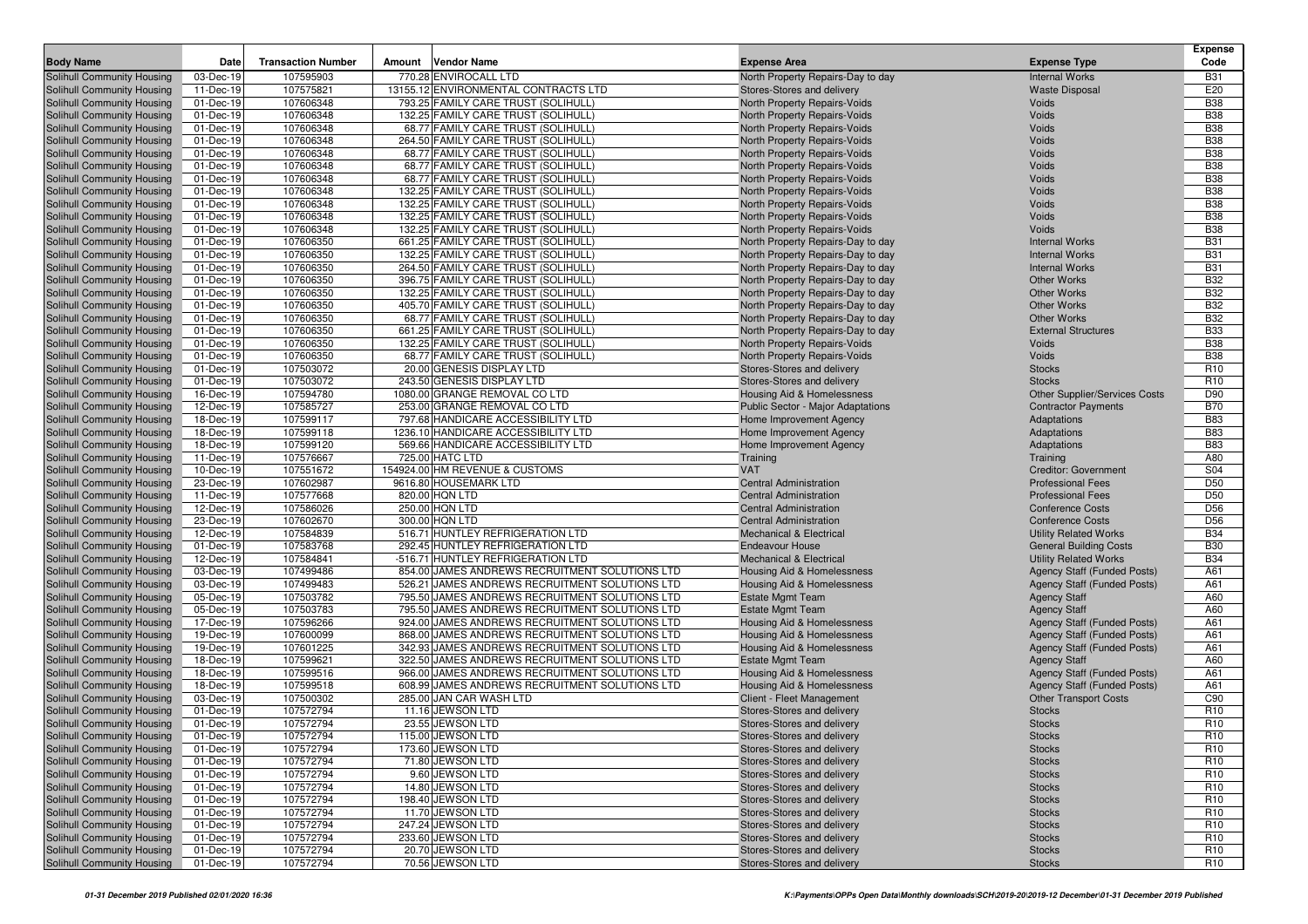|                            |                 |                           |                                                |                                       |                                      | <b>Expense</b>  |
|----------------------------|-----------------|---------------------------|------------------------------------------------|---------------------------------------|--------------------------------------|-----------------|
| <b>Body Name</b>           | Date            | <b>Transaction Number</b> | <b>Vendor Name</b><br>Amount                   | <b>Expense Area</b>                   | <b>Expense Type</b>                  | Code            |
| Solihull Community Housing | 03-Dec-19       | 107595903                 | 770.28 ENVIROCALL LTD                          | North Property Repairs-Day to day     | <b>Internal Works</b>                | <b>B31</b>      |
| Solihull Community Housing | 11-Dec-19       | 107575821                 | 13155.12 ENVIRONMENTAL CONTRACTS LTD           | Stores-Stores and delivery            | <b>Waste Disposal</b>                | E20             |
| Solihull Community Housing | 01-Dec-19       | 107606348                 | 793.25 FAMILY CARE TRUST (SOLIHULL)            | North Property Repairs-Voids          | Voids                                | <b>B38</b>      |
| Solihull Community Housing | 01-Dec-19       | 107606348                 | 132.25 FAMILY CARE TRUST (SOLIHULL)            | North Property Repairs-Voids          | Voids                                | <b>B38</b>      |
| Solihull Community Housing | 01-Dec-19       | 107606348                 | 68.77 FAMILY CARE TRUST (SOLIHULL)             | North Property Repairs-Voids          | Voids                                | <b>B38</b>      |
| Solihull Community Housing | 01-Dec-19       | 107606348                 | 264.50 FAMILY CARE TRUST (SOLIHULL)            | North Property Repairs-Voids          | Voids                                | <b>B38</b>      |
| Solihull Community Housing | 01-Dec-19       | 107606348                 | 68.77 FAMILY CARE TRUST (SOLIHULL)             | North Property Repairs-Voids          | Voids                                | <b>B38</b>      |
| Solihull Community Housing | 01-Dec-19       | 107606348                 | 68.77 FAMILY CARE TRUST (SOLIHULL)             | North Property Repairs-Voids          | Voids                                | <b>B38</b>      |
| Solihull Community Housing | 01-Dec-19       | 107606348                 | 68.77 FAMILY CARE TRUST (SOLIHULL)             | North Property Repairs-Voids          | Voids                                | <b>B38</b>      |
| Solihull Community Housing | 01-Dec-19       | 107606348                 | 132.25 FAMILY CARE TRUST (SOLIHULL)            | North Property Repairs-Voids          | Voids                                | <b>B38</b>      |
| Solihull Community Housing | 01-Dec-19       | 107606348                 | 132.25 FAMILY CARE TRUST (SOLIHULL)            | North Property Repairs-Voids          | Voids                                | <b>B38</b>      |
| Solihull Community Housing | 01-Dec-19       | 107606348                 | 132.25 FAMILY CARE TRUST (SOLIHULL)            | North Property Repairs-Voids          | Voids                                | <b>B38</b>      |
| Solihull Community Housing | 01-Dec-19       | 107606348                 | 132.25 FAMILY CARE TRUST (SOLIHULL)            | North Property Repairs-Voids          | Voids                                | <b>B38</b>      |
| Solihull Community Housing | 01-Dec-19       | 107606350                 | 661.25 FAMILY CARE TRUST (SOLIHULL)            | North Property Repairs-Day to day     | <b>Internal Works</b>                | <b>B31</b>      |
| Solihull Community Housing | 01-Dec-19       | 107606350                 | 132.25 FAMILY CARE TRUST (SOLIHULL)            | North Property Repairs-Day to day     | <b>Internal Works</b>                | <b>B31</b>      |
| Solihull Community Housing | 01-Dec-19       | 107606350                 | 264.50 FAMILY CARE TRUST (SOLIHULL)            | North Property Repairs-Day to day     | <b>Internal Works</b>                | <b>B31</b>      |
| Solihull Community Housing | 01-Dec-19       | 107606350                 | 396.75 FAMILY CARE TRUST (SOLIHULL)            | North Property Repairs-Day to day     | <b>Other Works</b>                   | <b>B32</b>      |
| Solihull Community Housing | 01-Dec-19       | 107606350                 | 132.25 FAMILY CARE TRUST (SOLIHULL)            | North Property Repairs-Day to day     | <b>Other Works</b>                   | <b>B32</b>      |
| Solihull Community Housing | 01-Dec-19       | 107606350                 | 405.70 FAMILY CARE TRUST (SOLIHULL)            | North Property Repairs-Day to day     | <b>Other Works</b>                   | <b>B32</b>      |
| Solihull Community Housing | 01-Dec-19       | 107606350                 | 68.77 FAMILY CARE TRUST (SOLIHULL)             | North Property Repairs-Day to day     | <b>Other Works</b>                   | <b>B32</b>      |
| Solihull Community Housing | 01-Dec-19       | 107606350                 | 661.25 FAMILY CARE TRUST (SOLIHULL)            | North Property Repairs-Day to day     | <b>External Structures</b>           | <b>B33</b>      |
| Solihull Community Housing | 01-Dec-19       | 107606350                 | 132.25 FAMILY CARE TRUST (SOLIHULL)            | North Property Repairs-Voids          | Voids                                | <b>B38</b>      |
| Solihull Community Housing | 01-Dec-19       | 107606350                 | 68.77 FAMILY CARE TRUST (SOLIHULL)             | North Property Repairs-Voids          | Voids                                | <b>B38</b>      |
| Solihull Community Housing | 01-Dec-19       | 107503072                 | 20.00 GENESIS DISPLAY LTD                      | Stores-Stores and delivery            | <b>Stocks</b>                        | R <sub>10</sub> |
| Solihull Community Housing | 01-Dec-19       | 107503072                 | 243.50 GENESIS DISPLAY LTD                     | Stores-Stores and delivery            | <b>Stocks</b>                        | R <sub>10</sub> |
| Solihull Community Housing | 16-Dec-19       | 107594780                 | 1080.00 GRANGE REMOVAL CO LTD                  | <b>Housing Aid &amp; Homelessness</b> | <b>Other Supplier/Services Costs</b> | D90             |
| Solihull Community Housing | 12-Dec-19       | 107585727                 | 253.00 GRANGE REMOVAL CO LTD                   | Public Sector - Major Adaptations     | <b>Contractor Payments</b>           | <b>B70</b>      |
| Solihull Community Housing | $18 - Dec - 19$ | 107599117                 | 797.68 HANDICARE ACCESSIBILITY LTD             | Home Improvement Agency               | Adaptations                          | <b>B83</b>      |
| Solihull Community Housing | 18-Dec-19       | 107599118                 | 1236.10 HANDICARE ACCESSIBILITY LTD            | Home Improvement Agency               | Adaptations                          | <b>B83</b>      |
| Solihull Community Housing | 18-Dec-19       | 107599120                 | 569.66 HANDICARE ACCESSIBILITY LTD             | Home Improvement Agency               | Adaptations                          | <b>B83</b>      |
| Solihull Community Housing | 11-Dec-19       | 107576667                 | 725.00 HATC LTD                                | Training                              | Training                             | A80             |
| Solihull Community Housing | 10-Dec-19       | 107551672                 | 154924.00 HM REVENUE & CUSTOMS                 | <b>VAT</b>                            | <b>Creditor: Government</b>          | S04             |
| Solihull Community Housing | 23-Dec-19       | 107602987                 | 9616.80 HOUSEMARK LTD                          | <b>Central Administration</b>         | <b>Professional Fees</b>             | D <sub>50</sub> |
| Solihull Community Housing | 11-Dec-19       | 107577668                 | 820.00 HQN LTD                                 | <b>Central Administration</b>         | <b>Professional Fees</b>             | D <sub>50</sub> |
| Solihull Community Housing | 12-Dec-19       | 107586026                 | 250.00 HQN LTD                                 | <b>Central Administration</b>         | <b>Conference Costs</b>              | D <sub>56</sub> |
| Solihull Community Housing | 23-Dec-19       | 107602670                 | 300.00 HQN LTD                                 | <b>Central Administration</b>         | <b>Conference Costs</b>              | D <sub>56</sub> |
| Solihull Community Housing | 12-Dec-19       | 107584839                 | 516.71 HUNTLEY REFRIGERATION LTD               | <b>Mechanical &amp; Electrical</b>    | <b>Utility Related Works</b>         | <b>B34</b>      |
| Solihull Community Housing | 01-Dec-19       | 107583768                 | 292.45 HUNTLEY REFRIGERATION LTD               | <b>Endeavour House</b>                | <b>General Building Costs</b>        | <b>B30</b>      |
| Solihull Community Housing | 12-Dec-19       | 107584841                 | -516.71 HUNTLEY REFRIGERATION LTD              | <b>Mechanical &amp; Electrical</b>    | <b>Utility Related Works</b>         | <b>B34</b>      |
| Solihull Community Housing | 03-Dec-19       | 107499486                 | 854.00 JAMES ANDREWS RECRUITMENT SOLUTIONS LTD | Housing Aid & Homelessness            | Agency Staff (Funded Posts)          | A61             |
| Solihull Community Housing | 03-Dec-19       | 107499483                 | 526.21 JAMES ANDREWS RECRUITMENT SOLUTIONS LTD | Housing Aid & Homelessness            | Agency Staff (Funded Posts)          | A61             |
| Solihull Community Housing | 05-Dec-19       | 107503782                 | 795.50 JAMES ANDREWS RECRUITMENT SOLUTIONS LTD | <b>Estate Mgmt Team</b>               | <b>Agency Staff</b>                  | A60             |
| Solihull Community Housing | 05-Dec-19       | 107503783                 | 795.50 JAMES ANDREWS RECRUITMENT SOLUTIONS LTD | <b>Estate Mgmt Team</b>               | <b>Agency Staff</b>                  | A60             |
| Solihull Community Housing | 17-Dec-19       | 107596266                 | 924.00 JAMES ANDREWS RECRUITMENT SOLUTIONS LTD | Housing Aid & Homelessness            | Agency Staff (Funded Posts)          | A61             |
| Solihull Community Housing | 19-Dec-19       | 107600099                 | 868.00 JAMES ANDREWS RECRUITMENT SOLUTIONS LTD | Housing Aid & Homelessness            | <b>Agency Staff (Funded Posts)</b>   | A61             |
| Solihull Community Housing | 19-Dec-19       | 107601225                 | 342.93 JAMES ANDREWS RECRUITMENT SOLUTIONS LTD | <b>Housing Aid &amp; Homelessness</b> | Agency Staff (Funded Posts)          | A61             |
| Solihull Community Housing | 18-Dec-19       | 107599621                 | 322.50 JAMES ANDREWS RECRUITMENT SOLUTIONS LTD | <b>Estate Mgmt Team</b>               | <b>Agency Staff</b>                  | A60             |
| Solihull Community Housing | 18-Dec-19       | 107599516                 | 966.00 JAMES ANDREWS RECRUITMENT SOLUTIONS LTD | Housing Aid & Homelessness            | Agency Staff (Funded Posts)          | A61             |
| Solihull Community Housing | 18-Dec-19       | 107599518                 | 608.99 JAMES ANDREWS RECRUITMENT SOLUTIONS LTD | Housing Aid & Homelessness            | <b>Agency Staff (Funded Posts)</b>   | A61             |
| Solihull Community Housing | 03-Dec-19       | 107500302                 | 285.00 JAN CAR WASH LTD                        | Client - Fleet Management             | <b>Other Transport Costs</b>         | C90             |
| Solihull Community Housing | 01-Dec-19       | 107572794                 | 11.16 JEWSON LTD                               | Stores-Stores and delivery            | <b>Stocks</b>                        | R <sub>10</sub> |
| Solihull Community Housing | 01-Dec-19       | 107572794                 | 23.55 JEWSON LTD                               | Stores-Stores and delivery            | <b>Stocks</b>                        | R <sub>10</sub> |
| Solihull Community Housing | 01-Dec-19       | 107572794                 | 115.00 JEWSON LTD                              | Stores-Stores and delivery            | <b>Stocks</b>                        | R <sub>10</sub> |
| Solihull Community Housing | 01-Dec-19       | 107572794                 | 173.60 JEWSON LTD                              | Stores-Stores and delivery            | <b>Stocks</b>                        | R <sub>10</sub> |
| Solihull Community Housing | 01-Dec-19       | 107572794                 | 71.80 JEWSON LTD                               | Stores-Stores and delivery            | <b>Stocks</b>                        | R <sub>10</sub> |
| Solihull Community Housing | 01-Dec-19       | 107572794                 | 9.60 JEWSON LTD                                | Stores-Stores and delivery            | <b>Stocks</b>                        | R <sub>10</sub> |
| Solihull Community Housing | 01-Dec-19       | 107572794                 | 14.80 JEWSON LTD                               | Stores-Stores and delivery            | <b>Stocks</b>                        | R <sub>10</sub> |
| Solihull Community Housing | 01-Dec-19       | 107572794                 | 198.40 JEWSON LTD                              | Stores-Stores and delivery            | <b>Stocks</b>                        | R <sub>10</sub> |
| Solihull Community Housing | 01-Dec-19       | 107572794                 | 11.70 JEWSON LTD                               | Stores-Stores and delivery            | <b>Stocks</b>                        | R <sub>10</sub> |
| Solihull Community Housing | 01-Dec-19       | 107572794                 | 247.24 JEWSON LTD                              | Stores-Stores and delivery            | <b>Stocks</b>                        | R <sub>10</sub> |
| Solihull Community Housing | 01-Dec-19       | 107572794                 | 233.60 JEWSON LTD                              | Stores-Stores and delivery            | <b>Stocks</b>                        | R <sub>10</sub> |
| Solihull Community Housing | 01-Dec-19       | 107572794                 | 20.70 JEWSON LTD                               | Stores-Stores and delivery            | <b>Stocks</b>                        | R <sub>10</sub> |
| Solihull Community Housing | 01-Dec-19       | 107572794                 | 70.56 JEWSON LTD                               | Stores-Stores and delivery            | <b>Stocks</b>                        | R <sub>10</sub> |
|                            |                 |                           |                                                |                                       |                                      |                 |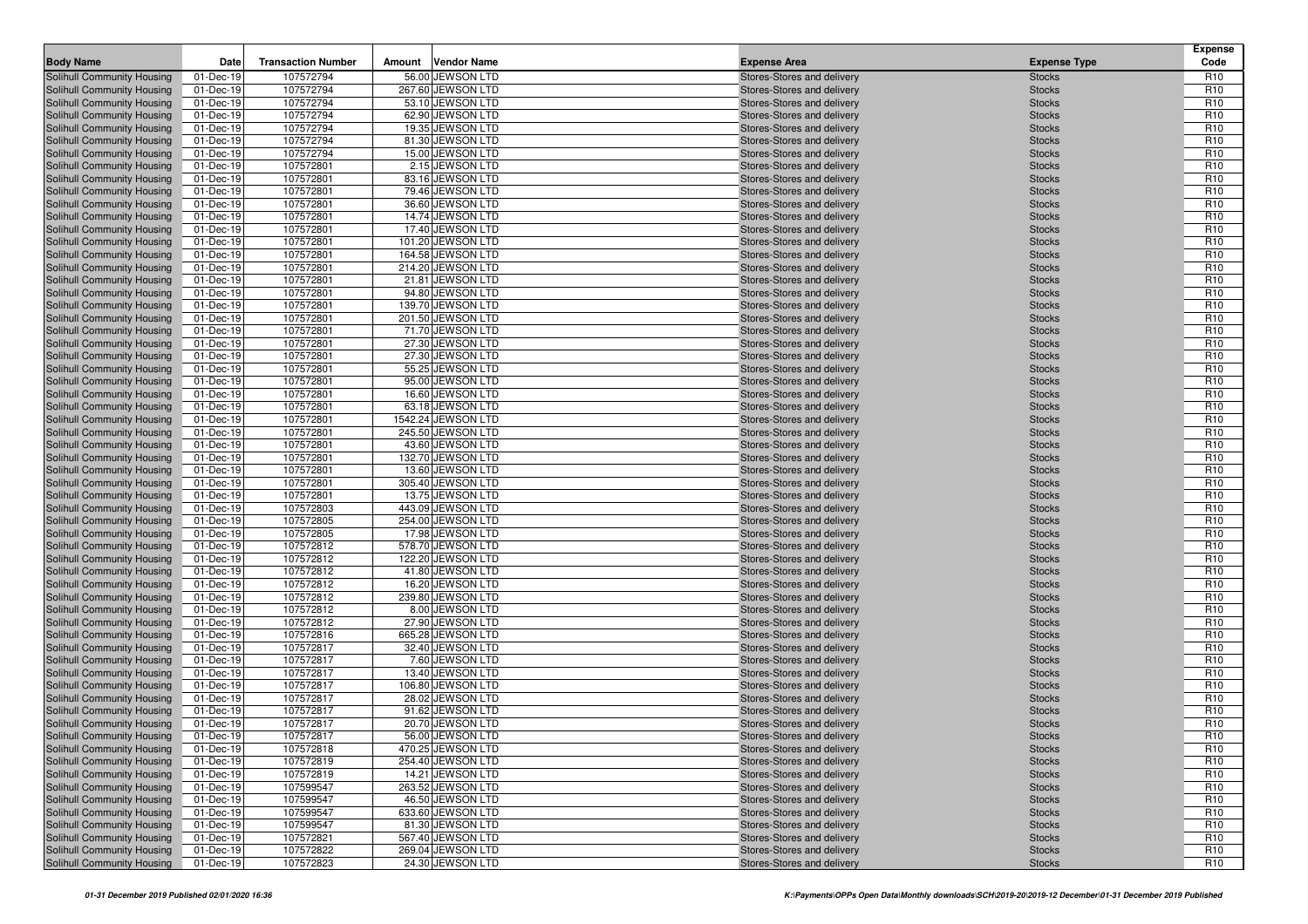| <b>Body Name</b>                                         | Date                   | <b>Transaction Number</b> | Amount | <b>Vendor Name</b>                      | <b>Expense Area</b>                                      | <b>Expense Type</b>            | <b>Expense</b><br>Code             |
|----------------------------------------------------------|------------------------|---------------------------|--------|-----------------------------------------|----------------------------------------------------------|--------------------------------|------------------------------------|
| Solihull Community Housing                               | 01-Dec-19              | 107572794                 |        | 56.00 JEWSON LTD                        | Stores-Stores and delivery                               | <b>Stocks</b>                  | R <sub>10</sub>                    |
| Solihull Community Housing                               | 01-Dec-19              | 107572794                 |        | 267.60 JEWSON LTD                       | Stores-Stores and delivery                               | <b>Stocks</b>                  | R <sub>10</sub>                    |
| Solihull Community Housing                               | 01-Dec-19              | 107572794                 |        | 53.10 JEWSON LTD                        | Stores-Stores and delivery                               | <b>Stocks</b>                  | R <sub>10</sub>                    |
| Solihull Community Housing                               | 01-Dec-19              | 107572794                 |        | 62.90 JEWSON LTD                        | Stores-Stores and delivery                               | <b>Stocks</b>                  | R <sub>10</sub>                    |
| Solihull Community Housing                               | 01-Dec-19              | 107572794                 |        | 19.35 JEWSON LTD                        | Stores-Stores and delivery                               | <b>Stocks</b>                  | R <sub>10</sub>                    |
| Solihull Community Housing                               | 01-Dec-19              | 107572794                 |        | 81.30 JEWSON LTD                        | Stores-Stores and delivery                               | <b>Stocks</b>                  | R <sub>10</sub>                    |
| Solihull Community Housing                               | 01-Dec-19              | 107572794                 |        | 15.00 JEWSON LTD                        | Stores-Stores and delivery                               | <b>Stocks</b>                  | R <sub>10</sub>                    |
| Solihull Community Housing                               | 01-Dec-19              | 107572801                 |        | 2.15 JEWSON LTD                         | Stores-Stores and delivery                               | <b>Stocks</b>                  | R <sub>10</sub>                    |
| Solihull Community Housing                               | 01-Dec-19              | 107572801                 |        | 83.16 JEWSON LTD                        | Stores-Stores and delivery                               | <b>Stocks</b>                  | R <sub>10</sub>                    |
| Solihull Community Housing                               | 01-Dec-19              | 107572801                 |        | 79.46 JEWSON LTD                        | Stores-Stores and delivery                               | <b>Stocks</b>                  | R <sub>10</sub>                    |
| Solihull Community Housing                               | 01-Dec-19              | 107572801                 |        | 36.60 JEWSON LTD                        | Stores-Stores and delivery                               | <b>Stocks</b>                  | R <sub>10</sub>                    |
| Solihull Community Housing                               | 01-Dec-19              | 107572801                 |        | 14.74 JEWSON LTD                        | Stores-Stores and delivery                               | <b>Stocks</b>                  | R <sub>10</sub>                    |
| Solihull Community Housing                               | 01-Dec-19              | 107572801                 |        | 17.40 JEWSON LTD                        | Stores-Stores and delivery                               | <b>Stocks</b>                  | R <sub>10</sub>                    |
| Solihull Community Housing                               | 01-Dec-19              | 107572801                 |        | 101.20 JEWSON LTD                       | Stores-Stores and delivery                               | <b>Stocks</b>                  | R <sub>10</sub>                    |
| Solihull Community Housing                               | 01-Dec-19              | 107572801                 |        | 164.58 JEWSON LTD                       | Stores-Stores and delivery                               | <b>Stocks</b>                  | R <sub>10</sub>                    |
| Solihull Community Housing                               | 01-Dec-19              | 107572801                 |        | 214.20 JEWSON LTD                       | Stores-Stores and delivery                               | <b>Stocks</b>                  | R <sub>10</sub>                    |
| Solihull Community Housing                               | 01-Dec-19              | 107572801                 |        | 21.81 JEWSON LTD                        | Stores-Stores and delivery                               | <b>Stocks</b>                  | R <sub>10</sub>                    |
| Solihull Community Housing                               | 01-Dec-19              | 107572801                 |        | 94.80 JEWSON LTD                        | Stores-Stores and delivery                               | <b>Stocks</b>                  | R <sub>10</sub>                    |
| Solihull Community Housing                               | 01-Dec-19              | 107572801                 |        | 139.70 JEWSON LTD                       | Stores-Stores and delivery                               | <b>Stocks</b>                  | R <sub>10</sub>                    |
| Solihull Community Housing                               | 01-Dec-19              | 107572801                 |        | 201.50 JEWSON LTD                       | Stores-Stores and delivery                               | <b>Stocks</b>                  | R <sub>10</sub>                    |
| Solihull Community Housing                               | 01-Dec-19              | 107572801                 |        | 71.70 JEWSON LTD                        | Stores-Stores and delivery                               | <b>Stocks</b>                  | R <sub>10</sub>                    |
| Solihull Community Housing                               | 01-Dec-19              | 107572801                 |        | 27.30 JEWSON LTD                        | Stores-Stores and delivery                               | <b>Stocks</b>                  | R <sub>10</sub>                    |
| Solihull Community Housing                               | 01-Dec-19              | 107572801                 |        | 27.30 JEWSON LTD                        | Stores-Stores and delivery                               | <b>Stocks</b>                  | R <sub>10</sub>                    |
| Solihull Community Housing                               | 01-Dec-19              | 107572801                 |        | 55.25 JEWSON LTD                        | Stores-Stores and delivery                               | <b>Stocks</b>                  | R <sub>10</sub>                    |
| Solihull Community Housing                               | 01-Dec-19              | 107572801                 |        | 95.00 JEWSON LTD                        | Stores-Stores and delivery                               | <b>Stocks</b>                  | R <sub>10</sub>                    |
| Solihull Community Housing                               | 01-Dec-19              | 107572801                 |        | 16.60 JEWSON LTD                        | Stores-Stores and delivery                               | <b>Stocks</b>                  | R <sub>10</sub>                    |
| Solihull Community Housing                               | 01-Dec-19              | 107572801                 |        | 63.18 JEWSON LTD                        | Stores-Stores and delivery                               | <b>Stocks</b>                  | R <sub>10</sub>                    |
| Solihull Community Housing                               | 01-Dec-19              | 107572801                 |        | 1542.24 JEWSON LTD<br>245.50 JEWSON LTD | Stores-Stores and delivery                               | <b>Stocks</b>                  | R <sub>10</sub>                    |
| Solihull Community Housing<br>Solihull Community Housing | 01-Dec-19<br>01-Dec-19 | 107572801<br>107572801    |        | 43.60 JEWSON LTD                        | Stores-Stores and delivery                               | <b>Stocks</b><br><b>Stocks</b> | R <sub>10</sub><br>R <sub>10</sub> |
| Solihull Community Housing                               | 01-Dec-19              | 107572801                 |        | 132.70 JEWSON LTD                       | Stores-Stores and delivery<br>Stores-Stores and delivery | <b>Stocks</b>                  | R <sub>10</sub>                    |
| Solihull Community Housing                               | 01-Dec-19              | 107572801                 |        | 13.60 JEWSON LTD                        | Stores-Stores and delivery                               | <b>Stocks</b>                  | R <sub>10</sub>                    |
| Solihull Community Housing                               | 01-Dec-19              | 107572801                 |        | 305.40 JEWSON LTD                       | Stores-Stores and delivery                               | <b>Stocks</b>                  | R <sub>10</sub>                    |
| Solihull Community Housing                               | 01-Dec-19              | 107572801                 |        | 13.75 JEWSON LTD                        | Stores-Stores and delivery                               | <b>Stocks</b>                  | R <sub>10</sub>                    |
| Solihull Community Housing                               | 01-Dec-19              | 107572803                 |        | 443.09 JEWSON LTD                       | Stores-Stores and delivery                               | <b>Stocks</b>                  | R <sub>10</sub>                    |
| Solihull Community Housing                               | 01-Dec-19              | 107572805                 |        | 254.00 JEWSON LTD                       | Stores-Stores and delivery                               | <b>Stocks</b>                  | R <sub>10</sub>                    |
| Solihull Community Housing                               | 01-Dec-19              | 107572805                 |        | 17.98 JEWSON LTD                        | Stores-Stores and delivery                               | <b>Stocks</b>                  | R <sub>10</sub>                    |
| Solihull Community Housing                               | 01-Dec-19              | 107572812                 |        | 578.70 JEWSON LTD                       | Stores-Stores and delivery                               | <b>Stocks</b>                  | R <sub>10</sub>                    |
| Solihull Community Housing                               | 01-Dec-19              | 107572812                 |        | 122.20 JEWSON LTD                       | Stores-Stores and delivery                               | <b>Stocks</b>                  | R <sub>10</sub>                    |
| Solihull Community Housing                               | 01-Dec-19              | 107572812                 |        | 41.80 JEWSON LTD                        | Stores-Stores and delivery                               | <b>Stocks</b>                  | R <sub>10</sub>                    |
| Solihull Community Housing                               | 01-Dec-19              | 107572812                 |        | 16.20 JEWSON LTD                        | Stores-Stores and delivery                               | <b>Stocks</b>                  | R <sub>10</sub>                    |
| Solihull Community Housing                               | 01-Dec-19              | 107572812                 |        | 239.80 JEWSON LTD                       | Stores-Stores and delivery                               | <b>Stocks</b>                  | R <sub>10</sub>                    |
| Solihull Community Housing                               | 01-Dec-19              | 107572812                 |        | 8.00 JEWSON LTD                         | Stores-Stores and delivery                               | <b>Stocks</b>                  | R <sub>10</sub>                    |
| Solihull Community Housing                               | 01-Dec-19              | 107572812                 |        | 27.90 JEWSON LTD                        | Stores-Stores and delivery                               | <b>Stocks</b>                  | R <sub>10</sub>                    |
| Solihull Community Housing                               | 01-Dec-19              | 107572816                 |        | 665.28 JEWSON LTD                       | Stores-Stores and delivery                               | <b>Stocks</b>                  | R <sub>10</sub>                    |
| Solihull Community Housing                               | 01-Dec-19              | 107572817                 |        | 32.40 JEWSON LTD                        | Stores-Stores and delivery                               | <b>Stocks</b>                  | R <sub>10</sub>                    |
| Solihull Community Housing                               | 01-Dec-19              | 107572817                 |        | 7.60 JEWSON LTD                         | Stores-Stores and delivery                               | <b>Stocks</b>                  | R <sub>10</sub>                    |
| Solihull Community Housing                               | 01-Dec-19              | 107572817                 |        | 13.40 JEWSON LTD                        | Stores-Stores and delivery                               | <b>Stocks</b>                  | R <sub>10</sub>                    |
| Solihull Community Housing                               | 01-Dec-19              | 107572817                 |        | 106.80 JEWSON LTD                       | Stores-Stores and delivery                               | <b>Stocks</b>                  | R <sub>10</sub>                    |
| Solihull Community Housing                               | 01-Dec-19              | 107572817                 |        | 28.02 JEWSON LTD                        | Stores-Stores and delivery                               | <b>Stocks</b>                  | R <sub>10</sub>                    |
| Solihull Community Housing                               | 01-Dec-19              | 107572817                 |        | 91.62 JEWSON LTD                        | Stores-Stores and delivery                               | <b>Stocks</b>                  | R <sub>10</sub>                    |
| <b>Solihull Community Housing</b>                        | 01-Dec-19              | 107572817                 |        | 20.70 JEWSON LTD                        | Stores-Stores and delivery                               | <b>Stocks</b>                  | R <sub>10</sub>                    |
| Solihull Community Housing                               | 01-Dec-19              | 107572817                 |        | 56.00 JEWSON LTD                        | Stores-Stores and delivery                               | <b>Stocks</b>                  | R <sub>10</sub>                    |
| Solihull Community Housing                               | 01-Dec-19              | 107572818                 |        | 470.25 JEWSON LTD                       | Stores-Stores and delivery                               | <b>Stocks</b>                  | R <sub>10</sub>                    |
| Solihull Community Housing                               | 01-Dec-19              | 107572819                 |        | 254.40 JEWSON LTD                       | Stores-Stores and delivery                               | <b>Stocks</b>                  | R <sub>10</sub>                    |
| Solihull Community Housing                               | 01-Dec-19              | 107572819                 |        | 14.21 JEWSON LTD                        | Stores-Stores and delivery                               | <b>Stocks</b>                  | R <sub>10</sub>                    |
| Solihull Community Housing                               | 01-Dec-19              | 107599547                 |        | 263.52 JEWSON LTD                       | Stores-Stores and delivery                               | <b>Stocks</b>                  | R <sub>10</sub>                    |
| Solihull Community Housing                               | 01-Dec-19              | 107599547                 |        | 46.50 JEWSON LTD                        | Stores-Stores and delivery                               | <b>Stocks</b>                  | R <sub>10</sub>                    |
| Solihull Community Housing                               | 01-Dec-19              | 107599547                 |        | 633.60 JEWSON LTD                       | Stores-Stores and delivery                               | <b>Stocks</b>                  | R <sub>10</sub>                    |
| Solihull Community Housing                               | 01-Dec-19              | 107599547                 |        | 81.30 JEWSON LTD                        | Stores-Stores and delivery                               | <b>Stocks</b>                  | R <sub>10</sub>                    |
| Solihull Community Housing                               | 01-Dec-19              | 107572821                 |        | 567.40 JEWSON LTD                       | Stores-Stores and delivery                               | <b>Stocks</b>                  | R <sub>10</sub>                    |
| Solihull Community Housing                               | 01-Dec-19              | 107572822                 |        | 269.04 JEWSON LTD                       | Stores-Stores and delivery                               | <b>Stocks</b>                  | R <sub>10</sub>                    |
| Solihull Community Housing                               | 01-Dec-19              | 107572823                 |        | 24.30 JEWSON LTD                        | Stores-Stores and delivery                               | <b>Stocks</b>                  | R <sub>10</sub>                    |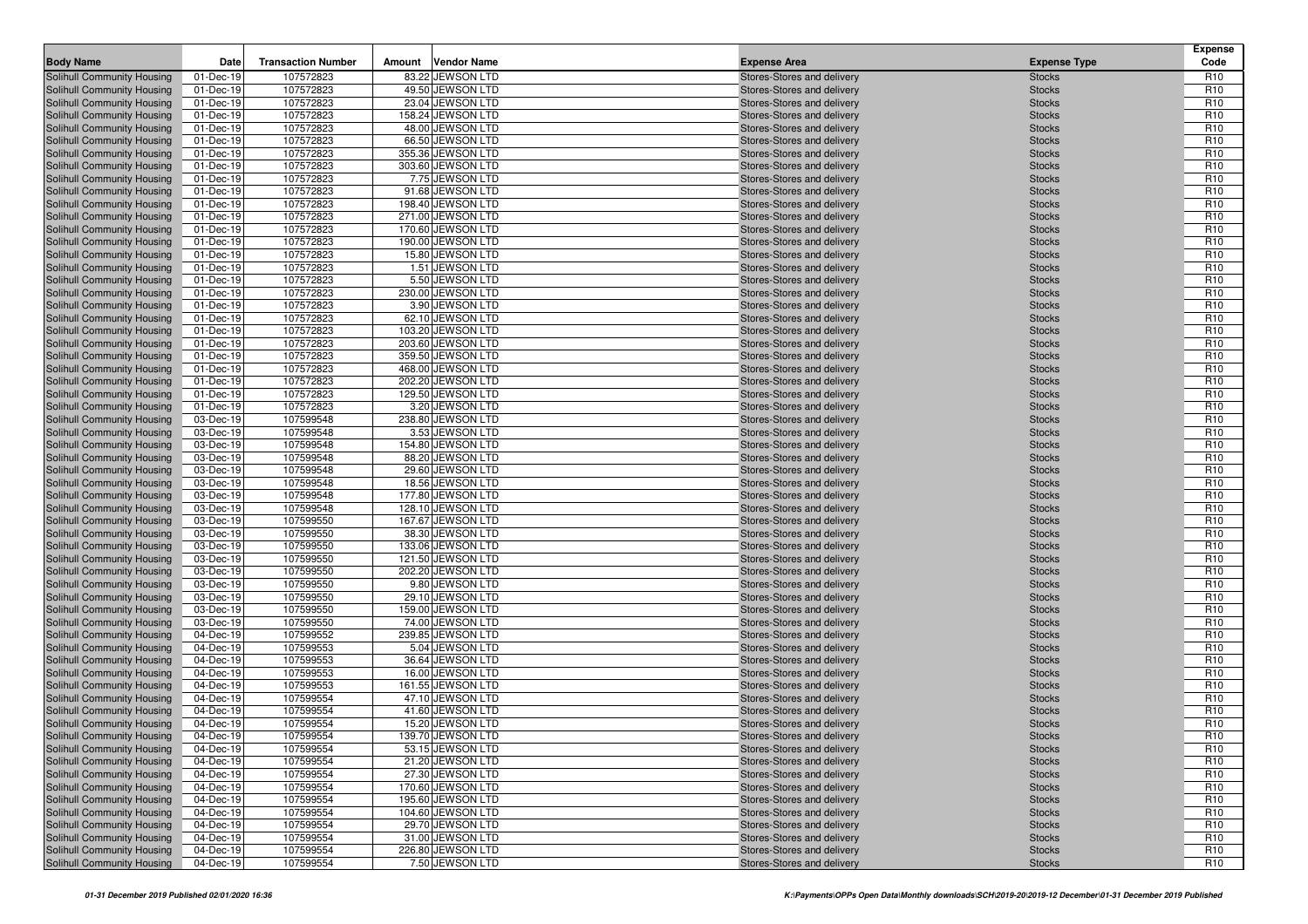|                                                          |                        |                           |        |                                       |                                                          |                                | <b>Expense</b>                     |
|----------------------------------------------------------|------------------------|---------------------------|--------|---------------------------------------|----------------------------------------------------------|--------------------------------|------------------------------------|
| <b>Body Name</b>                                         | Date                   | <b>Transaction Number</b> | Amount | <b>Vendor Name</b>                    | <b>Expense Area</b>                                      | <b>Expense Type</b>            | Code                               |
| Solihull Community Housing                               | 01-Dec-19              | 107572823                 |        | 83.22 JEWSON LTD                      | Stores-Stores and delivery                               | <b>Stocks</b>                  | R <sub>10</sub>                    |
| Solihull Community Housing<br>Solihull Community Housing | 01-Dec-19<br>01-Dec-19 | 107572823<br>107572823    |        | 49.50 JEWSON LTD<br>23.04 JEWSON LTD  | Stores-Stores and delivery<br>Stores-Stores and delivery | <b>Stocks</b><br><b>Stocks</b> | R <sub>10</sub><br>R <sub>10</sub> |
| Solihull Community Housing                               | 01-Dec-19              | 107572823                 |        | 158.24 JEWSON LTD                     | Stores-Stores and delivery                               | <b>Stocks</b>                  | R <sub>10</sub>                    |
| Solihull Community Housing                               | 01-Dec-19              | 107572823                 |        | 48.00 JEWSON LTD                      | Stores-Stores and delivery                               | <b>Stocks</b>                  | R <sub>10</sub>                    |
| Solihull Community Housing                               | 01-Dec-19              | 107572823                 |        | 66.50 JEWSON LTD                      | Stores-Stores and delivery                               | <b>Stocks</b>                  | R <sub>10</sub>                    |
| Solihull Community Housing                               | 01-Dec-19              | 107572823                 |        | 355.36 JEWSON LTD                     | Stores-Stores and delivery                               | <b>Stocks</b>                  | R <sub>10</sub>                    |
| Solihull Community Housing                               | 01-Dec-19              | 107572823                 |        | 303.60 JEWSON LTD                     | Stores-Stores and delivery                               | <b>Stocks</b>                  | R <sub>10</sub>                    |
| Solihull Community Housing                               | 01-Dec-19              | 107572823                 |        | 7.75 JEWSON LTD                       | Stores-Stores and delivery                               | <b>Stocks</b>                  | R <sub>10</sub>                    |
| Solihull Community Housing                               | 01-Dec-19              | 107572823                 |        | 91.68 JEWSON LTD                      | Stores-Stores and delivery                               | <b>Stocks</b>                  | R <sub>10</sub>                    |
| Solihull Community Housing                               | 01-Dec-19              | 107572823                 |        | 198.40 JEWSON LTD                     | Stores-Stores and delivery                               | <b>Stocks</b>                  | R <sub>10</sub>                    |
| Solihull Community Housing                               | 01-Dec-19              | 107572823                 |        | 271.00 JEWSON LTD                     | Stores-Stores and delivery                               | <b>Stocks</b>                  | R <sub>10</sub>                    |
| Solihull Community Housing                               | 01-Dec-19              | 107572823                 |        | 170.60 JEWSON LTD                     | Stores-Stores and delivery                               | <b>Stocks</b>                  | R <sub>10</sub>                    |
| Solihull Community Housing                               | 01-Dec-19              | 107572823                 |        | 190.00 JEWSON LTD                     | Stores-Stores and delivery                               | <b>Stocks</b>                  | R <sub>10</sub>                    |
| Solihull Community Housing                               | 01-Dec-19              | 107572823                 |        | 15.80 JEWSON LTD                      | Stores-Stores and delivery                               | <b>Stocks</b>                  | R <sub>10</sub>                    |
| Solihull Community Housing                               | 01-Dec-19              | 107572823                 |        | 1.51 JEWSON LTD                       | Stores-Stores and delivery                               | <b>Stocks</b>                  | R <sub>10</sub><br>R <sub>10</sub> |
| Solihull Community Housing<br>Solihull Community Housing | 01-Dec-19<br>01-Dec-19 | 107572823<br>107572823    |        | 5.50 JEWSON LTD<br>230.00 JEWSON LTD  | Stores-Stores and delivery<br>Stores-Stores and delivery | <b>Stocks</b><br><b>Stocks</b> | R <sub>10</sub>                    |
| Solihull Community Housing                               | 01-Dec-19              | 107572823                 |        | 3.90 JEWSON LTD                       | Stores-Stores and delivery                               | <b>Stocks</b>                  | R <sub>10</sub>                    |
| Solihull Community Housing                               | 01-Dec-19              | 107572823                 |        | 62.10 JEWSON LTD                      | Stores-Stores and delivery                               | <b>Stocks</b>                  | R <sub>10</sub>                    |
| Solihull Community Housing                               | 01-Dec-19              | 107572823                 |        | 103.20 JEWSON LTD                     | Stores-Stores and delivery                               | <b>Stocks</b>                  | R <sub>10</sub>                    |
| Solihull Community Housing                               | 01-Dec-19              | 107572823                 |        | 203.60 JEWSON LTD                     | Stores-Stores and delivery                               | <b>Stocks</b>                  | R <sub>10</sub>                    |
| Solihull Community Housing                               | 01-Dec-19              | 107572823                 |        | 359.50 JEWSON LTD                     | Stores-Stores and delivery                               | <b>Stocks</b>                  | R <sub>10</sub>                    |
| Solihull Community Housing                               | 01-Dec-19              | 107572823                 |        | 468.00 JEWSON LTD                     | Stores-Stores and delivery                               | <b>Stocks</b>                  | R <sub>10</sub>                    |
| Solihull Community Housing                               | 01-Dec-19              | 107572823                 |        | 202.20 JEWSON LTD                     | Stores-Stores and delivery                               | <b>Stocks</b>                  | R <sub>10</sub>                    |
| Solihull Community Housing                               | 01-Dec-19              | 107572823                 |        | 129.50 JEWSON LTD                     | Stores-Stores and delivery                               | <b>Stocks</b>                  | R <sub>10</sub>                    |
| Solihull Community Housing                               | 01-Dec-19              | 107572823                 |        | 3.20 JEWSON LTD                       | Stores-Stores and delivery                               | <b>Stocks</b>                  | R <sub>10</sub>                    |
| Solihull Community Housing                               | 03-Dec-19              | 107599548                 |        | 238.80 JEWSON LTD                     | Stores-Stores and delivery                               | <b>Stocks</b>                  | R <sub>10</sub>                    |
| Solihull Community Housing                               | 03-Dec-19              | 107599548                 |        | 3.53 JEWSON LTD                       | Stores-Stores and delivery                               | <b>Stocks</b>                  | R <sub>10</sub>                    |
| Solihull Community Housing                               | 03-Dec-19              | 107599548                 |        | 154.80 JEWSON LTD                     | Stores-Stores and delivery                               | <b>Stocks</b>                  | R <sub>10</sub>                    |
| Solihull Community Housing                               | 03-Dec-19              | 107599548                 |        | 88.20 JEWSON LTD                      | Stores-Stores and delivery                               | <b>Stocks</b>                  | R <sub>10</sub>                    |
| Solihull Community Housing                               | 03-Dec-19              | 107599548                 |        | 29.60 JEWSON LTD                      | Stores-Stores and delivery                               | <b>Stocks</b>                  | R <sub>10</sub><br>R <sub>10</sub> |
| Solihull Community Housing<br>Solihull Community Housing | 03-Dec-19<br>03-Dec-19 | 107599548<br>107599548    |        | 18.56 JEWSON LTD<br>177.80 JEWSON LTD | Stores-Stores and delivery<br>Stores-Stores and delivery | <b>Stocks</b><br><b>Stocks</b> | R <sub>10</sub>                    |
| Solihull Community Housing                               | 03-Dec-19              | 107599548                 |        | 128.10 JEWSON LTD                     | Stores-Stores and delivery                               | <b>Stocks</b>                  | R <sub>10</sub>                    |
| Solihull Community Housing                               | 03-Dec-19              | 107599550                 |        | 167.67 JEWSON LTD                     | Stores-Stores and delivery                               | <b>Stocks</b>                  | R <sub>10</sub>                    |
| Solihull Community Housing                               | 03-Dec-19              | 107599550                 |        | 38.30 JEWSON LTD                      | Stores-Stores and delivery                               | <b>Stocks</b>                  | R <sub>10</sub>                    |
| Solihull Community Housing                               | 03-Dec-19              | 107599550                 |        | 133.06 JEWSON LTD                     | Stores-Stores and delivery                               | <b>Stocks</b>                  | R <sub>10</sub>                    |
| Solihull Community Housing                               | 03-Dec-19              | 107599550                 |        | 121.50 JEWSON LTD                     | Stores-Stores and delivery                               | <b>Stocks</b>                  | R <sub>10</sub>                    |
| Solihull Community Housing                               | 03-Dec-19              | 107599550                 |        | 202.20 JEWSON LTD                     | Stores-Stores and delivery                               | <b>Stocks</b>                  | R <sub>10</sub>                    |
| Solihull Community Housing                               | 03-Dec-19              | 107599550                 |        | 9.80 JEWSON LTD                       | Stores-Stores and delivery                               | <b>Stocks</b>                  | R <sub>10</sub>                    |
| Solihull Community Housing                               | 03-Dec-19              | 107599550                 |        | 29.10 JEWSON LTD                      | Stores-Stores and delivery                               | <b>Stocks</b>                  | R <sub>10</sub>                    |
| Solihull Community Housing                               | 03-Dec-19              | 107599550                 |        | 159.00 JEWSON LTD                     | Stores-Stores and delivery                               | <b>Stocks</b>                  | R <sub>10</sub>                    |
| Solihull Community Housing                               | 03-Dec-19              | 107599550                 |        | 74.00 JEWSON LTD                      | Stores-Stores and delivery                               | <b>Stocks</b>                  | R <sub>10</sub>                    |
| Solihull Community Housing                               | 04-Dec-19              | 107599552                 |        | 239.85 JEWSON LTD                     | Stores-Stores and delivery                               | <b>Stocks</b>                  | R <sub>10</sub>                    |
| Solihull Community Housing<br>Solihull Community Housing | 04-Dec-19<br>04-Dec-19 | 107599553<br>107599553    |        | 5.04 JEWSON LTD<br>36.64 JEWSON LTD   | Stores-Stores and delivery<br>Stores-Stores and delivery | <b>Stocks</b><br><b>Stocks</b> | R <sub>10</sub><br>R <sub>10</sub> |
| Solihull Community Housing                               | 04-Dec-19              | 107599553                 |        | 16.00 JEWSON LTD                      | Stores-Stores and delivery                               | <b>Stocks</b>                  | R <sub>10</sub>                    |
| Solihull Community Housing                               | 04-Dec-19              | 107599553                 |        | 161.55 JEWSON LTD                     | Stores-Stores and delivery                               | <b>Stocks</b>                  | R <sub>10</sub>                    |
| Solihull Community Housing                               | 04-Dec-19              | 107599554                 |        | 47.10 JEWSON LTD                      | Stores-Stores and delivery                               | <b>Stocks</b>                  | R <sub>10</sub>                    |
| Solihull Community Housing                               | 04-Dec-19              | 107599554                 |        | 41.60 JEWSON LTD                      | Stores-Stores and delivery                               | <b>Stocks</b>                  | R <sub>10</sub>                    |
| Solihull Community Housing                               | 04-Dec-19              | 107599554                 |        | 15.20 JEWSON LTD                      | Stores-Stores and delivery                               | <b>Stocks</b>                  | R <sub>10</sub>                    |
| Solihull Community Housing                               | 04-Dec-19              | 107599554                 |        | 139.70 JEWSON LTD                     | Stores-Stores and delivery                               | <b>Stocks</b>                  | R <sub>10</sub>                    |
| Solihull Community Housing                               | 04-Dec-19              | 107599554                 |        | 53.15 JEWSON LTD                      | Stores-Stores and delivery                               | <b>Stocks</b>                  | R <sub>10</sub>                    |
| Solihull Community Housing                               | 04-Dec-19              | 107599554                 |        | 21.20 JEWSON LTD                      | Stores-Stores and delivery                               | <b>Stocks</b>                  | R <sub>10</sub>                    |
| Solihull Community Housing                               | 04-Dec-19              | 107599554                 |        | 27.30 JEWSON LTD                      | Stores-Stores and delivery                               | <b>Stocks</b>                  | R <sub>10</sub>                    |
| Solihull Community Housing                               | 04-Dec-19              | 107599554                 |        | 170.60 JEWSON LTD                     | Stores-Stores and delivery                               | <b>Stocks</b>                  | R <sub>10</sub>                    |
| Solihull Community Housing                               | 04-Dec-19              | 107599554                 |        | 195.60 JEWSON LTD                     | Stores-Stores and delivery                               | <b>Stocks</b>                  | R <sub>10</sub>                    |
| Solihull Community Housing                               | 04-Dec-19              | 107599554                 |        | 104.60 JEWSON LTD                     | Stores-Stores and delivery                               | <b>Stocks</b>                  | R <sub>10</sub>                    |
| Solihull Community Housing                               | 04-Dec-19              | 107599554                 |        | 29.70 JEWSON LTD                      | Stores-Stores and delivery                               | <b>Stocks</b>                  | R <sub>10</sub>                    |
| Solihull Community Housing                               | 04-Dec-19              | 107599554                 |        | 31.00 JEWSON LTD                      | Stores-Stores and delivery                               | <b>Stocks</b>                  | R <sub>10</sub>                    |
| Solihull Community Housing                               | 04-Dec-19              | 107599554                 |        | 226.80 JEWSON LTD<br>7.50 JEWSON LTD  | Stores-Stores and delivery                               | <b>Stocks</b>                  | R <sub>10</sub>                    |
| Solihull Community Housing                               | 04-Dec-19              | 107599554                 |        |                                       | Stores-Stores and delivery                               | <b>Stocks</b>                  | R <sub>10</sub>                    |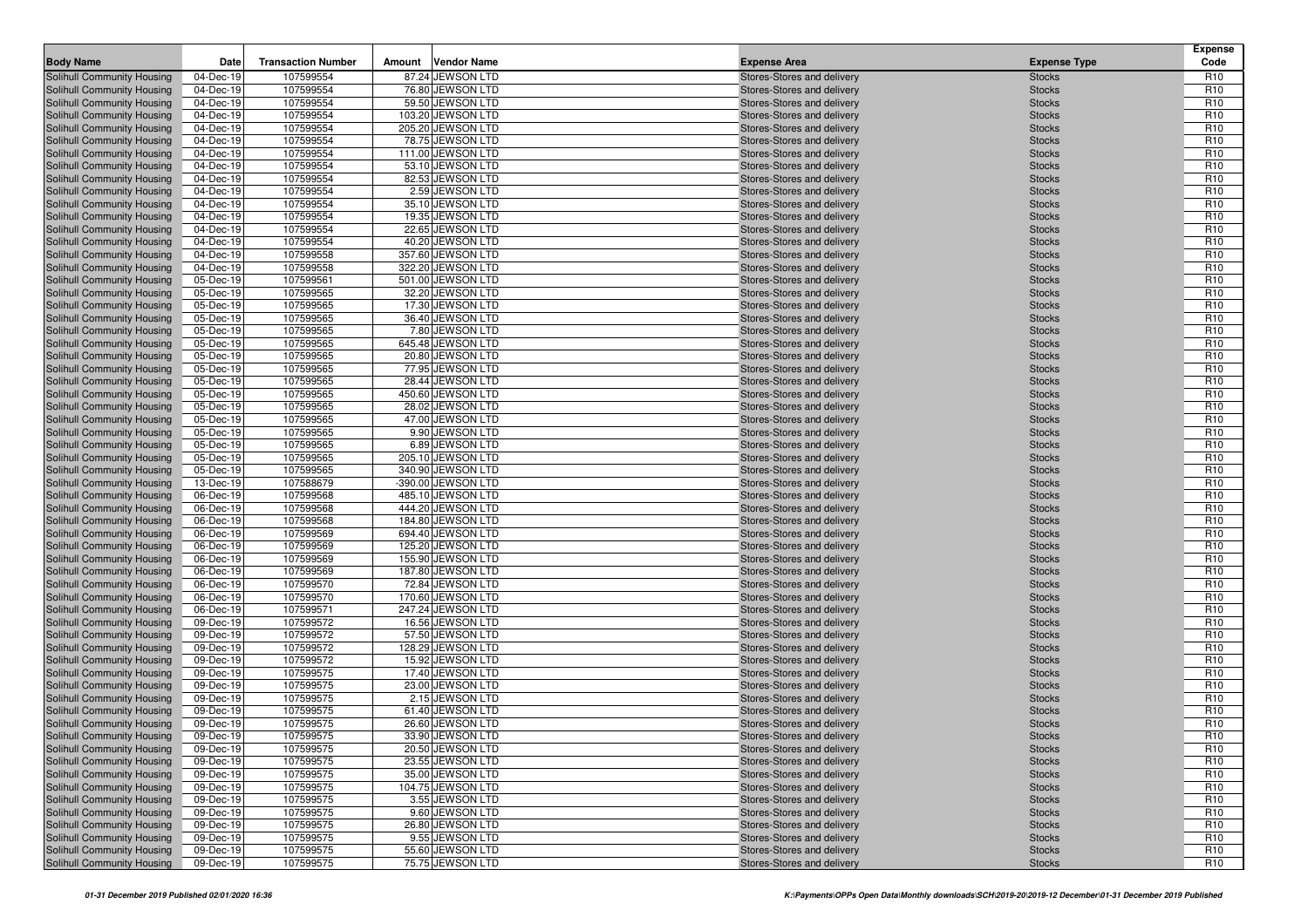| <b>Body Name</b>                                         | Date                   | <b>Transaction Number</b> | Amount | <b>Vendor Name</b>                     | <b>Expense Area</b>                                      | <b>Expense Type</b>            | <b>Expense</b><br>Code             |
|----------------------------------------------------------|------------------------|---------------------------|--------|----------------------------------------|----------------------------------------------------------|--------------------------------|------------------------------------|
| Solihull Community Housing                               | 04-Dec-19              | 107599554                 |        | 87.24 JEWSON LTD                       | Stores-Stores and delivery                               | <b>Stocks</b>                  | R <sub>10</sub>                    |
| Solihull Community Housing                               | 04-Dec-19              | 107599554                 |        | 76.80 JEWSON LTD                       | Stores-Stores and delivery                               | <b>Stocks</b>                  | R <sub>10</sub>                    |
| Solihull Community Housing                               | 04-Dec-19              | 107599554                 |        | 59.50 JEWSON LTD                       | Stores-Stores and delivery                               | <b>Stocks</b>                  | R <sub>10</sub>                    |
| Solihull Community Housing                               | 04-Dec-19              | 107599554                 |        | 103.20 JEWSON LTD                      | Stores-Stores and delivery                               | <b>Stocks</b>                  | R <sub>10</sub>                    |
| Solihull Community Housing                               | 04-Dec-19              | 107599554                 |        | 205.20 JEWSON LTD                      | Stores-Stores and delivery                               | <b>Stocks</b>                  | R <sub>10</sub>                    |
| Solihull Community Housing                               | 04-Dec-19              | 107599554                 |        | 78.75 JEWSON LTD                       | Stores-Stores and delivery                               | <b>Stocks</b>                  | R <sub>10</sub>                    |
| Solihull Community Housing                               | 04-Dec-19              | 107599554                 |        | 111.00 JEWSON LTD                      | Stores-Stores and delivery                               | <b>Stocks</b>                  | R <sub>10</sub>                    |
| Solihull Community Housing                               | 04-Dec-19              | 107599554                 |        | 53.10 JEWSON LTD                       | Stores-Stores and delivery                               | <b>Stocks</b>                  | R <sub>10</sub>                    |
| Solihull Community Housing                               | 04-Dec-19              | 107599554                 |        | 82.53 JEWSON LTD                       | Stores-Stores and delivery                               | <b>Stocks</b>                  | R <sub>10</sub>                    |
| Solihull Community Housing                               | 04-Dec-19              | 107599554                 |        | 2.59 JEWSON LTD                        | Stores-Stores and delivery                               | <b>Stocks</b>                  | R <sub>10</sub>                    |
| Solihull Community Housing                               | 04-Dec-19              | 107599554                 |        | 35.10 JEWSON LTD                       | Stores-Stores and delivery                               | <b>Stocks</b>                  | R <sub>10</sub>                    |
| Solihull Community Housing                               | 04-Dec-19              | 107599554                 |        | 19.35 JEWSON LTD                       | Stores-Stores and delivery                               | <b>Stocks</b>                  | R <sub>10</sub>                    |
| Solihull Community Housing                               | 04-Dec-19              | 107599554                 |        | 22.65 JEWSON LTD                       | Stores-Stores and delivery                               | <b>Stocks</b>                  | R <sub>10</sub>                    |
| Solihull Community Housing                               | 04-Dec-19              | 107599554                 |        | 40.20 JEWSON LTD                       | Stores-Stores and delivery                               | <b>Stocks</b>                  | R <sub>10</sub>                    |
| Solihull Community Housing                               | 04-Dec-19              | 107599558                 |        | 357.60 JEWSON LTD                      | Stores-Stores and delivery                               | <b>Stocks</b>                  | R <sub>10</sub>                    |
| Solihull Community Housing                               | 04-Dec-19              | 107599558                 |        | 322.20 JEWSON LTD                      | Stores-Stores and delivery                               | <b>Stocks</b>                  | R <sub>10</sub>                    |
| Solihull Community Housing                               | 05-Dec-19              | 107599561<br>107599565    |        | 501.00 JEWSON LTD<br>32.20 JEWSON LTD  | Stores-Stores and delivery                               | <b>Stocks</b>                  | R <sub>10</sub><br>R <sub>10</sub> |
| Solihull Community Housing<br>Solihull Community Housing | 05-Dec-19<br>05-Dec-19 | 107599565                 |        | 17.30 JEWSON LTD                       | Stores-Stores and delivery<br>Stores-Stores and delivery | <b>Stocks</b><br><b>Stocks</b> | R <sub>10</sub>                    |
| Solihull Community Housing                               | 05-Dec-19              | 107599565                 |        | 36.40 JEWSON LTD                       | Stores-Stores and delivery                               | <b>Stocks</b>                  | R <sub>10</sub>                    |
| Solihull Community Housing                               | 05-Dec-19              | 107599565                 |        | 7.80 JEWSON LTD                        | Stores-Stores and delivery                               | <b>Stocks</b>                  | R <sub>10</sub>                    |
| Solihull Community Housing                               | 05-Dec-19              | 107599565                 |        | 645.48 JEWSON LTD                      | Stores-Stores and delivery                               | <b>Stocks</b>                  | R <sub>10</sub>                    |
| Solihull Community Housing                               | 05-Dec-19              | 107599565                 |        | 20.80 JEWSON LTD                       | Stores-Stores and delivery                               | <b>Stocks</b>                  | R <sub>10</sub>                    |
| Solihull Community Housing                               | 05-Dec-19              | 107599565                 |        | 77.95 JEWSON LTD                       | Stores-Stores and delivery                               | <b>Stocks</b>                  | R <sub>10</sub>                    |
| Solihull Community Housing                               | 05-Dec-19              | 107599565                 |        | 28.44 JEWSON LTD                       | Stores-Stores and delivery                               | <b>Stocks</b>                  | R <sub>10</sub>                    |
| Solihull Community Housing                               | 05-Dec-19              | 107599565                 |        | 450.60 JEWSON LTD                      | Stores-Stores and delivery                               | <b>Stocks</b>                  | R <sub>10</sub>                    |
| Solihull Community Housing                               | 05-Dec-19              | 107599565                 |        | 28.02 JEWSON LTD                       | Stores-Stores and delivery                               | <b>Stocks</b>                  | R <sub>10</sub>                    |
| Solihull Community Housing                               | 05-Dec-19              | 107599565                 |        | 47.00 JEWSON LTD                       | Stores-Stores and delivery                               | <b>Stocks</b>                  | R <sub>10</sub>                    |
| Solihull Community Housing                               | 05-Dec-19              | 107599565                 |        | 9.90 JEWSON LTD                        | Stores-Stores and delivery                               | <b>Stocks</b>                  | R <sub>10</sub>                    |
| Solihull Community Housing                               | 05-Dec-19              | 107599565                 |        | 6.89 JEWSON LTD                        | Stores-Stores and delivery                               | <b>Stocks</b>                  | R <sub>10</sub>                    |
| Solihull Community Housing                               | 05-Dec-19              | 107599565                 |        | 205.10 JEWSON LTD                      | Stores-Stores and delivery                               | <b>Stocks</b>                  | R <sub>10</sub>                    |
| Solihull Community Housing                               | 05-Dec-19              | 107599565                 |        | 340.90 JEWSON LTD                      | Stores-Stores and delivery                               | <b>Stocks</b>                  | R <sub>10</sub>                    |
| Solihull Community Housing                               | 13-Dec-19              | 107588679                 |        | -390.00 JEWSON LTD                     | Stores-Stores and delivery                               | <b>Stocks</b>                  | R <sub>10</sub>                    |
| Solihull Community Housing                               | 06-Dec-19              | 107599568                 |        | 485.10 JEWSON LTD                      | Stores-Stores and delivery                               | <b>Stocks</b>                  | R <sub>10</sub>                    |
| Solihull Community Housing                               | 06-Dec-19              | 107599568                 |        | 444.20 JEWSON LTD                      | Stores-Stores and delivery                               | <b>Stocks</b>                  | R <sub>10</sub>                    |
| Solihull Community Housing                               | 06-Dec-19              | 107599568                 |        | 184.80 JEWSON LTD                      | Stores-Stores and delivery                               | <b>Stocks</b>                  | R <sub>10</sub>                    |
| Solihull Community Housing                               | 06-Dec-19              | 107599569                 |        | 694.40 JEWSON LTD                      | Stores-Stores and delivery                               | <b>Stocks</b>                  | R <sub>10</sub>                    |
| Solihull Community Housing                               | 06-Dec-19              | 107599569<br>107599569    |        | 125.20 JEWSON LTD                      | Stores-Stores and delivery                               | <b>Stocks</b>                  | R <sub>10</sub><br>R <sub>10</sub> |
| Solihull Community Housing<br>Solihull Community Housing | 06-Dec-19<br>06-Dec-19 | 107599569                 |        | 155.90 JEWSON LTD<br>187.80 JEWSON LTD | Stores-Stores and delivery<br>Stores-Stores and delivery | <b>Stocks</b><br><b>Stocks</b> | R <sub>10</sub>                    |
| Solihull Community Housing                               | 06-Dec-19              | 107599570                 |        | 72.84 JEWSON LTD                       | Stores-Stores and delivery                               | <b>Stocks</b>                  | R <sub>10</sub>                    |
| Solihull Community Housing                               | 06-Dec-19              | 107599570                 |        | 170.60 JEWSON LTD                      | Stores-Stores and delivery                               | <b>Stocks</b>                  | R <sub>10</sub>                    |
| Solihull Community Housing                               | 06-Dec-19              | 107599571                 |        | 247.24 JEWSON LTD                      | Stores-Stores and delivery                               | <b>Stocks</b>                  | R <sub>10</sub>                    |
| Solihull Community Housing                               | 09-Dec-19              | 107599572                 |        | 16.56 JEWSON LTD                       | Stores-Stores and delivery                               | <b>Stocks</b>                  | R <sub>10</sub>                    |
| Solihull Community Housing                               | 09-Dec-19              | 107599572                 |        | 57.50 JEWSON LTD                       | Stores-Stores and delivery                               | <b>Stocks</b>                  | R <sub>10</sub>                    |
| Solihull Community Housing                               | 09-Dec-19              | 107599572                 |        | 128.29 JEWSON LTD                      | Stores-Stores and delivery                               | <b>Stocks</b>                  | R <sub>10</sub>                    |
| Solihull Community Housing                               | 09-Dec-19              | 107599572                 |        | 15.92 JEWSON LTD                       | Stores-Stores and delivery                               | <b>Stocks</b>                  | R <sub>10</sub>                    |
| Solihull Community Housing                               | 09-Dec-19              | 107599575                 |        | 17.40 JEWSON LTD                       | Stores-Stores and delivery                               | <b>Stocks</b>                  | R <sub>10</sub>                    |
| Solihull Community Housing                               | 09-Dec-19              | 107599575                 |        | 23.00 JEWSON LTD                       | Stores-Stores and delivery                               | <b>Stocks</b>                  | R <sub>10</sub>                    |
| Solihull Community Housing                               | 09-Dec-19              | 107599575                 |        | 2.15 JEWSON LTD                        | Stores-Stores and delivery                               | <b>Stocks</b>                  | R <sub>10</sub>                    |
| Solihull Community Housing                               | 09-Dec-19              | 107599575                 |        | 61.40 JEWSON LTD                       | Stores-Stores and delivery                               | <b>Stocks</b>                  | R <sub>10</sub>                    |
| <b>Solihull Community Housing</b>                        | 09-Dec-19              | 107599575                 |        | 26.60 JEWSON LTD                       | Stores-Stores and delivery                               | <b>Stocks</b>                  | R <sub>10</sub>                    |
| Solihull Community Housing                               | 09-Dec-19              | 107599575                 |        | 33.90 JEWSON LTD                       | Stores-Stores and delivery                               | <b>Stocks</b>                  | R <sub>10</sub>                    |
| Solihull Community Housing                               | 09-Dec-19              | 107599575                 |        | 20.50 JEWSON LTD                       | Stores-Stores and delivery                               | <b>Stocks</b>                  | R <sub>10</sub>                    |
| Solihull Community Housing                               | 09-Dec-19              | 107599575                 |        | 23.55 JEWSON LTD                       | Stores-Stores and delivery                               | <b>Stocks</b>                  | R <sub>10</sub>                    |
| Solihull Community Housing                               | 09-Dec-19              | 107599575                 |        | 35.00 JEWSON LTD                       | Stores-Stores and delivery                               | <b>Stocks</b>                  | R <sub>10</sub>                    |
| Solihull Community Housing                               | 09-Dec-19              | 107599575                 |        | 104.75 JEWSON LTD                      | Stores-Stores and delivery                               | <b>Stocks</b>                  | R <sub>10</sub>                    |
| Solihull Community Housing                               | 09-Dec-19              | 107599575                 |        | 3.55 JEWSON LTD                        | Stores-Stores and delivery                               | <b>Stocks</b>                  | R <sub>10</sub>                    |
| Solihull Community Housing                               | 09-Dec-19              | 107599575                 |        | 9.60 JEWSON LTD                        | Stores-Stores and delivery                               | <b>Stocks</b>                  | R <sub>10</sub>                    |
| Solihull Community Housing                               | 09-Dec-19              | 107599575                 |        | 26.80 JEWSON LTD                       | Stores-Stores and delivery                               | <b>Stocks</b>                  | R <sub>10</sub>                    |
| Solihull Community Housing                               | 09-Dec-19              | 107599575                 |        | 9.55 JEWSON LTD                        | Stores-Stores and delivery                               | <b>Stocks</b>                  | R <sub>10</sub>                    |
| Solihull Community Housing                               | 09-Dec-19              | 107599575                 |        | 55.60 JEWSON LTD                       | Stores-Stores and delivery                               | <b>Stocks</b>                  | R <sub>10</sub>                    |
| Solihull Community Housing                               | 09-Dec-19              | 107599575                 |        | 75.75 JEWSON LTD                       | Stores-Stores and delivery                               | <b>Stocks</b>                  | R <sub>10</sub>                    |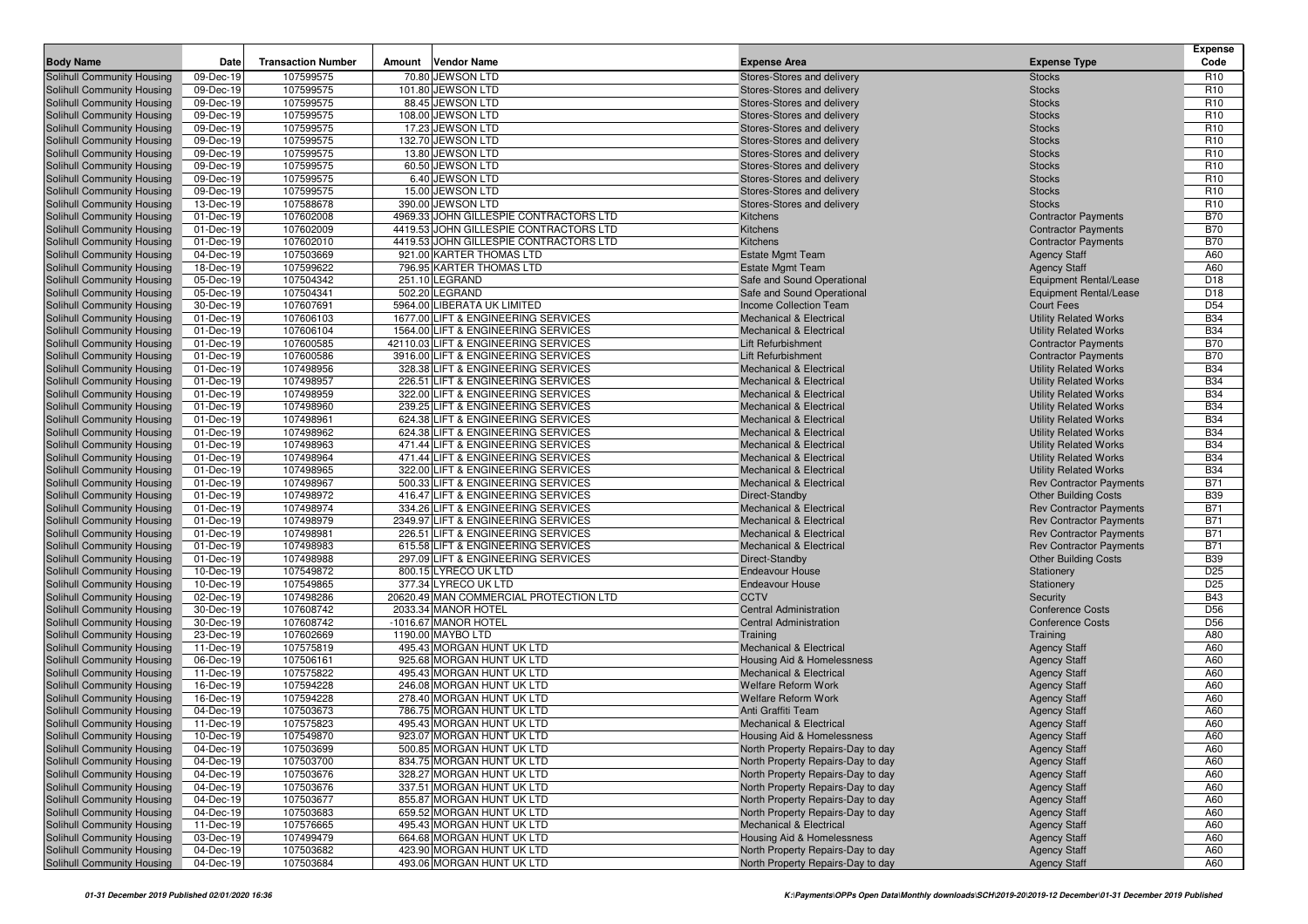| <b>Body Name</b>                                         | Date                   | <b>Transaction Number</b> | Amount | <b>Vendor Name</b>                                                       | <b>Expense Area</b>                                                      | <b>Expense Type</b>                                          | Expense<br>Code          |
|----------------------------------------------------------|------------------------|---------------------------|--------|--------------------------------------------------------------------------|--------------------------------------------------------------------------|--------------------------------------------------------------|--------------------------|
| Solihull Community Housing                               | 09-Dec-19              | 107599575                 |        | 70.80 JEWSON LTD                                                         | Stores-Stores and delivery                                               | <b>Stocks</b>                                                | R <sub>10</sub>          |
| Solihull Community Housing                               | 09-Dec-19              | 107599575                 |        | 101.80 JEWSON LTD                                                        | Stores-Stores and delivery                                               | <b>Stocks</b>                                                | R <sub>10</sub>          |
| Solihull Community Housing                               | 09-Dec-19              | 107599575                 |        | 88.45 JEWSON LTD                                                         | Stores-Stores and delivery                                               | <b>Stocks</b>                                                | R <sub>10</sub>          |
| Solihull Community Housing                               | 09-Dec-19              | 107599575                 |        | 108.00 JEWSON LTD                                                        | Stores-Stores and delivery                                               | <b>Stocks</b>                                                | R <sub>10</sub>          |
| Solihull Community Housing                               | 09-Dec-19              | 107599575                 |        | 17.23 JEWSON LTD                                                         | Stores-Stores and delivery                                               | <b>Stocks</b>                                                | R <sub>10</sub>          |
| Solihull Community Housing                               | 09-Dec-19              | 107599575                 |        | 132.70 JEWSON LTD                                                        | Stores-Stores and delivery                                               | <b>Stocks</b>                                                | R <sub>10</sub>          |
| Solihull Community Housing                               | 09-Dec-19              | 107599575                 |        | 13.80 JEWSON LTD                                                         | Stores-Stores and delivery                                               | <b>Stocks</b>                                                | R <sub>10</sub>          |
| Solihull Community Housing                               | 09-Dec-19              | 107599575                 |        | 60.50 JEWSON LTD                                                         | Stores-Stores and delivery                                               | <b>Stocks</b>                                                | R <sub>10</sub>          |
| Solihull Community Housing                               | 09-Dec-19              | 107599575                 |        | 6.40 JEWSON LTD                                                          | Stores-Stores and delivery                                               | <b>Stocks</b>                                                | R <sub>10</sub>          |
| Solihull Community Housing                               | 09-Dec-19              | 107599575                 |        | 15.00 JEWSON LTD                                                         | Stores-Stores and delivery                                               | <b>Stocks</b>                                                | R <sub>10</sub>          |
| Solihull Community Housing                               | 13-Dec-19              | 107588678                 |        | 390.00 JEWSON LTD                                                        | Stores-Stores and delivery                                               | <b>Stocks</b>                                                | R <sub>10</sub>          |
| Solihull Community Housing                               | 01-Dec-19              | 107602008                 |        | 4969.33 JOHN GILLESPIE CONTRACTORS LTD                                   | Kitchens                                                                 | <b>Contractor Payments</b>                                   | <b>B70</b>               |
| Solihull Community Housing                               | 01-Dec-19              | 107602009                 |        | 4419.53 JOHN GILLESPIE CONTRACTORS LTD                                   | Kitchens                                                                 | <b>Contractor Payments</b>                                   | <b>B70</b>               |
| Solihull Community Housing                               | 01-Dec-19              | 107602010                 |        | 4419.53 JOHN GILLESPIE CONTRACTORS LTD                                   | Kitchens                                                                 | <b>Contractor Payments</b>                                   | <b>B70</b>               |
| Solihull Community Housing                               | 04-Dec-19              | 107503669                 |        | 921.00 KARTER THOMAS LTD                                                 | <b>Estate Mgmt Team</b>                                                  | <b>Agency Staff</b>                                          | A60                      |
| Solihull Community Housing                               | 18-Dec-19              | 107599622                 |        | 796.95 KARTER THOMAS LTD                                                 | <b>Estate Mgmt Team</b>                                                  | <b>Agency Staff</b>                                          | A60                      |
| Solihull Community Housing                               | 05-Dec-19              | 107504342                 |        | 251.10 LEGRAND                                                           | Safe and Sound Operational                                               | <b>Equipment Rental/Lease</b>                                | D <sub>18</sub>          |
| Solihull Community Housing                               | 05-Dec-19              | 107504341                 |        | 502.20 LEGRAND                                                           | Safe and Sound Operational                                               | <b>Equipment Rental/Lease</b>                                | D <sub>18</sub>          |
| Solihull Community Housing                               | 30-Dec-19              | 107607691                 |        | 5964.00 LIBERATA UK LIMITED                                              | Income Collection Team                                                   | <b>Court Fees</b>                                            | D <sub>54</sub>          |
| Solihull Community Housing                               | 01-Dec-19              | 107606103                 |        | 1677.00 LIFT & ENGINEERING SERVICES                                      | <b>Mechanical &amp; Electrical</b>                                       | <b>Utility Related Works</b>                                 | <b>B34</b>               |
| Solihull Community Housing                               | 01-Dec-19              | 107606104                 |        | 1564.00 LIFT & ENGINEERING SERVICES                                      | <b>Mechanical &amp; Electrical</b>                                       | <b>Utility Related Works</b>                                 | <b>B34</b>               |
| Solihull Community Housing                               | 01-Dec-19              | 107600585                 |        | 42110.03 LIFT & ENGINEERING SERVICES                                     | Lift Refurbishment                                                       | <b>Contractor Payments</b>                                   | <b>B70</b>               |
| Solihull Community Housing                               | 01-Dec-19              | 107600586                 |        | 3916.00 LIFT & ENGINEERING SERVICES                                      | <b>Lift Refurbishment</b>                                                | <b>Contractor Payments</b>                                   | <b>B70</b>               |
| Solihull Community Housing                               | 01-Dec-19              | 107498956                 |        | 328.38 LIFT & ENGINEERING SERVICES                                       | <b>Mechanical &amp; Electrical</b>                                       | <b>Utility Related Works</b>                                 | <b>B34</b>               |
| Solihull Community Housing                               | 01-Dec-19              | 107498957                 |        | 226.51 LIFT & ENGINEERING SERVICES                                       | <b>Mechanical &amp; Electrical</b>                                       | <b>Utility Related Works</b>                                 | <b>B34</b>               |
| Solihull Community Housing<br>Solihull Community Housing | 01-Dec-19<br>01-Dec-19 | 107498959<br>107498960    |        | 322.00 LIFT & ENGINEERING SERVICES                                       | Mechanical & Electrical                                                  | <b>Utility Related Works</b>                                 | <b>B34</b><br><b>B34</b> |
|                                                          |                        | 107498961                 |        | 239.25 LIFT & ENGINEERING SERVICES                                       | <b>Mechanical &amp; Electrical</b><br><b>Mechanical &amp; Electrical</b> | <b>Utility Related Works</b>                                 | <b>B34</b>               |
| Solihull Community Housing<br>Solihull Community Housing | 01-Dec-19<br>01-Dec-19 | 107498962                 |        | 624.38 LIFT & ENGINEERING SERVICES<br>624.38 LIFT & ENGINEERING SERVICES | <b>Mechanical &amp; Electrical</b>                                       | <b>Utility Related Works</b><br><b>Utility Related Works</b> | <b>B34</b>               |
| Solihull Community Housing                               | 01-Dec-19              | 107498963                 |        | 471.44 LIFT & ENGINEERING SERVICES                                       | <b>Mechanical &amp; Electrical</b>                                       | <b>Utility Related Works</b>                                 | <b>B34</b>               |
| Solihull Community Housing                               | 01-Dec-19              | 107498964                 |        | 471.44 LIFT & ENGINEERING SERVICES                                       | <b>Mechanical &amp; Electrical</b>                                       | <b>Utility Related Works</b>                                 | <b>B34</b>               |
| Solihull Community Housing                               | 01-Dec-19              | 107498965                 |        | 322.00 LIFT & ENGINEERING SERVICES                                       | <b>Mechanical &amp; Electrical</b>                                       | <b>Utility Related Works</b>                                 | <b>B34</b>               |
| Solihull Community Housing                               | 01-Dec-19              | 107498967                 |        | 500.33 LIFT & ENGINEERING SERVICES                                       | Mechanical & Electrical                                                  | <b>Rev Contractor Payments</b>                               | <b>B71</b>               |
| Solihull Community Housing                               | 01-Dec-19              | 107498972                 |        | 416.47 LIFT & ENGINEERING SERVICES                                       | Direct-Standby                                                           | <b>Other Building Costs</b>                                  | <b>B39</b>               |
| Solihull Community Housing                               | 01-Dec-19              | 107498974                 |        | 334.26 LIFT & ENGINEERING SERVICES                                       | <b>Mechanical &amp; Electrical</b>                                       | <b>Rev Contractor Payments</b>                               | <b>B71</b>               |
| Solihull Community Housing                               | 01-Dec-19              | 107498979                 |        | 2349.97 LIFT & ENGINEERING SERVICES                                      | <b>Mechanical &amp; Electrical</b>                                       | <b>Rev Contractor Payments</b>                               | <b>B71</b>               |
| Solihull Community Housing                               | 01-Dec-19              | 107498981                 |        | 226.51 LIFT & ENGINEERING SERVICES                                       | <b>Mechanical &amp; Electrical</b>                                       | <b>Rev Contractor Payments</b>                               | <b>B71</b>               |
| Solihull Community Housing                               | 01-Dec-19              | 107498983                 |        | 615.58 LIFT & ENGINEERING SERVICES                                       | <b>Mechanical &amp; Electrical</b>                                       | <b>Rev Contractor Payments</b>                               | <b>B71</b>               |
| Solihull Community Housing                               | 01-Dec-19              | 107498988                 |        | 297.09 LIFT & ENGINEERING SERVICES                                       | Direct-Standby                                                           | <b>Other Building Costs</b>                                  | <b>B39</b>               |
| Solihull Community Housing                               | 10-Dec-19              | 107549872                 |        | 800.15 LYRECO UK LTD                                                     | <b>Endeavour House</b>                                                   | Stationery                                                   | D <sub>25</sub>          |
| Solihull Community Housing                               | 10-Dec-19              | 107549865                 |        | 377.34 LYRECO UK LTD                                                     | <b>Endeavour House</b>                                                   | Stationery                                                   | D <sub>25</sub>          |
| Solihull Community Housing                               | 02-Dec-19              | 107498286                 |        | 20620.49 MAN COMMERCIAL PROTECTION LTD                                   | <b>CCTV</b>                                                              | Security                                                     | <b>B43</b>               |
| Solihull Community Housing                               | 30-Dec-19              | 107608742                 |        | 2033.34 MANOR HOTEL                                                      | <b>Central Administration</b>                                            | <b>Conference Costs</b>                                      | D <sub>56</sub>          |
| Solihull Community Housing                               | 30-Dec-19              | 107608742                 |        | -1016.67 MANOR HOTEL                                                     | <b>Central Administration</b>                                            | <b>Conference Costs</b>                                      | D <sub>56</sub>          |
| Solihull Community Housing                               | 23-Dec-19              | 107602669                 |        | 1190.00 MAYBO LTD                                                        | Training                                                                 | Training                                                     | A80                      |
| Solihull Community Housing                               | 11-Dec-19              | 107575819                 |        | 495.43 MORGAN HUNT UK LTD                                                | Mechanical & Electrical                                                  | <b>Agency Staff</b>                                          | A60                      |
| Solihull Community Housing                               | 06-Dec-19              | 107506161                 |        | 925.68 MORGAN HUNT UK LTD                                                | Housing Aid & Homelessness                                               | <b>Agency Staff</b>                                          | A60                      |
| Solihull Community Housing                               | 11-Dec-19              | 107575822                 |        | 495.43 MORGAN HUNT UK LTD                                                | <b>Mechanical &amp; Electrical</b>                                       | <b>Agency Staff</b>                                          | A60                      |
| Solihull Community Housing                               | 16-Dec-19              | 107594228                 |        | 246.08 MORGAN HUNT UK LTD                                                | <b>Welfare Reform Work</b>                                               | <b>Agency Staff</b>                                          | A60                      |
| Solihull Community Housing                               | 16-Dec-19              | 107594228                 |        | 278.40 MORGAN HUNT UK LTD                                                | <b>Welfare Reform Work</b>                                               | <b>Agency Staff</b>                                          | A60                      |
| Solihull Community Housing                               | 04-Dec-19              | 107503673                 |        | 786.75 MORGAN HUNT UK LTD                                                | Anti Graffiti Team                                                       | <b>Agency Staff</b>                                          | A60                      |
| <b>Solihull Community Housing</b>                        | 11-Dec-19              | 107575823                 |        | 495.43 MORGAN HUNT UK LTD                                                | <b>Mechanical &amp; Electrical</b>                                       | <b>Agency Staff</b>                                          | A60                      |
| Solihull Community Housing                               | 10-Dec-19              | 107549870                 |        | 923.07 MORGAN HUNT UK LTD                                                | Housing Aid & Homelessness                                               | <b>Agency Staff</b>                                          | A60                      |
| Solihull Community Housing                               | 04-Dec-19              | 107503699                 |        | 500.85 MORGAN HUNT UK LTD                                                | North Property Repairs-Day to day                                        | <b>Agency Staff</b>                                          | A60                      |
| Solihull Community Housing                               | 04-Dec-19              | 107503700                 |        | 834.75 MORGAN HUNT UK LTD                                                | North Property Repairs-Day to day                                        | <b>Agency Staff</b>                                          | A60                      |
| Solihull Community Housing                               | 04-Dec-19              | 107503676                 |        | 328.27 MORGAN HUNT UK LTD<br>337.51 MORGAN HUNT UK LTD                   | North Property Repairs-Day to day                                        | <b>Agency Staff</b>                                          | A60                      |
| Solihull Community Housing<br>Solihull Community Housing | 04-Dec-19              | 107503676<br>107503677    |        | 855.87 MORGAN HUNT UK LTD                                                | North Property Repairs-Day to day<br>North Property Repairs-Day to day   | <b>Agency Staff</b>                                          | A60<br>A60               |
| Solihull Community Housing                               | 04-Dec-19<br>04-Dec-19 | 107503683                 |        | 659.52 MORGAN HUNT UK LTD                                                | North Property Repairs-Day to day                                        | <b>Agency Staff</b>                                          | A60                      |
| Solihull Community Housing                               | 11-Dec-19              | 107576665                 |        | 495.43 MORGAN HUNT UK LTD                                                | Mechanical & Electrical                                                  | <b>Agency Staff</b><br><b>Agency Staff</b>                   | A60                      |
| Solihull Community Housing                               | 03-Dec-19              | 107499479                 |        | 664.68 MORGAN HUNT UK LTD                                                | Housing Aid & Homelessness                                               | <b>Agency Staff</b>                                          | A60                      |
| Solihull Community Housing                               | 04-Dec-19              | 107503682                 |        | 423.90 MORGAN HUNT UK LTD                                                | North Property Repairs-Day to day                                        | <b>Agency Staff</b>                                          | A60                      |
| Solihull Community Housing                               | 04-Dec-19              | 107503684                 |        | 493.06 MORGAN HUNT UK LTD                                                | North Property Repairs-Day to day                                        | <b>Agency Staff</b>                                          | A60                      |
|                                                          |                        |                           |        |                                                                          |                                                                          |                                                              |                          |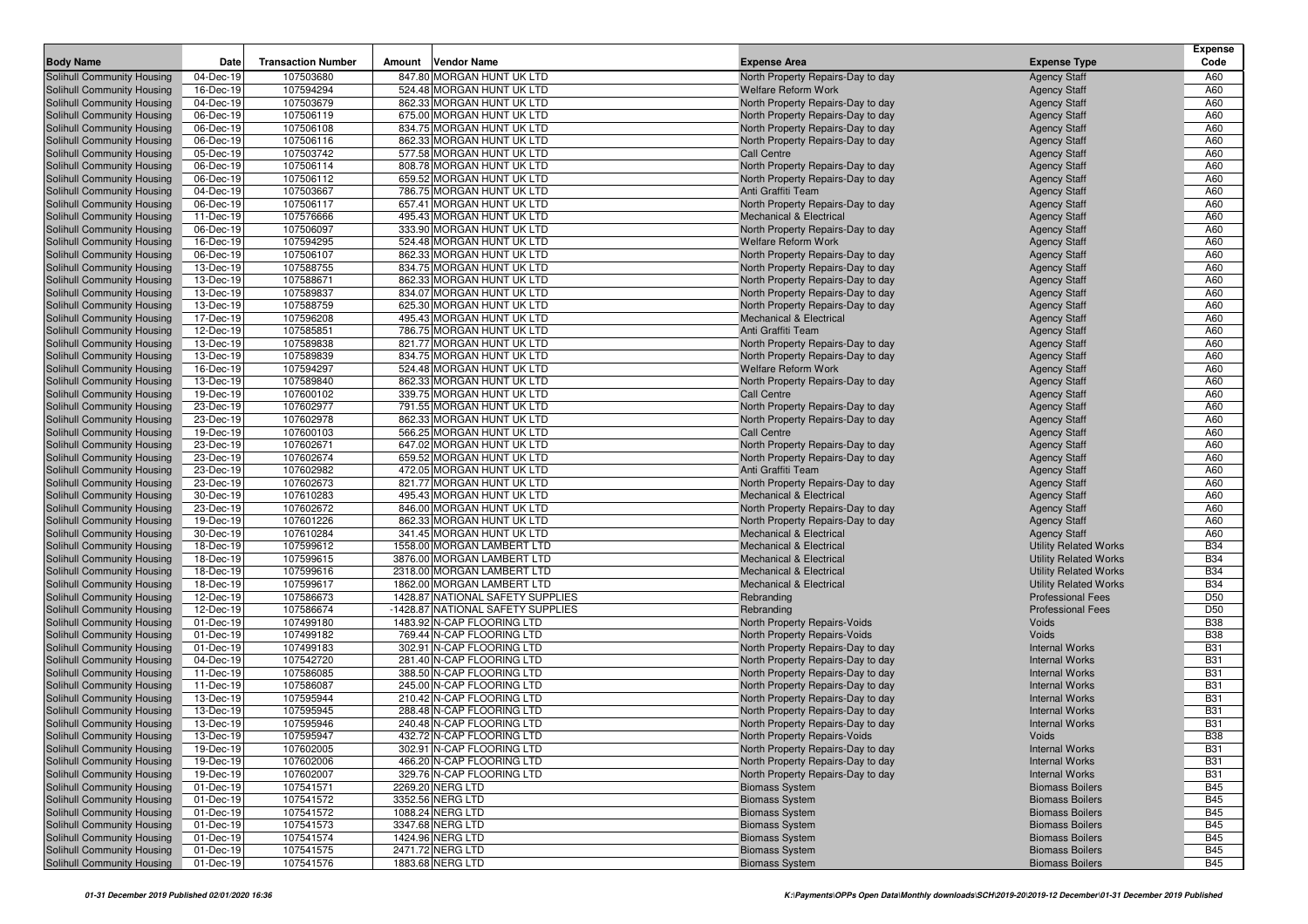|                                                          |                        |                           |                                                        |                                                                         |                                                | <b>Expense</b>           |
|----------------------------------------------------------|------------------------|---------------------------|--------------------------------------------------------|-------------------------------------------------------------------------|------------------------------------------------|--------------------------|
| <b>Body Name</b>                                         | Date                   | <b>Transaction Number</b> | <b>Vendor Name</b><br>Amount                           | <b>Expense Area</b>                                                     | <b>Expense Type</b>                            | Code                     |
| Solihull Community Housing                               | 04-Dec-19              | 107503680                 | 847.80 MORGAN HUNT UK LTD                              | North Property Repairs-Day to day                                       | <b>Agency Staff</b>                            | A60                      |
| Solihull Community Housing                               | 16-Dec-19              | 107594294                 | 524.48 MORGAN HUNT UK LTD                              | <b>Welfare Reform Work</b>                                              | <b>Agency Staff</b>                            | A60                      |
| Solihull Community Housing                               | 04-Dec-19              | 107503679                 | 862.33 MORGAN HUNT UK LTD                              | North Property Repairs-Day to day                                       | <b>Agency Staff</b>                            | A60                      |
| Solihull Community Housing                               | 06-Dec-19              | 107506119                 | 675.00 MORGAN HUNT UK LTD                              | North Property Repairs-Day to day                                       | <b>Agency Staff</b>                            | A60                      |
| Solihull Community Housing                               | 06-Dec-19              | 107506108                 | 834.75 MORGAN HUNT UK LTD                              | North Property Repairs-Day to day                                       | <b>Agency Staff</b>                            | A60                      |
| Solihull Community Housing                               | 06-Dec-19              | 107506116                 | 862.33 MORGAN HUNT UK LTD                              | North Property Repairs-Day to day                                       | <b>Agency Staff</b>                            | A60                      |
| Solihull Community Housing                               | 05-Dec-19              | 107503742                 | 577.58 MORGAN HUNT UK LTD                              | Call Centre                                                             | <b>Agency Staff</b>                            | A60                      |
| Solihull Community Housing                               | 06-Dec-19              | 107506114                 | 808.78 MORGAN HUNT UK LTD                              | North Property Repairs-Day to day                                       | <b>Agency Staff</b>                            | A60                      |
| Solihull Community Housing                               | 06-Dec-19              | 107506112                 | 659.52 MORGAN HUNT UK LTD                              | North Property Repairs-Day to day                                       | <b>Agency Staff</b>                            | A60                      |
| Solihull Community Housing                               | 04-Dec-19              | 107503667                 | 786.75 MORGAN HUNT UK LTD                              | Anti Graffiti Team                                                      | <b>Agency Staff</b>                            | A60                      |
| Solihull Community Housing                               | 06-Dec-19              | 107506117                 | 657.41 MORGAN HUNT UK LTD                              | North Property Repairs-Day to day<br><b>Mechanical &amp; Electrical</b> | <b>Agency Staff</b>                            | A60                      |
| Solihull Community Housing<br>Solihull Community Housing | 11-Dec-19<br>06-Dec-19 | 107576666<br>107506097    | 495.43 MORGAN HUNT UK LTD<br>333.90 MORGAN HUNT UK LTD |                                                                         | <b>Agency Staff</b>                            | A60<br>A60               |
| Solihull Community Housing                               | 16-Dec-19              | 107594295                 | 524.48 MORGAN HUNT UK LTD                              | North Property Repairs-Day to day<br><b>Welfare Reform Work</b>         | <b>Agency Staff</b><br><b>Agency Staff</b>     | A60                      |
| Solihull Community Housing                               | 06-Dec-19              | 107506107                 | 862.33 MORGAN HUNT UK LTD                              | North Property Repairs-Day to day                                       | <b>Agency Staff</b>                            | A60                      |
| Solihull Community Housing                               | 13-Dec-19              | 107588755                 | 834.75 MORGAN HUNT UK LTD                              | North Property Repairs-Day to day                                       | <b>Agency Staff</b>                            | A60                      |
| Solihull Community Housing                               | 13-Dec-19              | 107588671                 | 862.33 MORGAN HUNT UK LTD                              | North Property Repairs-Day to day                                       | <b>Agency Staff</b>                            | A60                      |
| Solihull Community Housing                               | 13-Dec-19              | 107589837                 | 834.07 MORGAN HUNT UK LTD                              | North Property Repairs-Day to day                                       | <b>Agency Staff</b>                            | A60                      |
| Solihull Community Housing                               | 13-Dec-19              | 107588759                 | 625.30 MORGAN HUNT UK LTD                              | North Property Repairs-Day to day                                       | <b>Agency Staff</b>                            | A60                      |
| Solihull Community Housing                               | 17-Dec-19              | 107596208                 | 495.43 MORGAN HUNT UK LTD                              | Mechanical & Electrical                                                 | <b>Agency Staff</b>                            | A60                      |
| Solihull Community Housing                               | 12-Dec-19              | 107585851                 | 786.75 MORGAN HUNT UK LTD                              | Anti Graffiti Team                                                      | <b>Agency Staff</b>                            | A60                      |
| Solihull Community Housing                               | 13-Dec-19              | 107589838                 | 821.77 MORGAN HUNT UK LTD                              | North Property Repairs-Day to day                                       | <b>Agency Staff</b>                            | A60                      |
| Solihull Community Housing                               | 13-Dec-19              | 107589839                 | 834.75 MORGAN HUNT UK LTD                              | North Property Repairs-Day to day                                       | <b>Agency Staff</b>                            | A60                      |
| Solihull Community Housing                               | 16-Dec-19              | 107594297                 | 524.48 MORGAN HUNT UK LTD                              | <b>Welfare Reform Work</b>                                              | <b>Agency Staff</b>                            | A60                      |
| Solihull Community Housing                               | 13-Dec-19              | 107589840                 | 862.33 MORGAN HUNT UK LTD                              | North Property Repairs-Day to day                                       | <b>Agency Staff</b>                            | A60                      |
| Solihull Community Housing                               | 19-Dec-19              | 107600102                 | 339.75 MORGAN HUNT UK LTD                              | <b>Call Centre</b>                                                      | <b>Agency Staff</b>                            | A60                      |
| Solihull Community Housing                               | 23-Dec-19              | 107602977                 | 791.55 MORGAN HUNT UK LTD                              | North Property Repairs-Day to day                                       | <b>Agency Staff</b>                            | A60                      |
| Solihull Community Housing                               | 23-Dec-19              | 107602978                 | 862.33 MORGAN HUNT UK LTD                              | North Property Repairs-Day to day                                       | <b>Agency Staff</b>                            | A60                      |
| Solihull Community Housing                               | 19-Dec-19              | 107600103                 | 566.25 MORGAN HUNT UK LTD                              | Call Centre                                                             | <b>Agency Staff</b>                            | A60                      |
| Solihull Community Housing                               | 23-Dec-19              | 107602671                 | 647.02 MORGAN HUNT UK LTD                              | North Property Repairs-Day to day                                       | <b>Agency Staff</b>                            | A60                      |
| Solihull Community Housing                               | 23-Dec-19              | 107602674                 | 659.52 MORGAN HUNT UK LTD                              | North Property Repairs-Day to day                                       | <b>Agency Staff</b>                            | A60                      |
| Solihull Community Housing                               | 23-Dec-19              | 107602982                 | 472.05 MORGAN HUNT UK LTD                              | Anti Graffiti Team                                                      | <b>Agency Staff</b>                            | A60                      |
| Solihull Community Housing                               | 23-Dec-19              | 107602673                 | 821.77 MORGAN HUNT UK LTD                              | North Property Repairs-Day to day                                       | <b>Agency Staff</b>                            | A60                      |
| Solihull Community Housing                               | 30-Dec-19              | 107610283                 | 495.43 MORGAN HUNT UK LTD                              | Mechanical & Electrical                                                 | <b>Agency Staff</b>                            | A60                      |
| Solihull Community Housing                               | 23-Dec-19              | 107602672                 | 846.00 MORGAN HUNT UK LTD                              | North Property Repairs-Day to day                                       | <b>Agency Staff</b>                            | A60                      |
| <b>Solihull Community Housing</b>                        | 19-Dec-19              | 107601226                 | 862.33 MORGAN HUNT UK LTD                              | North Property Repairs-Day to day                                       | <b>Agency Staff</b>                            | A60                      |
| Solihull Community Housing                               | 30-Dec-19              | 107610284                 | 341.45 MORGAN HUNT UK LTD                              | <b>Mechanical &amp; Electrical</b>                                      | <b>Agency Staff</b>                            | A60                      |
| Solihull Community Housing                               | 18-Dec-19              | 107599612                 | 1558.00 MORGAN LAMBERT LTD                             | <b>Mechanical &amp; Electrical</b>                                      | <b>Utility Related Works</b>                   | <b>B34</b>               |
| Solihull Community Housing                               | 18-Dec-19              | 107599615                 | 3876.00 MORGAN LAMBERT LTD                             | <b>Mechanical &amp; Electrical</b>                                      | <b>Utility Related Works</b>                   | <b>B34</b>               |
| Solihull Community Housing                               | 18-Dec-19              | 107599616                 | 2318.00 MORGAN LAMBERT LTD                             | <b>Mechanical &amp; Electrical</b>                                      | <b>Utility Related Works</b>                   | <b>B34</b>               |
| Solihull Community Housing                               | 18-Dec-19              | 107599617                 | 1862.00 MORGAN LAMBERT LTD                             | <b>Mechanical &amp; Electrical</b>                                      | <b>Utility Related Works</b>                   | <b>B34</b>               |
| Solihull Community Housing                               | 12-Dec-19              | 107586673                 | 1428.87 NATIONAL SAFETY SUPPLIES                       | Rebranding                                                              | <b>Professional Fees</b>                       | D <sub>50</sub>          |
| Solihull Community Housing                               | 12-Dec-19              | 107586674                 | -1428.87 NATIONAL SAFETY SUPPLIES                      | Rebranding                                                              | <b>Professional Fees</b>                       | D <sub>50</sub>          |
| Solihull Community Housing                               | 01-Dec-19              | 107499180                 | 1483.92 N-CAP FLOORING LTD                             | North Property Repairs-Voids                                            | Voids                                          | <b>B38</b>               |
| Solihull Community Housing                               | 01-Dec-19              | 107499182                 | 769.44 N-CAP FLOORING LTD                              | North Property Repairs-Voids                                            | Voids                                          | <b>B38</b>               |
| Solihull Community Housing                               | 01-Dec-19              | 107499183                 | 302.91 N-CAP FLOORING LTD                              | North Property Repairs-Day to day                                       | <b>Internal Works</b>                          | <b>B31</b>               |
| Solihull Community Housing                               | 04-Dec-19              | 107542720                 | 281.40 N-CAP FLOORING LTD                              | North Property Repairs-Day to day                                       | <b>Internal Works</b>                          | <b>B31</b>               |
| Solihull Community Housing                               | 11-Dec-19              | 107586085                 | 388.50 N-CAP FLOORING LTD                              | North Property Repairs-Day to day                                       | <b>Internal Works</b>                          | <b>B31</b>               |
| Solihull Community Housing                               | 11-Dec-19              | 107586087                 | 245.00 N-CAP FLOORING LTD                              | North Property Repairs-Day to day                                       | <b>Internal Works</b>                          | <b>B31</b>               |
| Solihull Community Housing                               | 13-Dec-19              | 107595944                 | 210.42 N-CAP FLOORING LTD                              | North Property Repairs-Day to day                                       | <b>Internal Works</b>                          | <b>B31</b>               |
| Solihull Community Housing                               | 13-Dec-19              | 107595945                 | 288.48 N-CAP FLOORING LTD                              | North Property Repairs-Day to day                                       | <b>Internal Works</b>                          | <b>B31</b>               |
| Solihull Community Housing                               | 13-Dec-19<br>13-Dec-19 | 107595946<br>107595947    | 240.48 N-CAP FLOORING LTD<br>432.72 N-CAP FLOORING LTD | North Property Repairs-Day to day                                       | <b>Internal Works</b>                          | <b>B31</b>               |
| Solihull Community Housing                               |                        |                           |                                                        | North Property Repairs-Voids                                            | Voids                                          | <b>B38</b>               |
| Solihull Community Housing                               | 19-Dec-19<br>19-Dec-19 | 107602005                 | 302.91 N-CAP FLOORING LTD<br>466.20 N-CAP FLOORING LTD | North Property Repairs-Day to day                                       | <b>Internal Works</b><br><b>Internal Works</b> | <b>B31</b>               |
| Solihull Community Housing<br>Solihull Community Housing | 19-Dec-19              | 107602006<br>107602007    | 329.76 N-CAP FLOORING LTD                              | North Property Repairs-Day to day<br>North Property Repairs-Day to day  | <b>Internal Works</b>                          | <b>B31</b><br><b>B31</b> |
| Solihull Community Housing                               | 01-Dec-19              | 107541571                 | 2269.20 NERG LTD                                       | <b>Biomass System</b>                                                   | <b>Biomass Boilers</b>                         | <b>B45</b>               |
| Solihull Community Housing                               | 01-Dec-19              | 107541572                 | 3352.56 NERG LTD                                       | <b>Biomass System</b>                                                   | <b>Biomass Boilers</b>                         | <b>B45</b>               |
| Solihull Community Housing                               | 01-Dec-19              | 107541572                 | 1088.24 NERG LTD                                       | <b>Biomass System</b>                                                   | <b>Biomass Boilers</b>                         | <b>B45</b>               |
| Solihull Community Housing                               | 01-Dec-19              | 107541573                 | 3347.68 NERG LTD                                       | <b>Biomass System</b>                                                   | <b>Biomass Boilers</b>                         | <b>B45</b>               |
| Solihull Community Housing                               | 01-Dec-19              | 107541574                 | 1424.96 NERG LTD                                       | <b>Biomass System</b>                                                   | <b>Biomass Boilers</b>                         | <b>B45</b>               |
| Solihull Community Housing                               | 01-Dec-19              | 107541575                 | 2471.72 NERG LTD                                       | <b>Biomass System</b>                                                   | <b>Biomass Boilers</b>                         | <b>B45</b>               |
| Solihull Community Housing                               | 01-Dec-19              | 107541576                 | 1883.68 NERG LTD                                       | <b>Biomass System</b>                                                   | <b>Biomass Boilers</b>                         | <b>B45</b>               |
|                                                          |                        |                           |                                                        |                                                                         |                                                |                          |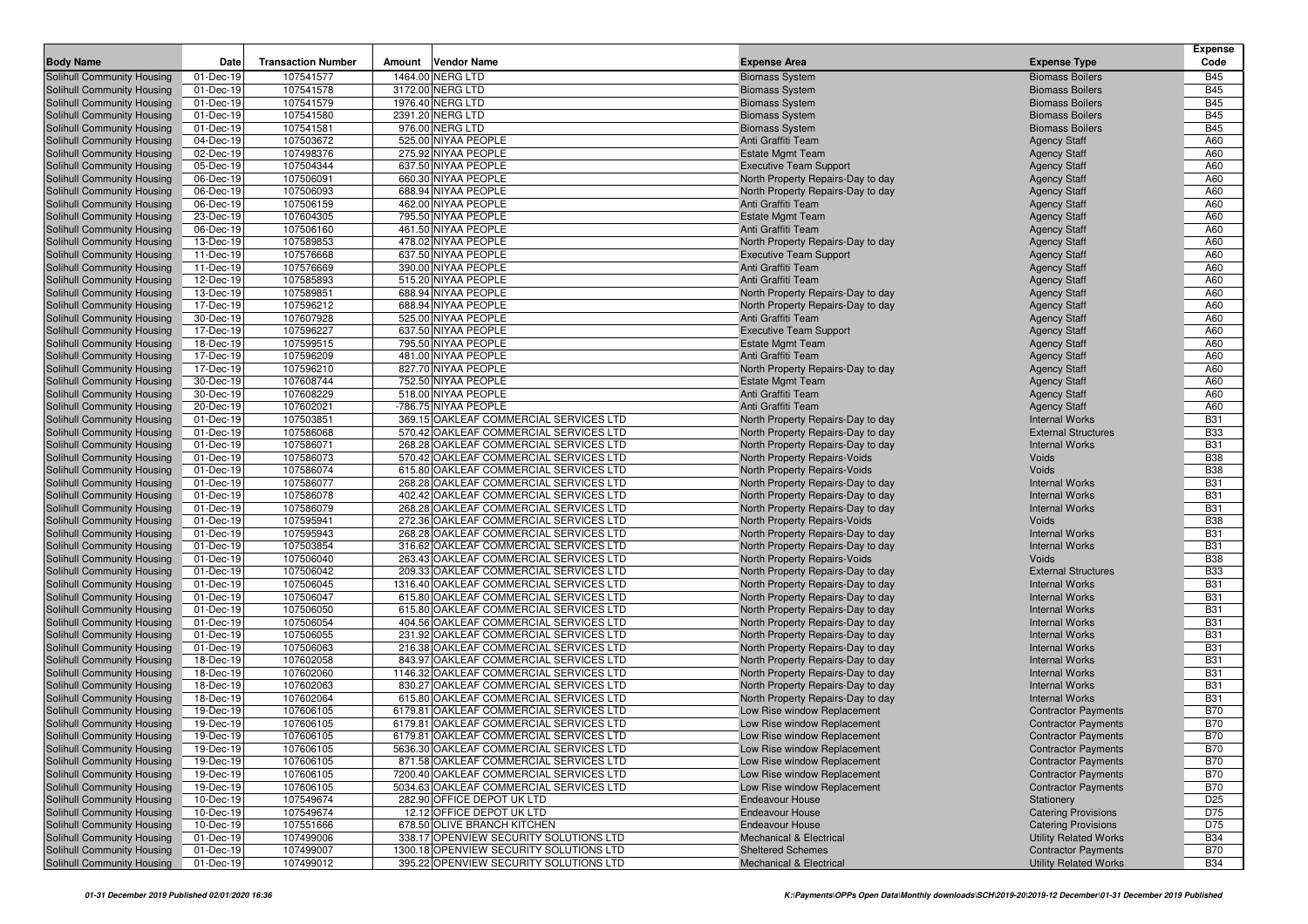|                                                          |                        |                           |                                                                                  |                                                                   |                                | <b>Expense</b>           |
|----------------------------------------------------------|------------------------|---------------------------|----------------------------------------------------------------------------------|-------------------------------------------------------------------|--------------------------------|--------------------------|
| <b>Body Name</b>                                         | Date                   | <b>Transaction Number</b> | <b>Vendor Name</b><br>Amount                                                     | <b>Expense Area</b>                                               | <b>Expense Type</b>            | Code                     |
| Solihull Community Housing                               | 01-Dec-19              | 107541577                 | 1464.00 NERG LTD                                                                 | <b>Biomass System</b>                                             | <b>Biomass Boilers</b>         | <b>B45</b>               |
| Solihull Community Housing                               | 01-Dec-19              | 107541578                 | 3172.00 NERG LTD                                                                 | <b>Biomass System</b>                                             | <b>Biomass Boilers</b>         | <b>B45</b>               |
| Solihull Community Housing                               | 01-Dec-19              | 107541579                 | 1976.40 NERG LTD                                                                 | <b>Biomass System</b>                                             | <b>Biomass Boilers</b>         | <b>B45</b>               |
| Solihull Community Housing                               | 01-Dec-19              | 107541580                 | 2391.20 NERG LTD                                                                 | <b>Biomass System</b>                                             | <b>Biomass Boilers</b>         | <b>B45</b>               |
| Solihull Community Housing                               | 01-Dec-19              | 107541581                 | 976.00 NERG LTD                                                                  | <b>Biomass System</b>                                             | <b>Biomass Boilers</b>         | <b>B45</b>               |
| Solihull Community Housing                               | 04-Dec-19              | 107503672                 | 525.00 NIYAA PEOPLE                                                              | Anti Graffiti Team                                                | <b>Agency Staff</b>            | A60                      |
| Solihull Community Housing                               | 02-Dec-19              | 107498376                 | 275.92 NIYAA PEOPLE                                                              | <b>Estate Mgmt Team</b>                                           | <b>Agency Staff</b>            | A60                      |
| Solihull Community Housing                               | 05-Dec-19              | 107504344                 | 637.50 NIYAA PEOPLE                                                              | <b>Executive Team Support</b>                                     | <b>Agency Staff</b>            | A60                      |
| Solihull Community Housing                               | 06-Dec-19              | 107506091                 | 660.30 NIYAA PEOPLE                                                              | North Property Repairs-Day to day                                 | <b>Agency Staff</b>            | A60                      |
| Solihull Community Housing                               | 06-Dec-19              | 107506093                 | 688.94 NIYAA PEOPLE                                                              | North Property Repairs-Day to day                                 | <b>Agency Staff</b>            | A60                      |
| Solihull Community Housing                               | 06-Dec-19              | 107506159                 | 462.00 NIYAA PEOPLE                                                              | Anti Graffiti Team                                                | <b>Agency Staff</b>            | A60                      |
| Solihull Community Housing                               | 23-Dec-19              | 107604305                 | 795.50 NIYAA PEOPLE                                                              | <b>Estate Mgmt Team</b>                                           | <b>Agency Staff</b>            | A60                      |
| Solihull Community Housing                               | 06-Dec-19              | 107506160                 | 461.50 NIYAA PEOPLE                                                              | Anti Graffiti Team                                                | <b>Agency Staff</b>            | A60                      |
| Solihull Community Housing                               | 13-Dec-19              | 107589853                 | 478.02 NIYAA PEOPLE                                                              | North Property Repairs-Day to day                                 | <b>Agency Staff</b>            | A60                      |
| Solihull Community Housing                               | 11-Dec-19              | 107576668                 | 637.50 NIYAA PEOPLE                                                              | <b>Executive Team Support</b>                                     | <b>Agency Staff</b>            | A60                      |
| Solihull Community Housing                               | 11-Dec-19              | 107576669                 | 390.00 NIYAA PEOPLE                                                              | Anti Graffiti Team                                                | <b>Agency Staff</b>            | A60                      |
| Solihull Community Housing                               | 12-Dec-19              | 107585893                 | 515.20 NIYAA PEOPLE                                                              | Anti Graffiti Team                                                | <b>Agency Staff</b>            | A60                      |
| Solihull Community Housing                               | 13-Dec-19              | 107589851                 | 688.94 NIYAA PEOPLE                                                              | North Property Repairs-Day to day                                 | <b>Agency Staff</b>            | A60                      |
| Solihull Community Housing                               | 17-Dec-19              | 107596212                 | 688.94 NIYAA PEOPLE                                                              | North Property Repairs-Day to day                                 | <b>Agency Staff</b>            | A60                      |
| Solihull Community Housing                               | 30-Dec-19              | 107607928                 | 525.00 NIYAA PEOPLE                                                              | Anti Graffiti Team                                                | <b>Agency Staff</b>            | A60                      |
| Solihull Community Housing                               | 17-Dec-19              | 107596227                 | 637.50 NIYAA PEOPLE                                                              | <b>Executive Team Support</b>                                     | <b>Agency Staff</b>            | A60                      |
| Solihull Community Housing                               | 18-Dec-19              | 107599515                 | 795.50 NIYAA PEOPLE                                                              | <b>Estate Mgmt Team</b>                                           | <b>Agency Staff</b>            | A60                      |
| Solihull Community Housing                               | 17-Dec-19              | 107596209                 | 481.00 NIYAA PEOPLE                                                              | Anti Graffiti Team                                                | <b>Agency Staff</b>            | A60                      |
| Solihull Community Housing                               | 17-Dec-19              | 107596210                 | 827.70 NIYAA PEOPLE                                                              | North Property Repairs-Day to day                                 | <b>Agency Staff</b>            | A60                      |
| <b>Solihull Community Housing</b>                        | 30-Dec-19              | 107608744                 | 752.50 NIYAA PEOPLE                                                              | <b>Estate Mgmt Team</b>                                           | <b>Agency Staff</b>            | A60                      |
| Solihull Community Housing                               | 30-Dec-19              | 107608229                 | 518.00 NIYAA PEOPLE                                                              | Anti Graffiti Team                                                | <b>Agency Staff</b>            | A60                      |
| Solihull Community Housing                               | 20-Dec-19              | 107602021                 | -786.75 NIYAA PEOPLE                                                             | Anti Graffiti Team                                                | <b>Agency Staff</b>            | A60                      |
| Solihull Community Housing                               | 01-Dec-19              | 107503851                 | 369.15 OAKLEAF COMMERCIAL SERVICES LTD                                           | North Property Repairs-Day to day                                 | <b>Internal Works</b>          | <b>B31</b>               |
| Solihull Community Housing                               | 01-Dec-19              | 107586068                 | 570.42 OAKLEAF COMMERCIAL SERVICES LTD                                           | North Property Repairs-Day to day                                 | <b>External Structures</b>     | <b>B33</b>               |
| Solihull Community Housing                               | 01-Dec-19              | 107586071                 | 268.28 OAKLEAF COMMERCIAL SERVICES LTD                                           | North Property Repairs-Day to day                                 | <b>Internal Works</b>          | <b>B31</b>               |
| Solihull Community Housing                               | 01-Dec-19              | 107586073                 | 570.42 OAKLEAF COMMERCIAL SERVICES LTD                                           | North Property Repairs-Voids                                      | Voids                          | <b>B38</b>               |
| Solihull Community Housing                               | 01-Dec-19              | 107586074                 | 615.80 OAKLEAF COMMERCIAL SERVICES LTD                                           | North Property Repairs-Voids                                      | Voids                          | <b>B38</b>               |
| Solihull Community Housing                               | 01-Dec-19              | 107586077                 | 268.28 OAKLEAF COMMERCIAL SERVICES LTD                                           | North Property Repairs-Day to day                                 | <b>Internal Works</b>          | <b>B31</b>               |
| Solihull Community Housing                               | 01-Dec-19              | 107586078                 | 402.42 OAKLEAF COMMERCIAL SERVICES LTD                                           | North Property Repairs-Day to day                                 | <b>Internal Works</b>          | <b>B31</b>               |
| Solihull Community Housing                               | 01-Dec-19              | 107586079                 | 268.28 OAKLEAF COMMERCIAL SERVICES LTD                                           | North Property Repairs-Day to day                                 | <b>Internal Works</b>          | <b>B31</b>               |
| Solihull Community Housing                               | 01-Dec-19              | 107595941                 | 272.36 OAKLEAF COMMERCIAL SERVICES LTD                                           | North Property Repairs-Voids                                      | Voids                          | <b>B38</b>               |
| Solihull Community Housing                               | 01-Dec-19              | 107595943                 | 268.28 OAKLEAF COMMERCIAL SERVICES LTD                                           | North Property Repairs-Day to day                                 | <b>Internal Works</b>          | <b>B31</b><br><b>B31</b> |
| Solihull Community Housing<br>Solihull Community Housing | 01-Dec-19<br>01-Dec-19 | 107503854<br>107506040    | 316.62 OAKLEAF COMMERCIAL SERVICES LTD<br>263.43 OAKLEAF COMMERCIAL SERVICES LTD | North Property Repairs-Day to day<br>North Property Repairs-Voids | <b>Internal Works</b><br>Voids | <b>B38</b>               |
| Solihull Community Housing                               | 01-Dec-19              | 107506042                 | 209.33 OAKLEAF COMMERCIAL SERVICES LTD                                           | North Property Repairs-Day to day                                 | <b>External Structures</b>     | <b>B33</b>               |
| Solihull Community Housing                               | 01-Dec-19              | 107506045                 | 1316.40 OAKLEAF COMMERCIAL SERVICES LTD                                          | North Property Repairs-Day to day                                 | <b>Internal Works</b>          | <b>B31</b>               |
| Solihull Community Housing                               | 01-Dec-19              | 107506047                 | 615.80 OAKLEAF COMMERCIAL SERVICES LTD                                           | North Property Repairs-Day to day                                 | <b>Internal Works</b>          | <b>B31</b>               |
| Solihull Community Housing                               | 01-Dec-19              | 107506050                 | 615.80 OAKLEAF COMMERCIAL SERVICES LTD                                           | North Property Repairs-Day to day                                 | <b>Internal Works</b>          | <b>B31</b>               |
| Solihull Community Housing                               | 01-Dec-19              | 107506054                 | 404.56 OAKLEAF COMMERCIAL SERVICES LTD                                           | North Property Repairs-Day to day                                 | <b>Internal Works</b>          | <b>B31</b>               |
| Solihull Community Housing                               | 01-Dec-19              | 107506055                 | 231.92 OAKLEAF COMMERCIAL SERVICES LTD                                           | North Property Repairs-Day to day                                 | <b>Internal Works</b>          | <b>B31</b>               |
| Solihull Community Housing                               | 01-Dec-19              | 107506063                 | 216.38 OAKLEAF COMMERCIAL SERVICES LTD                                           | North Property Repairs-Day to day                                 | <b>Internal Works</b>          | <b>B31</b>               |
| Solihull Community Housing                               | 18-Dec-19              | 107602058                 | 843.97 OAKLEAF COMMERCIAL SERVICES LTD                                           | North Property Repairs-Day to day                                 | <b>Internal Works</b>          | <b>B31</b>               |
| Solihull Community Housing                               | 18-Dec-19              | 107602060                 | 1146.32 OAKLEAF COMMERCIAL SERVICES LTD                                          | North Property Repairs-Day to day                                 | <b>Internal Works</b>          | <b>B31</b>               |
| Solihull Community Housing                               | 18-Dec-19              | 107602063                 | 830.27 OAKLEAF COMMERCIAL SERVICES LTD                                           | North Property Repairs-Day to day                                 | <b>Internal Works</b>          | <b>B31</b>               |
| Solihull Community Housing                               | 18-Dec-19              | 107602064                 | 615.80 OAKLEAF COMMERCIAL SERVICES LTD                                           | North Property Repairs-Day to day                                 | <b>Internal Works</b>          | <b>B31</b>               |
| Solihull Community Housing                               | 19-Dec-19              | 107606105                 | 6179.81 OAKLEAF COMMERCIAL SERVICES LTD                                          | Low Rise window Replacement                                       | <b>Contractor Payments</b>     | <b>B70</b>               |
| Solihull Community Housing                               | 19-Dec-19              | 107606105                 | 6179.81 OAKLEAF COMMERCIAL SERVICES LTD                                          | Low Rise window Replacement                                       | <b>Contractor Payments</b>     | <b>B70</b>               |
| Solihull Community Housing                               | 19-Dec-19              | 107606105                 | 6179.81 OAKLEAF COMMERCIAL SERVICES LTD                                          | Low Rise window Replacement                                       | <b>Contractor Payments</b>     | <b>B70</b>               |
| Solihull Community Housing                               | 19-Dec-19              | 107606105                 | 5636.30 OAKLEAF COMMERCIAL SERVICES LTD                                          | Low Rise window Replacement                                       | <b>Contractor Payments</b>     | <b>B70</b>               |
| Solihull Community Housing                               | 19-Dec-19              | 107606105                 | 871.58 OAKLEAF COMMERCIAL SERVICES LTD                                           | Low Rise window Replacement                                       | <b>Contractor Payments</b>     | <b>B70</b>               |
| Solihull Community Housing                               | 19-Dec-19              | 107606105                 | 7200.40 OAKLEAF COMMERCIAL SERVICES LTD                                          | Low Rise window Replacement                                       | <b>Contractor Payments</b>     | <b>B70</b>               |
| Solihull Community Housing                               | 19-Dec-19              | 107606105                 | 5034.63 OAKLEAF COMMERCIAL SERVICES LTD                                          | Low Rise window Replacement                                       | <b>Contractor Payments</b>     | <b>B70</b>               |
| Solihull Community Housing                               | 10-Dec-19              | 107549674                 | 282.90 OFFICE DEPOT UK LTD                                                       | <b>Endeavour House</b>                                            | Stationery                     | D <sub>25</sub>          |
| Solihull Community Housing                               | 10-Dec-19              | 107549674                 | 12.12 OFFICE DEPOT UK LTD                                                        | <b>Endeavour House</b>                                            | <b>Catering Provisions</b>     | D75                      |
| Solihull Community Housing                               | 10-Dec-19              | 107551666                 | 678.50 OLIVE BRANCH KITCHEN                                                      | <b>Endeavour House</b>                                            | <b>Catering Provisions</b>     | D75                      |
| Solihull Community Housing                               | 01-Dec-19              | 107499006                 | 338.17 OPENVIEW SECURITY SOLUTIONS LTD                                           | Mechanical & Electrical                                           | <b>Utility Related Works</b>   | <b>B34</b>               |
| Solihull Community Housing                               | 01-Dec-19              | 107499007                 | 1300.18 OPENVIEW SECURITY SOLUTIONS LTD                                          | <b>Sheltered Schemes</b>                                          | <b>Contractor Payments</b>     | <b>B70</b>               |
| Solihull Community Housing                               | 01-Dec-19              | 107499012                 | 395.22 OPENVIEW SECURITY SOLUTIONS LTD                                           | Mechanical & Electrical                                           | <b>Utility Related Works</b>   | <b>B34</b>               |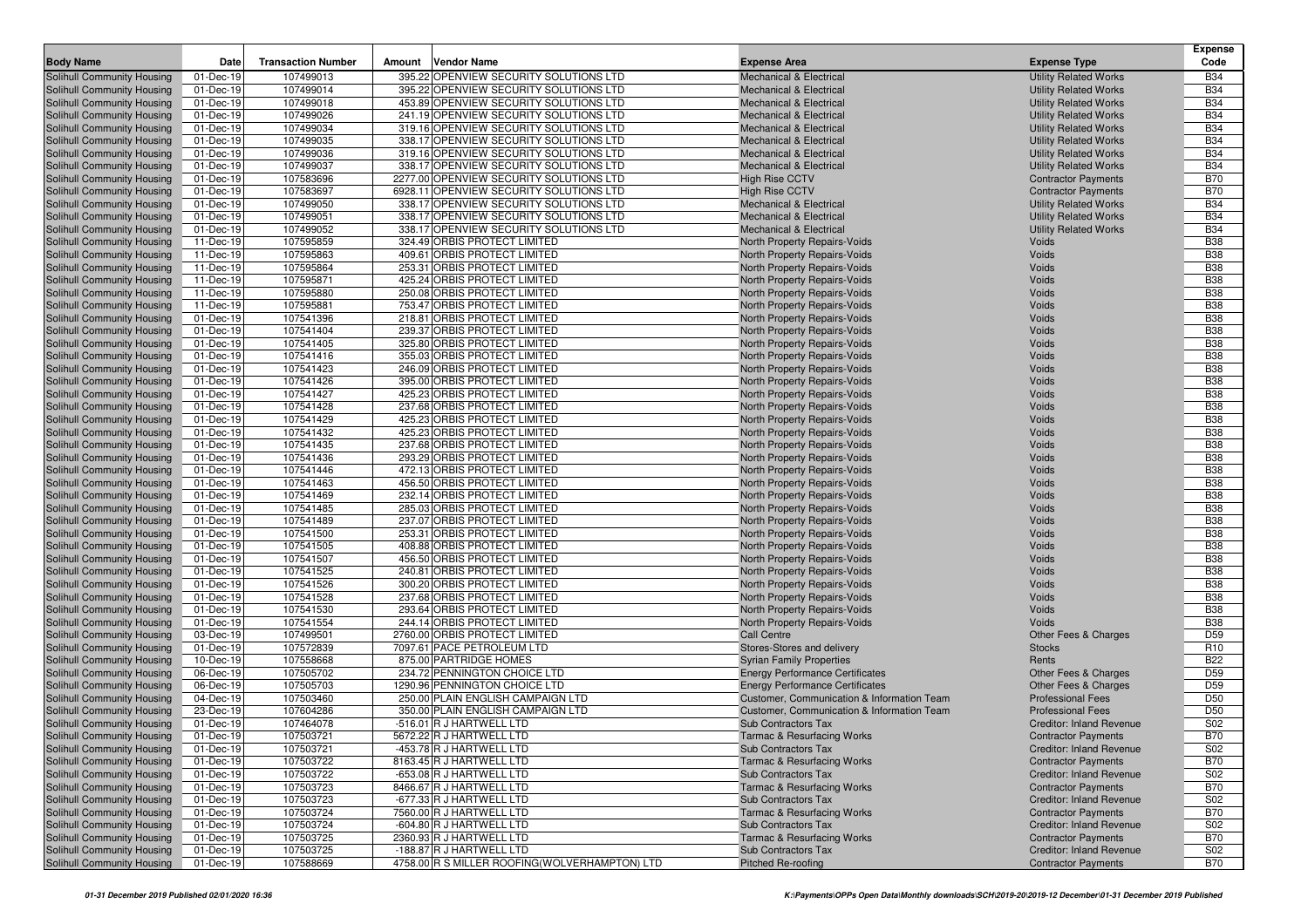|                                                          |                        |                           |                                                              |                                                              |                                                               | <b>Expense</b>           |
|----------------------------------------------------------|------------------------|---------------------------|--------------------------------------------------------------|--------------------------------------------------------------|---------------------------------------------------------------|--------------------------|
| <b>Body Name</b>                                         | Date                   | <b>Transaction Number</b> | Amount<br>Vendor Name                                        | <b>Expense Area</b>                                          | <b>Expense Type</b>                                           | Code                     |
| Solihull Community Housing                               | 01-Dec-19              | 107499013                 | 395.22 OPENVIEW SECURITY SOLUTIONS LTD                       | <b>Mechanical &amp; Electrical</b>                           | <b>Utility Related Works</b>                                  | <b>B34</b>               |
| Solihull Community Housing                               | 01-Dec-19              | 107499014                 | 395.22 OPENVIEW SECURITY SOLUTIONS LTD                       | <b>Mechanical &amp; Electrical</b>                           | <b>Utility Related Works</b>                                  | <b>B34</b>               |
| Solihull Community Housing                               | 01-Dec-19              | 107499018                 | 453.89 OPENVIEW SECURITY SOLUTIONS LTD                       | <b>Mechanical &amp; Electrical</b>                           | <b>Utility Related Works</b>                                  | <b>B34</b>               |
| Solihull Community Housing                               | 01-Dec-19              | 107499026                 | 241.19 OPENVIEW SECURITY SOLUTIONS LTD                       | <b>Mechanical &amp; Electrical</b>                           | <b>Utility Related Works</b>                                  | <b>B34</b>               |
| Solihull Community Housing                               | 01-Dec-19              | 107499034                 | 319.16 OPENVIEW SECURITY SOLUTIONS LTD                       | <b>Mechanical &amp; Electrical</b>                           | <b>Utility Related Works</b>                                  | <b>B34</b>               |
| Solihull Community Housing                               | 01-Dec-19              | 107499035                 | 338.17 OPENVIEW SECURITY SOLUTIONS LTD                       | <b>Mechanical &amp; Electrical</b>                           | <b>Utility Related Works</b>                                  | <b>B34</b>               |
| Solihull Community Housing                               | 01-Dec-19              | 107499036                 | 319.16 OPENVIEW SECURITY SOLUTIONS LTD                       | <b>Mechanical &amp; Electrical</b>                           | <b>Utility Related Works</b>                                  | <b>B34</b>               |
| Solihull Community Housing                               | 01-Dec-19              | 107499037                 | 338.17 OPENVIEW SECURITY SOLUTIONS LTD                       | <b>Mechanical &amp; Electrical</b>                           | <b>Utility Related Works</b>                                  | <b>B34</b>               |
| Solihull Community Housing                               | 01-Dec-19              | 107583696                 | 2277.00 OPENVIEW SECURITY SOLUTIONS LTD                      | <b>High Rise CCTV</b>                                        | <b>Contractor Payments</b>                                    | <b>B70</b>               |
| Solihull Community Housing                               | 01-Dec-19              | 107583697                 | 6928.11 OPENVIEW SECURITY SOLUTIONS LTD                      | <b>High Rise CCTV</b>                                        | <b>Contractor Payments</b>                                    | <b>B70</b>               |
| Solihull Community Housing                               | 01-Dec-19              | 107499050                 | 338.17 OPENVIEW SECURITY SOLUTIONS LTD                       | <b>Mechanical &amp; Electrical</b>                           | <b>Utility Related Works</b>                                  | <b>B34</b>               |
| Solihull Community Housing                               | 01-Dec-19              | 107499051                 | 338.17 OPENVIEW SECURITY SOLUTIONS LTD                       | <b>Mechanical &amp; Electrical</b>                           | <b>Utility Related Works</b>                                  | <b>B34</b>               |
| Solihull Community Housing                               | 01-Dec-19              | 107499052                 | 338.17 OPENVIEW SECURITY SOLUTIONS LTD                       | <b>Mechanical &amp; Electrical</b>                           | <b>Utility Related Works</b>                                  | <b>B34</b>               |
| Solihull Community Housing                               | 11-Dec-19              | 107595859                 | 324.49 ORBIS PROTECT LIMITED                                 | North Property Repairs-Voids                                 | Voids                                                         | <b>B38</b>               |
| Solihull Community Housing                               | 11-Dec-19              | 107595863                 | 409.61 ORBIS PROTECT LIMITED                                 | North Property Repairs-Voids                                 | Voids                                                         | <b>B38</b>               |
| Solihull Community Housing                               | 11-Dec-19              | 107595864                 | 253.31 ORBIS PROTECT LIMITED                                 | North Property Repairs-Voids                                 | Voids                                                         | <b>B38</b>               |
| Solihull Community Housing                               | 11-Dec-19              | 107595871                 | 425.24 ORBIS PROTECT LIMITED                                 | North Property Repairs-Voids                                 | Voids                                                         | <b>B38</b>               |
| Solihull Community Housing                               | 11-Dec-19              | 107595880                 | 250.08 ORBIS PROTECT LIMITED                                 | North Property Repairs-Voids                                 | Voids                                                         | <b>B38</b>               |
| Solihull Community Housing                               | 11-Dec-19              | 107595881                 | 753.47 ORBIS PROTECT LIMITED                                 | North Property Repairs-Voids                                 | Voids                                                         | <b>B38</b>               |
| Solihull Community Housing                               | 01-Dec-19              | 107541396                 | 218.81 ORBIS PROTECT LIMITED                                 | North Property Repairs-Voids                                 | Voids                                                         | <b>B38</b>               |
| Solihull Community Housing                               | 01-Dec-19              | 107541404                 | 239.37 ORBIS PROTECT LIMITED                                 | North Property Repairs-Voids                                 | Voids                                                         | <b>B38</b>               |
| Solihull Community Housing                               | 01-Dec-19              | 107541405                 | 325.80 ORBIS PROTECT LIMITED                                 | North Property Repairs-Voids                                 | Voids                                                         | <b>B38</b>               |
| Solihull Community Housing                               | 01-Dec-19              | 107541416                 | 355.03 ORBIS PROTECT LIMITED                                 | North Property Repairs-Voids                                 | Voids                                                         | <b>B38</b>               |
| Solihull Community Housing                               | 01-Dec-19              | 107541423                 | 246.09 ORBIS PROTECT LIMITED                                 | North Property Repairs-Voids                                 | Voids                                                         | <b>B38</b>               |
| Solihull Community Housing                               | 01-Dec-19              | 107541426                 | 395.00 ORBIS PROTECT LIMITED                                 | North Property Repairs-Voids                                 | Voids                                                         | <b>B38</b>               |
| Solihull Community Housing                               | 01-Dec-19              | 107541427                 | 425.23 ORBIS PROTECT LIMITED                                 | North Property Repairs-Voids                                 | Voids                                                         | <b>B38</b>               |
| Solihull Community Housing                               | 01-Dec-19              | 107541428                 | 237.68 ORBIS PROTECT LIMITED                                 | North Property Repairs-Voids                                 | Voids                                                         | <b>B38</b>               |
| Solihull Community Housing                               | 01-Dec-19              | 107541429                 | 425.23 ORBIS PROTECT LIMITED                                 | North Property Repairs-Voids                                 | Voids                                                         | <b>B38</b>               |
| Solihull Community Housing                               | 01-Dec-19<br>01-Dec-19 | 107541432<br>107541435    | 425.23 ORBIS PROTECT LIMITED<br>237.68 ORBIS PROTECT LIMITED | North Property Repairs-Voids<br>North Property Repairs-Voids | Voids<br>Voids                                                | <b>B38</b><br><b>B38</b> |
| Solihull Community Housing<br>Solihull Community Housing | 01-Dec-19              | 107541436                 | 293.29 ORBIS PROTECT LIMITED                                 | North Property Repairs-Voids                                 | Voids                                                         | <b>B38</b>               |
| Solihull Community Housing                               | 01-Dec-19              | 107541446                 | 472.13 ORBIS PROTECT LIMITED                                 | North Property Repairs-Voids                                 | Voids                                                         | <b>B38</b>               |
| Solihull Community Housing                               | 01-Dec-19              | 107541463                 | 456.50 ORBIS PROTECT LIMITED                                 | North Property Repairs-Voids                                 | Voids                                                         | <b>B38</b>               |
| Solihull Community Housing                               | 01-Dec-19              | 107541469                 | 232.14 ORBIS PROTECT LIMITED                                 | North Property Repairs-Voids                                 | Voids                                                         | <b>B38</b>               |
| Solihull Community Housing                               | 01-Dec-19              | 107541485                 | 285.03 ORBIS PROTECT LIMITED                                 | North Property Repairs-Voids                                 | Voids                                                         | <b>B38</b>               |
| Solihull Community Housing                               | 01-Dec-19              | 107541489                 | 237.07 ORBIS PROTECT LIMITED                                 | North Property Repairs-Voids                                 | Voids                                                         | <b>B38</b>               |
| Solihull Community Housing                               | 01-Dec-19              | 107541500                 | 253.31 ORBIS PROTECT LIMITED                                 | North Property Repairs-Voids                                 | Voids                                                         | <b>B38</b>               |
| Solihull Community Housing                               | 01-Dec-19              | 107541505                 | 408.88 ORBIS PROTECT LIMITED                                 | North Property Repairs-Voids                                 | Voids                                                         | <b>B38</b>               |
| Solihull Community Housing                               | 01-Dec-19              | 107541507                 | 456.50 ORBIS PROTECT LIMITED                                 | North Property Repairs-Voids                                 | Voids                                                         | <b>B38</b>               |
| Solihull Community Housing                               | 01-Dec-19              | 107541525                 | 240.81 ORBIS PROTECT LIMITED                                 | North Property Repairs-Voids                                 | Voids                                                         | <b>B38</b>               |
| Solihull Community Housing                               | 01-Dec-19              | 107541526                 | 300.20 ORBIS PROTECT LIMITED                                 | North Property Repairs-Voids                                 | Voids                                                         | <b>B38</b>               |
| <b>Solihull Community Housing</b>                        | 01-Dec-19              | 107541528                 | 237.68 ORBIS PROTECT LIMITED                                 | North Property Repairs-Voids                                 | Voids                                                         | <b>B38</b>               |
| Solihull Community Housing                               | 01-Dec-19              | 107541530                 | 293.64 ORBIS PROTECT LIMITED                                 | North Property Repairs-Voids                                 | Voids                                                         | <b>B38</b>               |
| Solihull Community Housing                               | 01-Dec-19              | 107541554                 | 244.14 ORBIS PROTECT LIMITED                                 | North Property Repairs-Voids                                 | Voids                                                         | <b>B38</b>               |
| Solihull Community Housing                               | 03-Dec-19              | 107499501                 | 2760.00 ORBIS PROTECT LIMITED                                | <b>Call Centre</b>                                           | Other Fees & Charges                                          | D <sub>59</sub>          |
| Solihull Community Housing                               | 01-Dec-19              | 107572839                 | 7097.61 PACE PETROLEUM LTD                                   | Stores-Stores and delivery                                   | <b>Stocks</b>                                                 | R <sub>10</sub>          |
| Solihull Community Housing                               | 10-Dec-19              | 107558668                 | 875.00 PARTRIDGE HOMES                                       | <b>Syrian Family Properties</b>                              | Rents                                                         | <b>B22</b>               |
| Solihull Community Housing                               | 06-Dec-19              | 107505702                 | 234.72 PENNINGTON CHOICE LTD                                 | <b>Energy Performance Certificates</b>                       | Other Fees & Charges                                          | D <sub>59</sub>          |
| Solihull Community Housing                               | 06-Dec-19              | 107505703                 | 1290.96 PENNINGTON CHOICE LTD                                | <b>Energy Performance Certificates</b>                       | <b>Other Fees &amp; Charges</b>                               | D <sub>59</sub>          |
| Solihull Community Housing                               | 04-Dec-19              | 107503460                 | 250.00 PLAIN ENGLISH CAMPAIGN LTD                            | Customer, Communication & Information Team                   | <b>Professional Fees</b>                                      | D <sub>50</sub>          |
| Solihull Community Housing                               | 23-Dec-19              | 107604286                 | 350.00 PLAIN ENGLISH CAMPAIGN LTD                            | Customer, Communication & Information Team                   | <b>Professional Fees</b>                                      | D <sub>50</sub>          |
| Solihull Community Housing                               | 01-Dec-19              | 107464078                 | -516.01 R J HARTWELL LTD                                     | <b>Sub Contractors Tax</b>                                   | <b>Creditor: Inland Revenue</b>                               | S02                      |
| Solihull Community Housing                               | 01-Dec-19              | 107503721                 | 5672.22 R J HARTWELL LTD                                     | <b>Tarmac &amp; Resurfacing Works</b>                        | <b>Contractor Payments</b>                                    | <b>B70</b>               |
| <b>Solihull Community Housing</b>                        | 01-Dec-19              | 107503721                 | -453.78 R J HARTWELL LTD                                     | Sub Contractors Tax                                          | Creditor: Inland Revenue                                      | S02                      |
| Solihull Community Housing<br>Solihull Community Housing | 01-Dec-19<br>01-Dec-19 | 107503722<br>107503722    | 8163.45 R J HARTWELL LTD<br>-653.08 R J HARTWELL LTD         | <b>Tarmac &amp; Resurfacing Works</b><br>Sub Contractors Tax | <b>Contractor Payments</b><br><b>Creditor: Inland Revenue</b> | <b>B70</b><br>S02        |
| Solihull Community Housing                               | 01-Dec-19              | 107503723                 | 8466.67 R J HARTWELL LTD                                     | Tarmac & Resurfacing Works                                   | <b>Contractor Payments</b>                                    | <b>B70</b>               |
| Solihull Community Housing                               | 01-Dec-19              | 107503723                 | -677.33 R J HARTWELL LTD                                     | Sub Contractors Tax                                          | <b>Creditor: Inland Revenue</b>                               | S02                      |
| Solihull Community Housing                               | 01-Dec-19              | 107503724                 | 7560.00 R J HARTWELL LTD                                     | <b>Tarmac &amp; Resurfacing Works</b>                        | <b>Contractor Payments</b>                                    | <b>B70</b>               |
| Solihull Community Housing                               | 01-Dec-19              | 107503724                 | -604.80 R J HARTWELL LTD                                     | Sub Contractors Tax                                          | <b>Creditor: Inland Revenue</b>                               | S02                      |
| Solihull Community Housing                               | 01-Dec-19              | 107503725                 | 2360.93 R J HARTWELL LTD                                     | Tarmac & Resurfacing Works                                   | <b>Contractor Payments</b>                                    | <b>B70</b>               |
| Solihull Community Housing                               | 01-Dec-19              | 107503725                 | -188.87 R J HARTWELL LTD                                     | Sub Contractors Tax                                          | <b>Creditor: Inland Revenue</b>                               | S02                      |
| Solihull Community Housing                               | 01-Dec-19              | 107588669                 | 4758.00 R S MILLER ROOFING (WOLVERHAMPTON) LTD               | Pitched Re-roofing                                           | <b>Contractor Payments</b>                                    | <b>B70</b>               |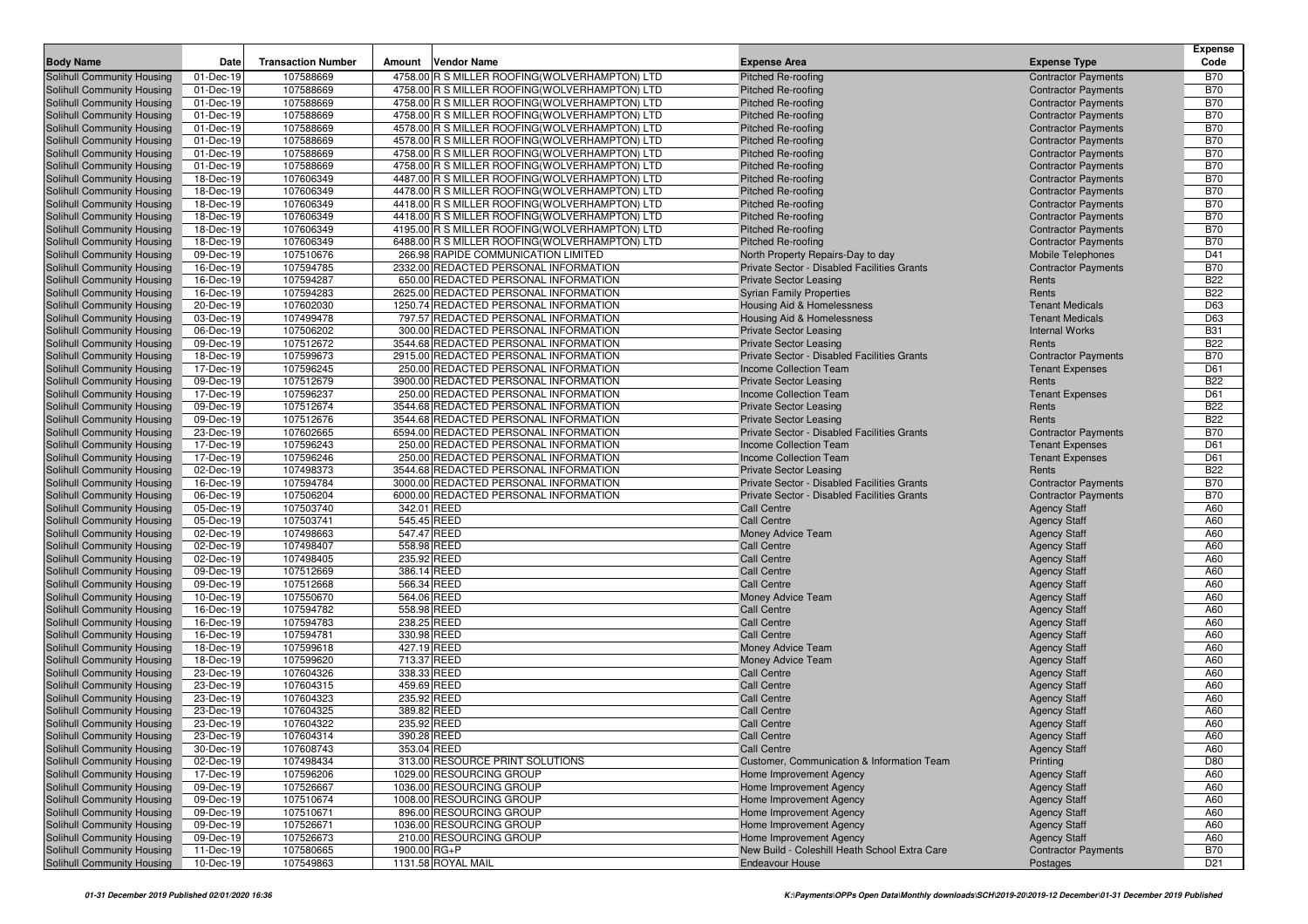|                                                          |                        |                           |                                                                                                 |                                                                              |                                                          | <b>Expense</b>           |
|----------------------------------------------------------|------------------------|---------------------------|-------------------------------------------------------------------------------------------------|------------------------------------------------------------------------------|----------------------------------------------------------|--------------------------|
| <b>Body Name</b>                                         | Date                   | <b>Transaction Number</b> | <b>Vendor Name</b><br>Amount                                                                    | <b>Expense Area</b>                                                          | <b>Expense Type</b>                                      | Code                     |
| Solihull Community Housing                               | 01-Dec-19              | 107588669                 | 4758.00 R S MILLER ROOFING (WOLVERHAMPTON) LTD                                                  | <b>Pitched Re-roofing</b>                                                    | <b>Contractor Payments</b>                               | <b>B70</b>               |
| Solihull Community Housing                               | 01-Dec-19              | 107588669                 | 4758.00 R S MILLER ROOFING (WOLVERHAMPTON) LTD                                                  | <b>Pitched Re-roofing</b>                                                    | <b>Contractor Payments</b>                               | <b>B70</b>               |
| Solihull Community Housing                               | 01-Dec-19              | 107588669                 | 4758.00 R S MILLER ROOFING(WOLVERHAMPTON) LTD                                                   | Pitched Re-roofing                                                           | <b>Contractor Payments</b>                               | <b>B70</b>               |
| Solihull Community Housing                               | 01-Dec-19              | 107588669                 | 4758.00 R S MILLER ROOFING(WOLVERHAMPTON) LTD                                                   | <b>Pitched Re-roofing</b>                                                    | <b>Contractor Payments</b>                               | <b>B70</b>               |
| Solihull Community Housing                               | 01-Dec-19              | 107588669                 | 4578.00 R S MILLER ROOFING (WOLVERHAMPTON) LTD                                                  | <b>Pitched Re-roofing</b>                                                    | <b>Contractor Payments</b>                               | <b>B70</b>               |
| Solihull Community Housing                               | 01-Dec-19              | 107588669                 | 4578.00 R S MILLER ROOFING(WOLVERHAMPTON) LTD                                                   | <b>Pitched Re-roofing</b>                                                    | <b>Contractor Payments</b>                               | <b>B70</b>               |
| Solihull Community Housing                               | 01-Dec-19              | 107588669                 | 4758.00 R S MILLER ROOFING(WOLVERHAMPTON) LTD                                                   | <b>Pitched Re-roofing</b>                                                    | <b>Contractor Payments</b>                               | <b>B70</b>               |
| Solihull Community Housing                               | 01-Dec-19              | 107588669                 | 4758.00 R S MILLER ROOFING(WOLVERHAMPTON) LTD                                                   | <b>Pitched Re-roofing</b>                                                    | <b>Contractor Payments</b>                               | <b>B70</b>               |
| Solihull Community Housing                               | 18-Dec-19<br>18-Dec-19 | 107606349                 | 4487.00 R S MILLER ROOFING (WOLVERHAMPTON) LTD<br>4478.00 R S MILLER ROOFING(WOLVERHAMPTON) LTD | <b>Pitched Re-roofing</b><br>Pitched Re-roofing                              | <b>Contractor Payments</b>                               | <b>B70</b><br><b>B70</b> |
| Solihull Community Housing<br>Solihull Community Housing | 18-Dec-19              | 107606349<br>107606349    | 4418.00 R S MILLER ROOFING(WOLVERHAMPTON) LTD                                                   | <b>Pitched Re-roofing</b>                                                    | <b>Contractor Payments</b><br><b>Contractor Payments</b> | <b>B70</b>               |
| <b>Solihull Community Housing</b>                        | 18-Dec-19              | 107606349                 | 4418.00 R S MILLER ROOFING(WOLVERHAMPTON) LTD                                                   | <b>Pitched Re-roofing</b>                                                    | <b>Contractor Payments</b>                               | <b>B70</b>               |
| Solihull Community Housing                               | 18-Dec-19              | 107606349                 | 4195.00 R S MILLER ROOFING(WOLVERHAMPTON) LTD                                                   | Pitched Re-roofing                                                           | <b>Contractor Payments</b>                               | <b>B70</b>               |
| Solihull Community Housing                               | 18-Dec-19              | 107606349                 | 6488.00 R S MILLER ROOFING (WOLVERHAMPTON) LTD                                                  | <b>Pitched Re-roofing</b>                                                    | <b>Contractor Payments</b>                               | <b>B70</b>               |
| Solihull Community Housing                               | 09-Dec-19              | 107510676                 | 266.98 RAPIDE COMMUNICATION LIMITED                                                             | North Property Repairs-Day to day                                            | <b>Mobile Telephones</b>                                 | D41                      |
| Solihull Community Housing                               | 16-Dec-19              | 107594785                 | 2332.00 REDACTED PERSONAL INFORMATION                                                           | Private Sector - Disabled Facilities Grants                                  | <b>Contractor Payments</b>                               | <b>B70</b>               |
| Solihull Community Housing                               | 16-Dec-19              | 107594287                 | 650.00 REDACTED PERSONAL INFORMATION                                                            | <b>Private Sector Leasing</b>                                                | Rents                                                    | <b>B22</b>               |
| Solihull Community Housing                               | 16-Dec-19              | 107594283                 | 2625.00 REDACTED PERSONAL INFORMATION                                                           | <b>Syrian Family Properties</b>                                              | Rents                                                    | <b>B22</b>               |
| Solihull Community Housing                               | 20-Dec-19              | 107602030                 | 1250.74 REDACTED PERSONAL INFORMATION                                                           | Housing Aid & Homelessness                                                   | <b>Tenant Medicals</b>                                   | D63                      |
| Solihull Community Housing                               | 03-Dec-19              | 107499478                 | 797.57 REDACTED PERSONAL INFORMATION                                                            | Housing Aid & Homelessness                                                   | <b>Tenant Medicals</b>                                   | D63                      |
| Solihull Community Housing                               | 06-Dec-19              | 107506202                 | 300.00 REDACTED PERSONAL INFORMATION                                                            | <b>Private Sector Leasing</b>                                                | <b>Internal Works</b>                                    | <b>B31</b>               |
| Solihull Community Housing                               | 09-Dec-19              | 107512672                 | 3544.68 REDACTED PERSONAL INFORMATION                                                           | <b>Private Sector Leasing</b>                                                | Rents                                                    | <b>B22</b>               |
| Solihull Community Housing                               | 18-Dec-19              | 107599673                 | 2915.00 REDACTED PERSONAL INFORMATION                                                           | Private Sector - Disabled Facilities Grants                                  | <b>Contractor Payments</b>                               | <b>B70</b>               |
| Solihull Community Housing                               | 17-Dec-19              | 107596245                 | 250.00 REDACTED PERSONAL INFORMATION                                                            | Income Collection Team                                                       | <b>Tenant Expenses</b>                                   | D61                      |
| Solihull Community Housing                               | 09-Dec-19              | 107512679                 | 3900.00 REDACTED PERSONAL INFORMATION                                                           | <b>Private Sector Leasing</b>                                                | Rents                                                    | <b>B22</b>               |
| Solihull Community Housing                               | 17-Dec-19              | 107596237                 | 250.00 REDACTED PERSONAL INFORMATION                                                            | Income Collection Team                                                       | <b>Tenant Expenses</b>                                   | D61                      |
| Solihull Community Housing                               | 09-Dec-19              | 107512674                 | 3544.68 REDACTED PERSONAL INFORMATION                                                           | <b>Private Sector Leasing</b>                                                | Rents                                                    | <b>B22</b>               |
| Solihull Community Housing                               | 09-Dec-19              | 107512676                 | 3544.68 REDACTED PERSONAL INFORMATION                                                           | <b>Private Sector Leasing</b>                                                | Rents                                                    | <b>B22</b>               |
| Solihull Community Housing                               | 23-Dec-19              | 107602665                 | 6594.00 REDACTED PERSONAL INFORMATION                                                           | Private Sector - Disabled Facilities Grants                                  | <b>Contractor Payments</b>                               | <b>B70</b>               |
| Solihull Community Housing                               | 17-Dec-19              | 107596243                 | 250.00 REDACTED PERSONAL INFORMATION                                                            | <b>Income Collection Team</b>                                                | <b>Tenant Expenses</b>                                   | D61                      |
| Solihull Community Housing<br>Solihull Community Housing | 17-Dec-19              | 107596246                 | 250.00 REDACTED PERSONAL INFORMATION                                                            | <b>Income Collection Team</b>                                                | <b>Tenant Expenses</b>                                   | D61                      |
| Solihull Community Housing                               | 02-Dec-19<br>16-Dec-19 | 107498373<br>107594784    | 3544.68 REDACTED PERSONAL INFORMATION<br>3000.00 REDACTED PERSONAL INFORMATION                  | <b>Private Sector Leasing</b><br>Private Sector - Disabled Facilities Grants | Rents                                                    | <b>B22</b><br><b>B70</b> |
| Solihull Community Housing                               | 06-Dec-19              | 107506204                 | 6000.00 REDACTED PERSONAL INFORMATION                                                           | Private Sector - Disabled Facilities Grants                                  | <b>Contractor Payments</b><br><b>Contractor Payments</b> | <b>B70</b>               |
| Solihull Community Housing                               | 05-Dec-19              | 107503740                 | 342.01 REED                                                                                     | <b>Call Centre</b>                                                           | <b>Agency Staff</b>                                      | A60                      |
| Solihull Community Housing                               | 05-Dec-19              | 107503741                 | 545.45 REED                                                                                     | <b>Call Centre</b>                                                           | <b>Agency Staff</b>                                      | A60                      |
| Solihull Community Housing                               | 02-Dec-19              | 107498663                 | 547.47 REED                                                                                     | Money Advice Team                                                            | <b>Agency Staff</b>                                      | A60                      |
| Solihull Community Housing                               | 02-Dec-19              | 107498407                 | 558.98 REED                                                                                     | <b>Call Centre</b>                                                           | <b>Agency Staff</b>                                      | A60                      |
| Solihull Community Housing                               | 02-Dec-19              | 107498405                 | 235.92 REED                                                                                     | <b>Call Centre</b>                                                           | <b>Agency Staff</b>                                      | A60                      |
| Solihull Community Housing                               | 09-Dec-19              | 107512669                 | 386.14 REED                                                                                     | <b>Call Centre</b>                                                           | <b>Agency Staff</b>                                      | A60                      |
| Solihull Community Housing                               | 09-Dec-19              | 107512668                 | 566.34 REED                                                                                     | <b>Call Centre</b>                                                           | <b>Agency Staff</b>                                      | A60                      |
| Solihull Community Housing                               | 10-Dec-19              | 107550670                 | 564.06 REED                                                                                     | Money Advice Team                                                            | <b>Agency Staff</b>                                      | A60                      |
| Solihull Community Housing                               | 16-Dec-19              | 107594782                 | 558.98 REED                                                                                     | <b>Call Centre</b>                                                           | <b>Agency Staff</b>                                      | A60                      |
| Solihull Community Housing                               | 16-Dec-19              | 107594783                 | 238.25 REED                                                                                     | <b>Call Centre</b>                                                           | <b>Agency Staff</b>                                      | A60                      |
| Solihull Community Housing                               | 16-Dec-19              | 107594781                 | 330.98 REED                                                                                     | <b>Call Centre</b>                                                           | <b>Agency Staff</b>                                      | A60                      |
| Solihull Community Housing                               | 18-Dec-19              | 107599618                 | 427.19 REED                                                                                     | <b>Money Advice Team</b>                                                     | <b>Agency Staff</b>                                      | A60                      |
| Solihull Community Housing                               | 18-Dec-19              | 107599620                 | 713.37 REED                                                                                     | Money Advice Team                                                            | <b>Agency Staff</b>                                      | A60                      |
| Solihull Community Housing                               | 23-Dec-19              | 107604326                 | 338.33 REED                                                                                     | <b>Call Centre</b>                                                           | <b>Agency Staff</b>                                      | A60                      |
| Solihull Community Housing                               | 23-Dec-19              | 107604315                 | 459.69 REED                                                                                     | <b>Call Centre</b>                                                           | <b>Agency Staff</b>                                      | A60                      |
| Solihull Community Housing                               | 23-Dec-19              | 107604323                 | 235.92 REED                                                                                     | <b>Call Centre</b>                                                           | <b>Agency Staff</b>                                      | A60                      |
| Solihull Community Housing                               | 23-Dec-19              | 107604325<br>107604322    | 389.82 REED                                                                                     | <b>Call Centre</b>                                                           | <b>Agency Staff</b>                                      | A60<br>A60               |
| Solihull Community Housing                               | 23-Dec-19<br>23-Dec-19 | 107604314                 | 235.92 REED<br>390.28 REED                                                                      | <b>Call Centre</b><br><b>Call Centre</b>                                     | <b>Agency Staff</b>                                      | A60                      |
| Solihull Community Housing                               | 30-Dec-19              |                           |                                                                                                 |                                                                              | <b>Agency Staff</b>                                      | A60                      |
| Solihull Community Housing<br>Solihull Community Housing | 02-Dec-19              | 107608743<br>107498434    | 353.04 REED<br>313.00 RESOURCE PRINT SOLUTIONS                                                  | <b>Call Centre</b><br>Customer, Communication & Information Team             | <b>Agency Staff</b><br>Printing                          | D80                      |
| Solihull Community Housing                               | 17-Dec-19              | 107596206                 | 1029.00 RESOURCING GROUP                                                                        | Home Improvement Agency                                                      | <b>Agency Staff</b>                                      | A60                      |
| Solihull Community Housing                               | 09-Dec-19              | 107526667                 | 1036.00 RESOURCING GROUP                                                                        | Home Improvement Agency                                                      | <b>Agency Staff</b>                                      | A60                      |
| Solihull Community Housing                               | 09-Dec-19              | 107510674                 | 1008.00 RESOURCING GROUP                                                                        | Home Improvement Agency                                                      | <b>Agency Staff</b>                                      | A60                      |
| Solihull Community Housing                               | 09-Dec-19              | 107510671                 | 896.00 RESOURCING GROUP                                                                         | Home Improvement Agency                                                      | <b>Agency Staff</b>                                      | A60                      |
| Solihull Community Housing                               | 09-Dec-19              | 107526671                 | 1036.00 RESOURCING GROUP                                                                        | Home Improvement Agency                                                      | <b>Agency Staff</b>                                      | A60                      |
| Solihull Community Housing                               | 09-Dec-19              | 107526673                 | 210.00 RESOURCING GROUP                                                                         | Home Improvement Agency                                                      | <b>Agency Staff</b>                                      | A60                      |
| Solihull Community Housing                               | 11-Dec-19              | 107580665                 | 1900.00 RG+P                                                                                    | New Build - Coleshill Heath School Extra Care                                | <b>Contractor Payments</b>                               | <b>B70</b>               |
| Solihull Community Housing                               | 10-Dec-19              | 107549863                 | 1131.58 ROYAL MAIL                                                                              | <b>Endeavour House</b>                                                       | Postages                                                 | D <sub>21</sub>          |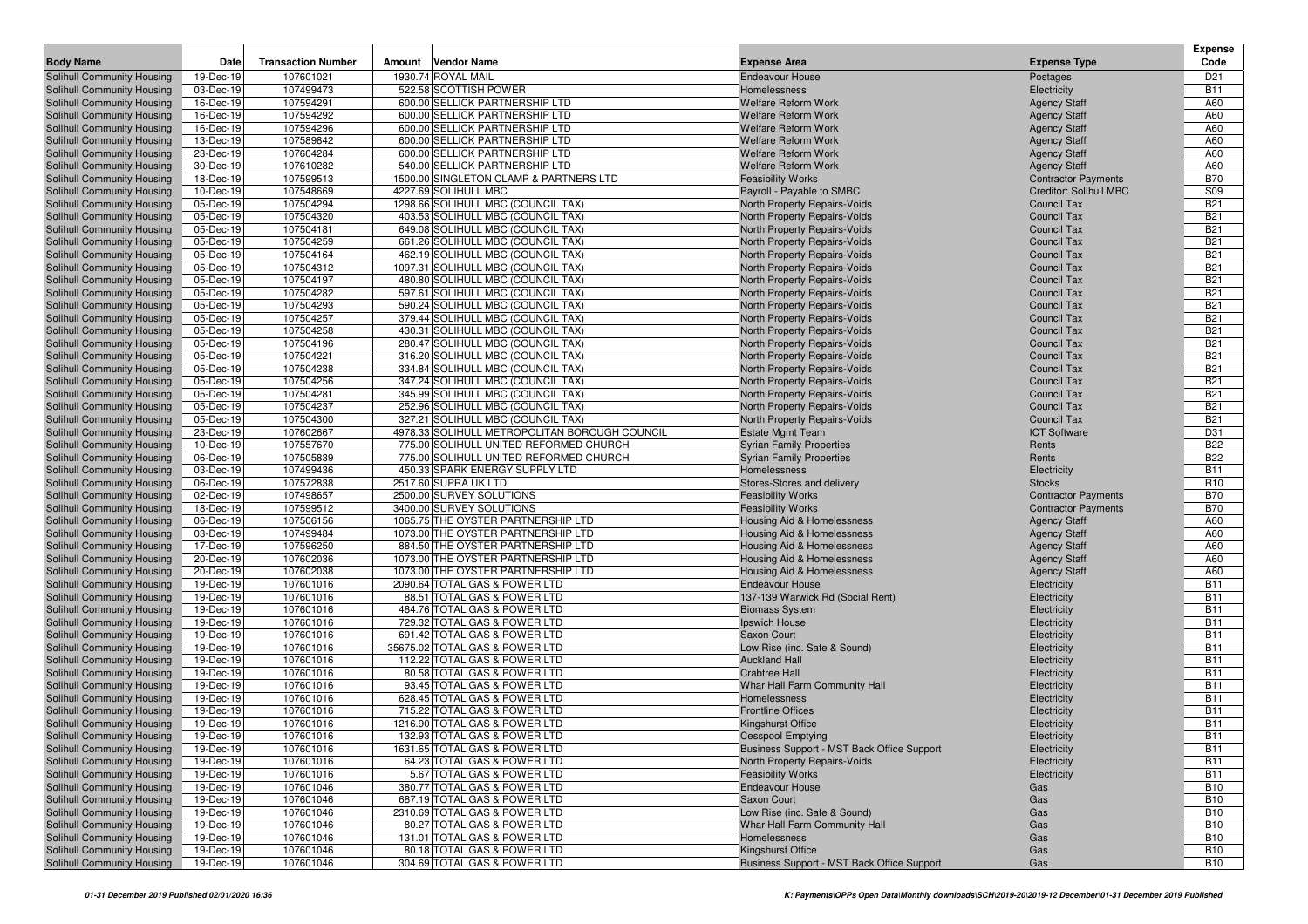|                                                          |                        |                           |                                                                |                                                                        |                                                      | <b>Expense</b>                |
|----------------------------------------------------------|------------------------|---------------------------|----------------------------------------------------------------|------------------------------------------------------------------------|------------------------------------------------------|-------------------------------|
| <b>Body Name</b>                                         | Date                   | <b>Transaction Number</b> | <b>Vendor Name</b><br>Amount                                   | <b>Expense Area</b>                                                    | <b>Expense Type</b>                                  | Code                          |
| Solihull Community Housing                               | 19-Dec-19              | 107601021                 | 1930.74 ROYAL MAIL                                             | <b>Endeavour House</b>                                                 | Postages                                             | D <sub>21</sub>               |
| Solihull Community Housing                               | 03-Dec-19              | 107499473                 | 522.58 SCOTTISH POWER                                          | Homelessness                                                           | Electricity                                          | <b>B11</b>                    |
| Solihull Community Housing                               | 16-Dec-19              | 107594291                 | 600.00 SELLICK PARTNERSHIP LTD                                 | <b>Welfare Reform Work</b>                                             | <b>Agency Staff</b>                                  | A60                           |
| Solihull Community Housing                               | 16-Dec-19              | 107594292                 | 600.00 SELLICK PARTNERSHIP LTD                                 | <b>Welfare Reform Work</b>                                             | <b>Agency Staff</b>                                  | A60                           |
| Solihull Community Housing                               | 16-Dec-19              | 107594296                 | 600.00 SELLICK PARTNERSHIP LTD                                 | <b>Welfare Reform Work</b>                                             | <b>Agency Staff</b>                                  | A60                           |
| Solihull Community Housing                               | 13-Dec-19              | 107589842                 | 600.00 SELLICK PARTNERSHIP LTD                                 | <b>Welfare Reform Work</b>                                             | <b>Agency Staff</b>                                  | A60                           |
| Solihull Community Housing                               | 23-Dec-19              | 107604284                 | 600.00 SELLICK PARTNERSHIP LTD                                 | <b>Welfare Reform Work</b>                                             | <b>Agency Staff</b>                                  | A60                           |
| Solihull Community Housing                               | 30-Dec-19              | 107610282                 | 540.00 SELLICK PARTNERSHIP LTD                                 | <b>Welfare Reform Work</b>                                             | <b>Agency Staff</b>                                  | A60                           |
| Solihull Community Housing                               | 18-Dec-19              | 107599513                 | 1500.00 SINGLETON CLAMP & PARTNERS LTD<br>4227.69 SOLIHULL MBC | <b>Feasibility Works</b>                                               | <b>Contractor Payments</b><br>Creditor: Solihull MBC | <b>B70</b><br><b>S09</b>      |
| Solihull Community Housing<br>Solihull Community Housing | 10-Dec-19<br>05-Dec-19 | 107548669<br>107504294    | 1298.66 SOLIHULL MBC (COUNCIL TAX)                             | Payroll - Payable to SMBC                                              | <b>Council Tax</b>                                   | <b>B21</b>                    |
| Solihull Community Housing                               | 05-Dec-19              | 107504320                 | 403.53 SOLIHULL MBC (COUNCIL TAX)                              | North Property Repairs-Voids<br>North Property Repairs-Voids           | <b>Council Tax</b>                                   | <b>B21</b>                    |
| Solihull Community Housing                               | 05-Dec-19              | 107504181                 | 649.08 SOLIHULL MBC (COUNCIL TAX)                              | North Property Repairs-Voids                                           | <b>Council Tax</b>                                   | <b>B21</b>                    |
| Solihull Community Housing                               | 05-Dec-19              | 107504259                 | 661.26 SOLIHULL MBC (COUNCIL TAX)                              | North Property Repairs-Voids                                           | <b>Council Tax</b>                                   | <b>B21</b>                    |
| Solihull Community Housing                               | 05-Dec-19              | 107504164                 | 462.19 SOLIHULL MBC (COUNCIL TAX)                              | North Property Repairs-Voids                                           | <b>Council Tax</b>                                   | <b>B21</b>                    |
| Solihull Community Housing                               | 05-Dec-19              | 107504312                 | 1097.31 SOLIHULL MBC (COUNCIL TAX)                             | North Property Repairs-Voids                                           | <b>Council Tax</b>                                   | <b>B21</b>                    |
| Solihull Community Housing                               | 05-Dec-19              | 107504197                 | 480.80 SOLIHULL MBC (COUNCIL TAX)                              | North Property Repairs-Voids                                           | <b>Council Tax</b>                                   | <b>B21</b>                    |
| Solihull Community Housing                               | 05-Dec-19              | 107504282                 | 597.61 SOLIHULL MBC (COUNCIL TAX)                              | North Property Repairs-Voids                                           | <b>Council Tax</b>                                   | <b>B21</b>                    |
| Solihull Community Housing                               | 05-Dec-19              | 107504293                 | 590.24 SOLIHULL MBC (COUNCIL TAX)                              | North Property Repairs-Voids                                           | <b>Council Tax</b>                                   | <b>B21</b>                    |
| Solihull Community Housing                               | 05-Dec-19              | 107504257                 | 379.44 SOLIHULL MBC (COUNCIL TAX)                              | North Property Repairs-Voids                                           | <b>Council Tax</b>                                   | <b>B21</b>                    |
| Solihull Community Housing                               | 05-Dec-19              | 107504258                 | 430.31 SOLIHULL MBC (COUNCIL TAX)                              | North Property Repairs-Voids                                           | <b>Council Tax</b>                                   | <b>B21</b>                    |
| Solihull Community Housing                               | 05-Dec-19              | 107504196                 | 280.47 SOLIHULL MBC (COUNCIL TAX)                              | North Property Repairs-Voids                                           | <b>Council Tax</b>                                   | <b>B21</b>                    |
| Solihull Community Housing                               | 05-Dec-19              | 107504221                 | 316.20 SOLIHULL MBC (COUNCIL TAX)                              | North Property Repairs-Voids                                           | <b>Council Tax</b>                                   | <b>B21</b>                    |
| Solihull Community Housing                               | 05-Dec-19              | 107504238                 | 334.84 SOLIHULL MBC (COUNCIL TAX)                              | North Property Repairs-Voids                                           | <b>Council Tax</b>                                   | <b>B21</b>                    |
| <b>Solihull Community Housing</b>                        | 05-Dec-19              | 107504256                 | 347.24 SOLIHULL MBC (COUNCIL TAX)                              | North Property Repairs-Voids                                           | <b>Council Tax</b>                                   | <b>B21</b>                    |
| Solihull Community Housing                               | 05-Dec-19              | 107504281                 | 345.99 SOLIHULL MBC (COUNCIL TAX)                              | North Property Repairs-Voids                                           | <b>Council Tax</b>                                   | <b>B21</b>                    |
| Solihull Community Housing                               | 05-Dec-19              | 107504237                 | 252.96 SOLIHULL MBC (COUNCIL TAX)                              | North Property Repairs-Voids                                           | <b>Council Tax</b>                                   | <b>B21</b>                    |
| Solihull Community Housing                               | 05-Dec-19              | 107504300                 | 327.21 SOLIHULL MBC (COUNCIL TAX)                              | North Property Repairs-Voids                                           | <b>Council Tax</b>                                   | <b>B21</b>                    |
| Solihull Community Housing                               | 23-Dec-19              | 107602667                 | 4978.33 SOLIHULL METROPOLITAN BOROUGH COUNCIL                  | <b>Estate Mgmt Team</b>                                                | <b>ICT Software</b>                                  | D31                           |
| Solihull Community Housing                               | 10-Dec-19              | 107557670                 | 775.00 SOLIHULL UNITED REFORMED CHURCH                         | <b>Syrian Family Properties</b>                                        | Rents                                                | <b>B22</b>                    |
| Solihull Community Housing                               | 06-Dec-19              | 107505839                 | 775.00 SOLIHULL UNITED REFORMED CHURCH                         | <b>Syrian Family Properties</b>                                        | Rents                                                | <b>B22</b>                    |
| Solihull Community Housing                               | 03-Dec-19              | 107499436                 | 450.33 SPARK ENERGY SUPPLY LTD                                 | Homelessness<br>Stores-Stores and delivery                             | Electricity                                          | <b>B11</b><br>R <sub>10</sub> |
| Solihull Community Housing<br>Solihull Community Housing | 06-Dec-19<br>02-Dec-19 | 107572838<br>107498657    | 2517.60 SUPRA UK LTD<br>2500.00 SURVEY SOLUTIONS               | <b>Feasibility Works</b>                                               | <b>Stocks</b><br><b>Contractor Payments</b>          | <b>B70</b>                    |
| Solihull Community Housing                               | 18-Dec-19              | 107599512                 | 3400.00 SURVEY SOLUTIONS                                       | <b>Feasibility Works</b>                                               | <b>Contractor Payments</b>                           | <b>B70</b>                    |
| Solihull Community Housing                               | 06-Dec-19              | 107506156                 | 1065.75 THE OYSTER PARTNERSHIP LTD                             | Housing Aid & Homelessness                                             | <b>Agency Staff</b>                                  | A60                           |
| Solihull Community Housing                               | 03-Dec-19              | 107499484                 | 1073.00 THE OYSTER PARTNERSHIP LTD                             | Housing Aid & Homelessness                                             | <b>Agency Staff</b>                                  | A60                           |
| Solihull Community Housing                               | 17-Dec-19              | 107596250                 | 884.50 THE OYSTER PARTNERSHIP LTD                              | Housing Aid & Homelessness                                             | <b>Agency Staff</b>                                  | A60                           |
| Solihull Community Housing                               | 20-Dec-19              | 107602036                 | 1073.00 THE OYSTER PARTNERSHIP LTD                             | Housing Aid & Homelessness                                             | <b>Agency Staff</b>                                  | A60                           |
| Solihull Community Housing                               | 20-Dec-19              | 107602038                 | 1073.00 THE OYSTER PARTNERSHIP LTD                             | Housing Aid & Homelessness                                             | <b>Agency Staff</b>                                  | A60                           |
| Solihull Community Housing                               | 19-Dec-19              | 107601016                 | 2090.64 TOTAL GAS & POWER LTD                                  | <b>Endeavour House</b>                                                 | Electricity                                          | <b>B11</b>                    |
| Solihull Community Housing                               | 19-Dec-19              | 107601016                 | 88.51 TOTAL GAS & POWER LTD                                    | 137-139 Warwick Rd (Social Rent)                                       | Electricity                                          | <b>B11</b>                    |
| Solihull Community Housing                               | 19-Dec-19              | 107601016                 | 484.76 TOTAL GAS & POWER LTD                                   | <b>Biomass System</b>                                                  | Electricity                                          | <b>B11</b>                    |
| Solihull Community Housing                               | 19-Dec-19              | 107601016                 | 729.32 TOTAL GAS & POWER LTD                                   | Ipswich House                                                          | Electricity                                          | <b>B11</b>                    |
| Solihull Community Housing                               | 19-Dec-19              | 107601016                 | 691.42 TOTAL GAS & POWER LTD                                   | Saxon Court                                                            | Electricity                                          | <b>B11</b>                    |
| Solihull Community Housing                               | 19-Dec-19              | 107601016                 | 35675.02 TOTAL GAS & POWER LTD                                 | Low Rise (inc. Safe & Sound)                                           | Electricity                                          | <b>B11</b>                    |
| Solihull Community Housing                               | 19-Dec-19              | 107601016                 | 112.22 TOTAL GAS & POWER LTD                                   | <b>Auckland Hall</b>                                                   | Electricity                                          | <b>B11</b>                    |
| Solihull Community Housing                               | 19-Dec-19              | 107601016                 | 80.58 TOTAL GAS & POWER LTD                                    | <b>Crabtree Hall</b>                                                   | Electricity                                          | <b>B11</b>                    |
| Solihull Community Housing                               | 19-Dec-19              | 107601016                 | 93.45 TOTAL GAS & POWER LTD                                    | Whar Hall Farm Community Hall                                          | Electricity                                          | <b>B11</b>                    |
| Solihull Community Housing                               | 19-Dec-19<br>19-Dec-19 | 107601016                 | 628.45 TOTAL GAS & POWER LTD                                   | Homelessness                                                           | Electricity                                          | <b>B11</b><br><b>B11</b>      |
| Solihull Community Housing<br>Solihull Community Housing | 19-Dec-19              | 107601016<br>107601016    | 715.22 TOTAL GAS & POWER LTD<br>1216.90 TOTAL GAS & POWER LTD  | <b>Frontline Offices</b>                                               | Electricity                                          | <b>B11</b>                    |
| Solihull Community Housing                               | 19-Dec-19              | 107601016                 | 132.93 TOTAL GAS & POWER LTD                                   | <b>Kingshurst Office</b>                                               | Electricity                                          | <b>B11</b>                    |
| Solihull Community Housing                               | 19-Dec-19              | 107601016                 | 1631.65 TOTAL GAS & POWER LTD                                  | <b>Cesspool Emptying</b><br>Business Support - MST Back Office Support | Electricity<br>Electricity                           | <b>B11</b>                    |
| Solihull Community Housing                               | 19-Dec-19              | 107601016                 | 64.23 TOTAL GAS & POWER LTD                                    | North Property Repairs-Voids                                           | Electricity                                          | <b>B11</b>                    |
| Solihull Community Housing                               | 19-Dec-19              | 107601016                 | 5.67 TOTAL GAS & POWER LTD                                     | <b>Feasibility Works</b>                                               | Electricity                                          | <b>B11</b>                    |
| Solihull Community Housing                               | 19-Dec-19              | 107601046                 | 380.77 TOTAL GAS & POWER LTD                                   | <b>Endeavour House</b>                                                 | Gas                                                  | <b>B10</b>                    |
| Solihull Community Housing                               | 19-Dec-19              | 107601046                 | 687.19 TOTAL GAS & POWER LTD                                   | Saxon Court                                                            | Gas                                                  | <b>B10</b>                    |
| Solihull Community Housing                               | 19-Dec-19              | 107601046                 | 2310.69 TOTAL GAS & POWER LTD                                  | Low Rise (inc. Safe & Sound)                                           | Gas                                                  | <b>B10</b>                    |
| Solihull Community Housing                               | 19-Dec-19              | 107601046                 | 80.27 TOTAL GAS & POWER LTD                                    | Whar Hall Farm Community Hall                                          | Gas                                                  | <b>B10</b>                    |
| Solihull Community Housing                               | 19-Dec-19              | 107601046                 | 131.01 TOTAL GAS & POWER LTD                                   | Homelessness                                                           | Gas                                                  | <b>B10</b>                    |
| Solihull Community Housing                               | 19-Dec-19              | 107601046                 | 80.18 TOTAL GAS & POWER LTD                                    | Kingshurst Office                                                      | Gas                                                  | <b>B10</b>                    |
| Solihull Community Housing                               | 19-Dec-19              | 107601046                 | 304.69 TOTAL GAS & POWER LTD                                   | Business Support - MST Back Office Support                             | Gas                                                  | <b>B10</b>                    |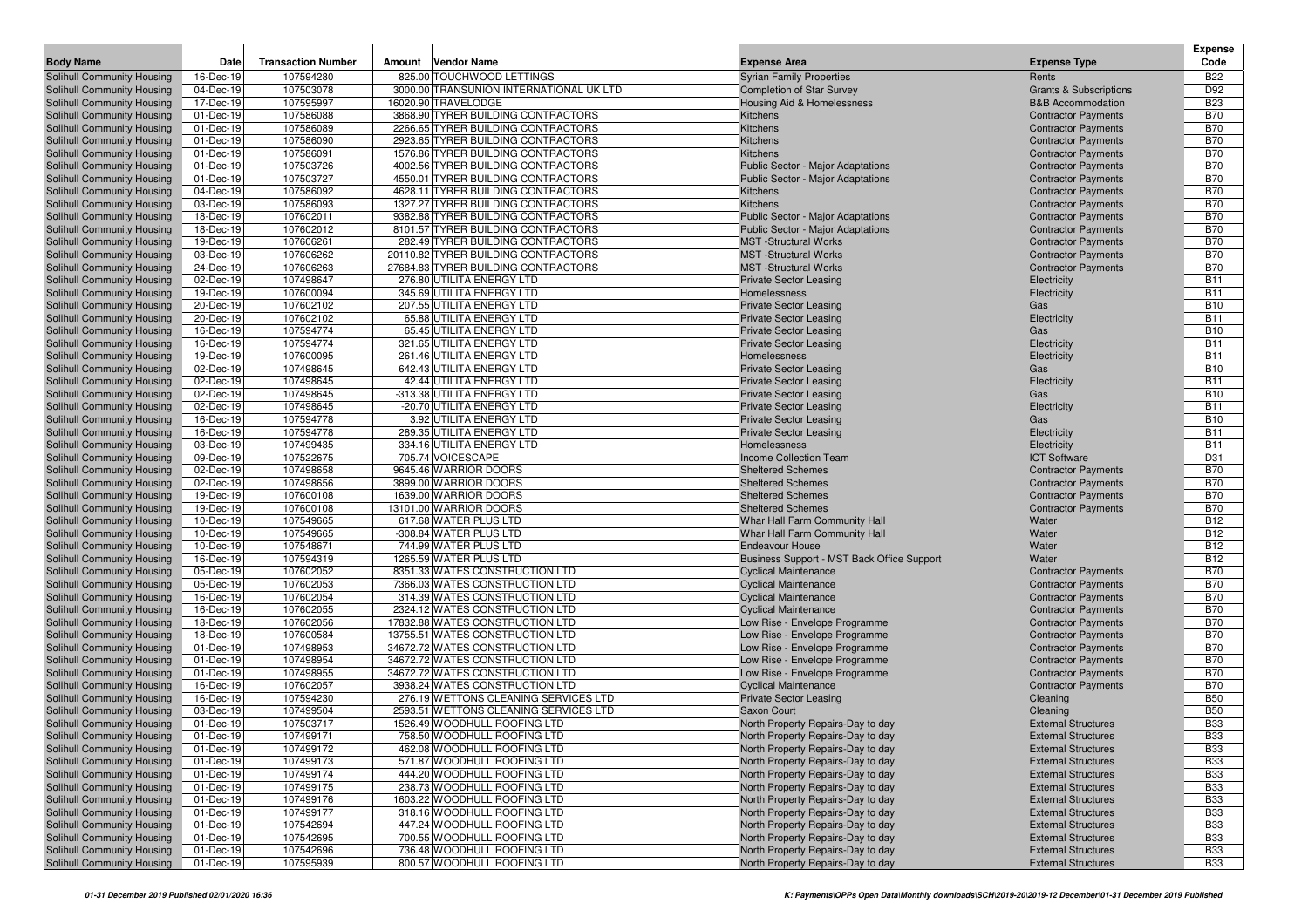| <b>Body Name</b>                                         | Date                   | <b>Transaction Number</b> | Amount | Vendor Name                                                        | <b>Expense Area</b>                                            | <b>Expense Type</b>                                      | <b>Expense</b><br>Code   |
|----------------------------------------------------------|------------------------|---------------------------|--------|--------------------------------------------------------------------|----------------------------------------------------------------|----------------------------------------------------------|--------------------------|
| Solihull Community Housing                               | 16-Dec-19              | 107594280                 |        | 825.00 TOUCHWOOD LETTINGS                                          | <b>Syrian Family Properties</b>                                | Rents                                                    | <b>B22</b>               |
| Solihull Community Housing                               | 04-Dec-19              | 107503078                 |        | 3000.00 TRANSUNION INTERNATIONAL UK LTD                            | <b>Completion of Star Survey</b>                               | <b>Grants &amp; Subscriptions</b>                        | D92                      |
| Solihull Community Housing                               | 17-Dec-19              | 107595997                 |        | 16020.90 TRAVELODGE                                                | Housing Aid & Homelessness                                     | <b>B&amp;B Accommodation</b>                             | <b>B23</b>               |
| Solihull Community Housing                               | 01-Dec-19              | 107586088                 |        | 3868.90 TYRER BUILDING CONTRACTORS                                 | Kitchens                                                       | <b>Contractor Payments</b>                               | <b>B70</b>               |
| Solihull Community Housing                               | 01-Dec-19              | 107586089                 |        | 2266.65 TYRER BUILDING CONTRACTORS                                 | Kitchens                                                       | <b>Contractor Payments</b>                               | <b>B70</b>               |
| Solihull Community Housing                               | 01-Dec-19              | 107586090                 |        | 2923.65 TYRER BUILDING CONTRACTORS                                 | Kitchens                                                       | <b>Contractor Payments</b>                               | <b>B70</b>               |
| Solihull Community Housing                               | 01-Dec-19              | 107586091                 |        | 1576.86 TYRER BUILDING CONTRACTORS                                 | Kitchens                                                       | <b>Contractor Payments</b>                               | <b>B70</b>               |
| Solihull Community Housing                               | 01-Dec-19              | 107503726                 |        | 4002.56 TYRER BUILDING CONTRACTORS                                 | <b>Public Sector - Major Adaptations</b>                       | <b>Contractor Payments</b>                               | <b>B70</b>               |
| Solihull Community Housing                               | 01-Dec-19              | 107503727                 |        | 4550.01 TYRER BUILDING CONTRACTORS                                 | <b>Public Sector - Major Adaptations</b>                       | <b>Contractor Payments</b>                               | <b>B70</b>               |
| Solihull Community Housing                               | 04-Dec-19              | 107586092                 |        | 4628.11 TYRER BUILDING CONTRACTORS                                 | Kitchens                                                       | <b>Contractor Payments</b>                               | <b>B70</b>               |
| <b>Solihull Community Housing</b>                        | 03-Dec-19              | 107586093                 |        | 1327.27 TYRER BUILDING CONTRACTORS                                 | Kitchens                                                       | <b>Contractor Payments</b>                               | <b>B70</b>               |
| Solihull Community Housing                               | 18-Dec-19              | 107602011                 |        | 9382.88 TYRER BUILDING CONTRACTORS                                 | <b>Public Sector - Major Adaptations</b>                       | <b>Contractor Payments</b>                               | <b>B70</b>               |
| Solihull Community Housing                               | 18-Dec-19              | 107602012                 |        | 8101.57 TYRER BUILDING CONTRACTORS                                 | <b>Public Sector - Major Adaptations</b>                       | <b>Contractor Payments</b>                               | <b>B70</b>               |
| Solihull Community Housing                               | 19-Dec-19              | 107606261                 |        | 282.49 TYRER BUILDING CONTRACTORS                                  | <b>MST</b> -Structural Works                                   | <b>Contractor Payments</b>                               | <b>B70</b>               |
| Solihull Community Housing                               | 03-Dec-19              | 107606262                 |        | 20110.82 TYRER BUILDING CONTRACTORS                                | <b>MST</b> -Structural Works                                   | <b>Contractor Payments</b>                               | <b>B70</b>               |
| Solihull Community Housing                               | 24-Dec-19              | 107606263                 |        | 27684.83 TYRER BUILDING CONTRACTORS                                | <b>MST</b> -Structural Works                                   | <b>Contractor Payments</b>                               | <b>B70</b>               |
| Solihull Community Housing                               | 02-Dec-19              | 107498647                 |        | 276.80 UTILITA ENERGY LTD                                          | <b>Private Sector Leasing</b>                                  | Electricity                                              | <b>B11</b>               |
| Solihull Community Housing                               | 19-Dec-19              | 107600094                 |        | 345.69 UTILITA ENERGY LTD                                          | Homelessness                                                   | Electricity                                              | <b>B11</b>               |
| Solihull Community Housing                               | 20-Dec-19              | 107602102                 |        | 207.55 UTILITA ENERGY LTD                                          | <b>Private Sector Leasing</b>                                  | Gas                                                      | <b>B10</b>               |
| Solihull Community Housing                               | 20-Dec-19              | 107602102                 |        | 65.88 UTILITA ENERGY LTD                                           | <b>Private Sector Leasing</b>                                  | Electricity                                              | <b>B11</b>               |
| Solihull Community Housing                               | 16-Dec-19              | 107594774                 |        | 65.45 UTILITA ENERGY LTD                                           | <b>Private Sector Leasing</b>                                  | Gas                                                      | <b>B10</b>               |
| Solihull Community Housing                               | 16-Dec-19              | 107594774                 |        | 321.65 UTILITA ENERGY LTD                                          | <b>Private Sector Leasing</b>                                  | Electricity                                              | <b>B11</b>               |
| Solihull Community Housing                               | 19-Dec-19              | 107600095<br>107498645    |        | 261.46 UTILITA ENERGY LTD                                          | Homelessness                                                   | Electricity                                              | <b>B11</b><br><b>B10</b> |
| Solihull Community Housing<br>Solihull Community Housing | 02-Dec-19<br>02-Dec-19 | 107498645                 |        | 642.43 UTILITA ENERGY LTD<br>42.44 UTILITA ENERGY LTD              | <b>Private Sector Leasing</b>                                  | Gas                                                      | <b>B11</b>               |
| Solihull Community Housing                               | 02-Dec-19              | 107498645                 |        | -313.38 UTILITA ENERGY LTD                                         | <b>Private Sector Leasing</b><br><b>Private Sector Leasing</b> | Electricity<br>Gas                                       | <b>B10</b>               |
| Solihull Community Housing                               | 02-Dec-19              | 107498645                 |        | -20.70 UTILITA ENERGY LTD                                          | <b>Private Sector Leasing</b>                                  | Electricity                                              | <b>B11</b>               |
| Solihull Community Housing                               | 16-Dec-19              | 107594778                 |        | 3.92 UTILITA ENERGY LTD                                            | <b>Private Sector Leasing</b>                                  | Gas                                                      | <b>B10</b>               |
| Solihull Community Housing                               | 16-Dec-19              | 107594778                 |        | 289.35 UTILITA ENERGY LTD                                          | <b>Private Sector Leasing</b>                                  | Electricity                                              | <b>B11</b>               |
| Solihull Community Housing                               | 03-Dec-19              | 107499435                 |        | 334.16 UTILITA ENERGY LTD                                          | Homelessness                                                   | Electricity                                              | <b>B11</b>               |
| Solihull Community Housing                               | 09-Dec-19              | 107522675                 |        | 705.74 VOICESCAPE                                                  | <b>Income Collection Team</b>                                  | <b>ICT Software</b>                                      | D31                      |
| Solihull Community Housing                               | 02-Dec-19              | 107498658                 |        | 9645.46 WARRIOR DOORS                                              | <b>Sheltered Schemes</b>                                       | <b>Contractor Payments</b>                               | <b>B70</b>               |
| Solihull Community Housing                               | 02-Dec-19              | 107498656                 |        | 3899.00 WARRIOR DOORS                                              | <b>Sheltered Schemes</b>                                       | <b>Contractor Payments</b>                               | <b>B70</b>               |
| Solihull Community Housing                               | 19-Dec-19              | 107600108                 |        | 1639.00 WARRIOR DOORS                                              | <b>Sheltered Schemes</b>                                       | <b>Contractor Payments</b>                               | <b>B70</b>               |
| Solihull Community Housing                               | 19-Dec-19              | 107600108                 |        | 13101.00 WARRIOR DOORS                                             | <b>Sheltered Schemes</b>                                       | <b>Contractor Payments</b>                               | <b>B70</b>               |
| <b>Solihull Community Housing</b>                        | 10-Dec-19              | 107549665                 |        | 617.68 WATER PLUS LTD                                              | Whar Hall Farm Community Hall                                  | Water                                                    | <b>B12</b>               |
| Solihull Community Housing                               | 10-Dec-19              | 107549665                 |        | -308.84 WATER PLUS LTD                                             | Whar Hall Farm Community Hall                                  | Water                                                    | <b>B12</b>               |
| Solihull Community Housing                               | 10-Dec-19              | 107548671                 |        | 744.99 WATER PLUS LTD                                              | <b>Endeavour House</b>                                         | Water                                                    | <b>B12</b>               |
| Solihull Community Housing                               | 16-Dec-19              | 107594319                 |        | 1265.59 WATER PLUS LTD                                             | Business Support - MST Back Office Support                     | Water                                                    | <b>B12</b>               |
| Solihull Community Housing                               | 05-Dec-19              | 107602052                 |        | 8351.33 WATES CONSTRUCTION LTD                                     | <b>Cyclical Maintenance</b>                                    | <b>Contractor Payments</b>                               | <b>B70</b>               |
| Solihull Community Housing                               | 05-Dec-19              | 107602053                 |        | 7366.03 WATES CONSTRUCTION LTD                                     | <b>Cyclical Maintenance</b>                                    | <b>Contractor Payments</b>                               | <b>B70</b>               |
| <b>Solihull Community Housing</b>                        | 16-Dec-19              | 107602054                 |        | 314.39 WATES CONSTRUCTION LTD                                      | <b>Cyclical Maintenance</b>                                    | <b>Contractor Payments</b>                               | <b>B70</b>               |
| Solihull Community Housing                               | 16-Dec-19              | 107602055                 |        | 2324.12 WATES CONSTRUCTION LTD                                     | <b>Cyclical Maintenance</b>                                    | <b>Contractor Payments</b>                               | <b>B70</b>               |
| Solihull Community Housing                               | 18-Dec-19<br>18-Dec-19 | 107602056                 |        | 17832.88 WATES CONSTRUCTION LTD                                    | Low Rise - Envelope Programme                                  | <b>Contractor Payments</b>                               | <b>B70</b><br><b>B70</b> |
| Solihull Community Housing<br>Solihull Community Housing | 01-Dec-19              | 107600584<br>107498953    |        | 13755.51 WATES CONSTRUCTION LTD<br>34672.72 WATES CONSTRUCTION LTD | Low Rise - Envelope Programme<br>Low Rise - Envelope Programme | <b>Contractor Payments</b><br><b>Contractor Payments</b> | <b>B70</b>               |
| Solihull Community Housing                               | 01-Dec-19              | 107498954                 |        | 34672.72 WATES CONSTRUCTION LTD                                    | Low Rise - Envelope Programme                                  | <b>Contractor Payments</b>                               | <b>B70</b>               |
| Solihull Community Housing                               | 01-Dec-19              | 107498955                 |        | 34672.72 WATES CONSTRUCTION LTD                                    | Low Rise - Envelope Programme                                  | <b>Contractor Payments</b>                               | <b>B70</b>               |
| Solihull Community Housing                               | 16-Dec-19              | 107602057                 |        | 3938.24 WATES CONSTRUCTION LTD                                     | <b>Cyclical Maintenance</b>                                    | <b>Contractor Payments</b>                               | <b>B70</b>               |
| Solihull Community Housing                               | 16-Dec-19              | 107594230                 |        | 276.19 WETTONS CLEANING SERVICES LTD                               | <b>Private Sector Leasing</b>                                  | Cleaning                                                 | <b>B50</b>               |
| Solihull Community Housing                               | 03-Dec-19              | 107499504                 |        | 2593.51 WETTONS CLEANING SERVICES LTD                              | Saxon Court                                                    | Cleaning                                                 | <b>B50</b>               |
| Solihull Community Housing                               | 01-Dec-19              | 107503717                 |        | 1526.49 WOODHULL ROOFING LTD                                       | North Property Repairs-Day to day                              | <b>External Structures</b>                               | <b>B33</b>               |
| Solihull Community Housing                               | 01-Dec-19              | 107499171                 |        | 758.50 WOODHULL ROOFING LTD                                        | North Property Repairs-Day to day                              | <b>External Structures</b>                               | <b>B33</b>               |
| Solihull Community Housing                               | 01-Dec-19              | 107499172                 |        | 462.08 WOODHULL ROOFING LTD                                        | North Property Repairs-Day to day                              | <b>External Structures</b>                               | <b>B33</b>               |
| Solihull Community Housing                               | 01-Dec-19              | 107499173                 |        | 571.87 WOODHULL ROOFING LTD                                        | North Property Repairs-Day to day                              | <b>External Structures</b>                               | <b>B33</b>               |
| Solihull Community Housing                               | 01-Dec-19              | 107499174                 |        | 444.20 WOODHULL ROOFING LTD                                        | North Property Repairs-Day to day                              | <b>External Structures</b>                               | <b>B33</b>               |
| Solihull Community Housing                               | 01-Dec-19              | 107499175                 |        | 238.73 WOODHULL ROOFING LTD                                        | North Property Repairs-Day to day                              | <b>External Structures</b>                               | <b>B33</b>               |
| Solihull Community Housing                               | 01-Dec-19              | 107499176                 |        | 1603.22 WOODHULL ROOFING LTD                                       | North Property Repairs-Day to day                              | <b>External Structures</b>                               | <b>B33</b>               |
| Solihull Community Housing                               | 01-Dec-19              | 107499177                 |        | 318.16 WOODHULL ROOFING LTD                                        | North Property Repairs-Day to day                              | <b>External Structures</b>                               | <b>B33</b>               |
| Solihull Community Housing                               | 01-Dec-19              | 107542694                 |        | 447.24 WOODHULL ROOFING LTD                                        | North Property Repairs-Day to day                              | <b>External Structures</b>                               | <b>B33</b>               |
| Solihull Community Housing                               | 01-Dec-19              | 107542695                 |        | 700.55 WOODHULL ROOFING LTD                                        | North Property Repairs-Day to day                              | <b>External Structures</b>                               | <b>B33</b>               |
| Solihull Community Housing                               | 01-Dec-19              | 107542696                 |        | 736.48 WOODHULL ROOFING LTD                                        | North Property Repairs-Day to day                              | <b>External Structures</b>                               | <b>B33</b>               |
| Solihull Community Housing                               | 01-Dec-19              | 107595939                 |        | 800.57 WOODHULL ROOFING LTD                                        | North Property Repairs-Day to day                              | <b>External Structures</b>                               | <b>B33</b>               |